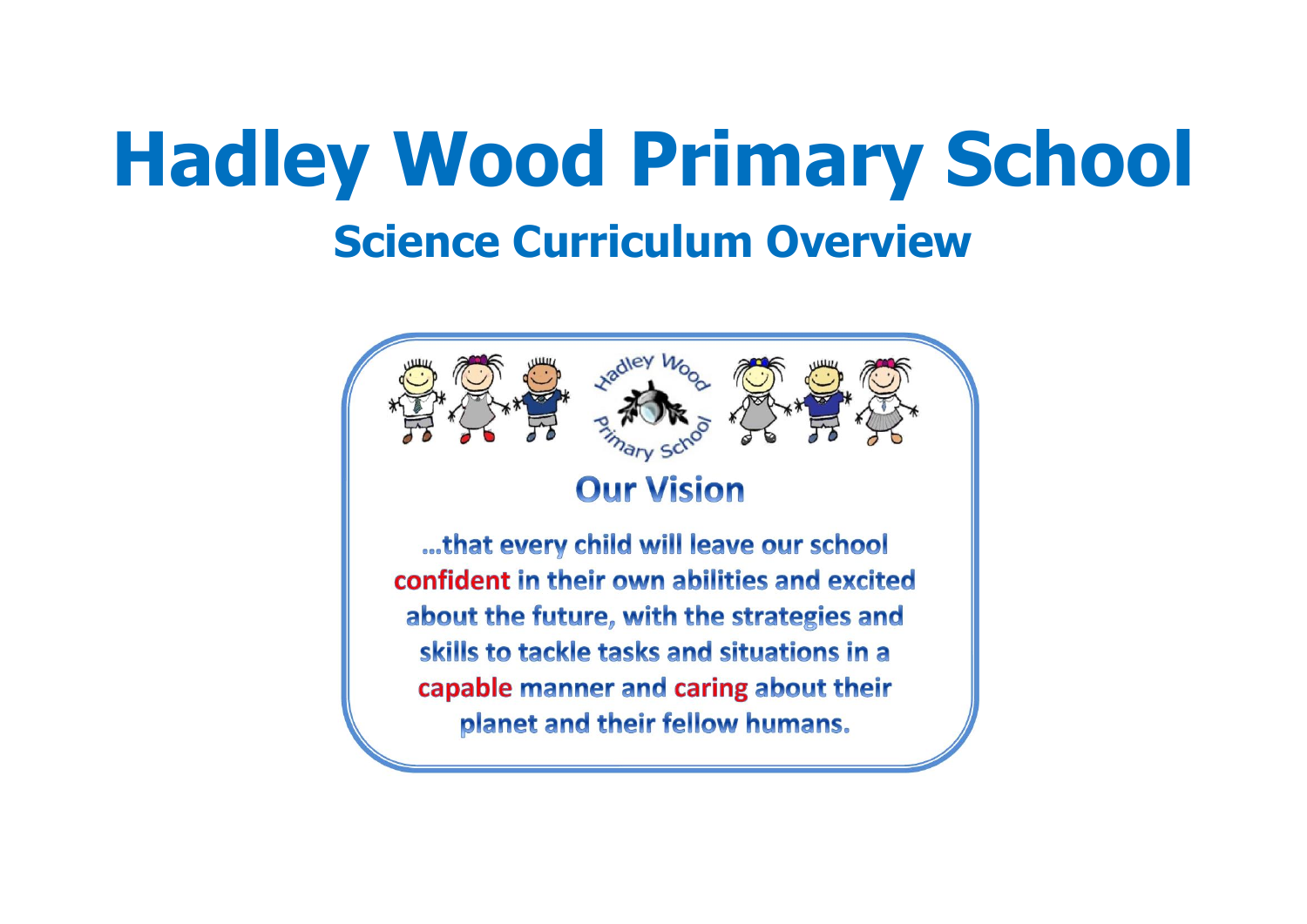# **Hadley Wood Primary School Science Curriculum Overview**

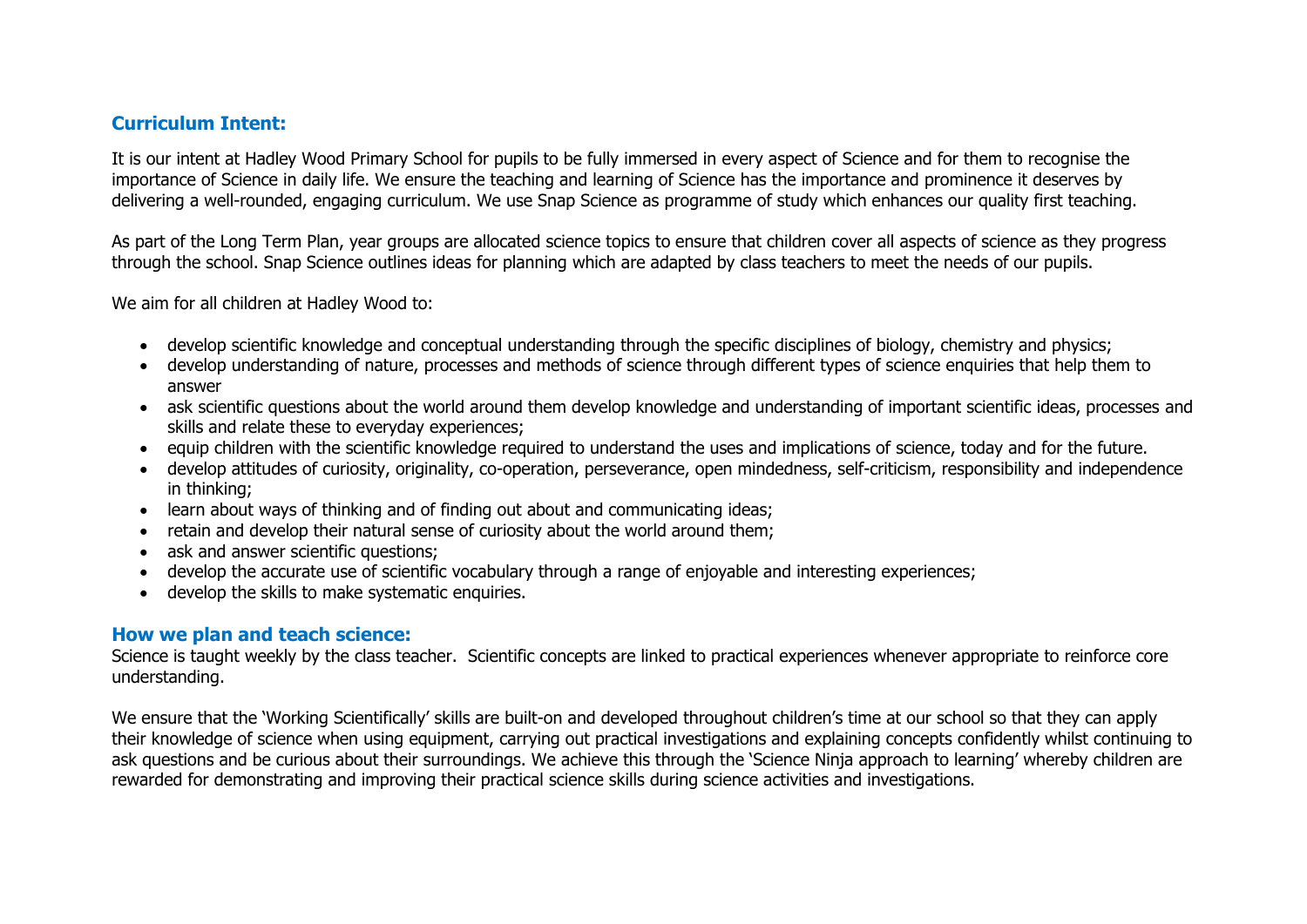### **Curriculum Intent:**

It is our intent at Hadley Wood Primary School for pupils to be fully immersed in every aspect of Science and for them to recognise the importance of Science in daily life. We ensure the teaching and learning of Science has the importance and prominence it deserves by delivering a well-rounded, engaging curriculum. We use Snap Science as programme of study which enhances our quality first teaching.

As part of the Long Term Plan, year groups are allocated science topics to ensure that children cover all aspects of science as they progress through the school. Snap Science outlines ideas for planning which are adapted by class teachers to meet the needs of our pupils.

We aim for all children at Hadley Wood to:

- develop scientific knowledge and conceptual understanding through the specific disciplines of biology, chemistry and physics;
- develop understanding of nature, processes and methods of science through different types of science enquiries that help them to answer
- ask scientific questions about the world around them develop knowledge and understanding of important scientific ideas, processes and skills and relate these to everyday experiences;
- equip children with the scientific knowledge required to understand the uses and implications of science, today and for the future.
- develop attitudes of curiosity, originality, co-operation, perseverance, open mindedness, self-criticism, responsibility and independence in thinking;
- learn about ways of thinking and of finding out about and communicating ideas;
- retain and develop their natural sense of curiosity about the world around them;
- ask and answer scientific questions;
- develop the accurate use of scientific vocabulary through a range of enjoyable and interesting experiences;
- develop the skills to make systematic enquiries.

#### **How we plan and teach science:**

Science is taught weekly by the class teacher. Scientific concepts are linked to practical experiences whenever appropriate to reinforce core understanding.

We ensure that the 'Working Scientifically' skills are built-on and developed throughout children's time at our school so that they can apply their knowledge of science when using equipment, carrying out practical investigations and explaining concepts confidently whilst continuing to ask questions and be curious about their surroundings. We achieve this through the 'Science Ninja approach to learning' whereby children are rewarded for demonstrating and improving their practical science skills during science activities and investigations.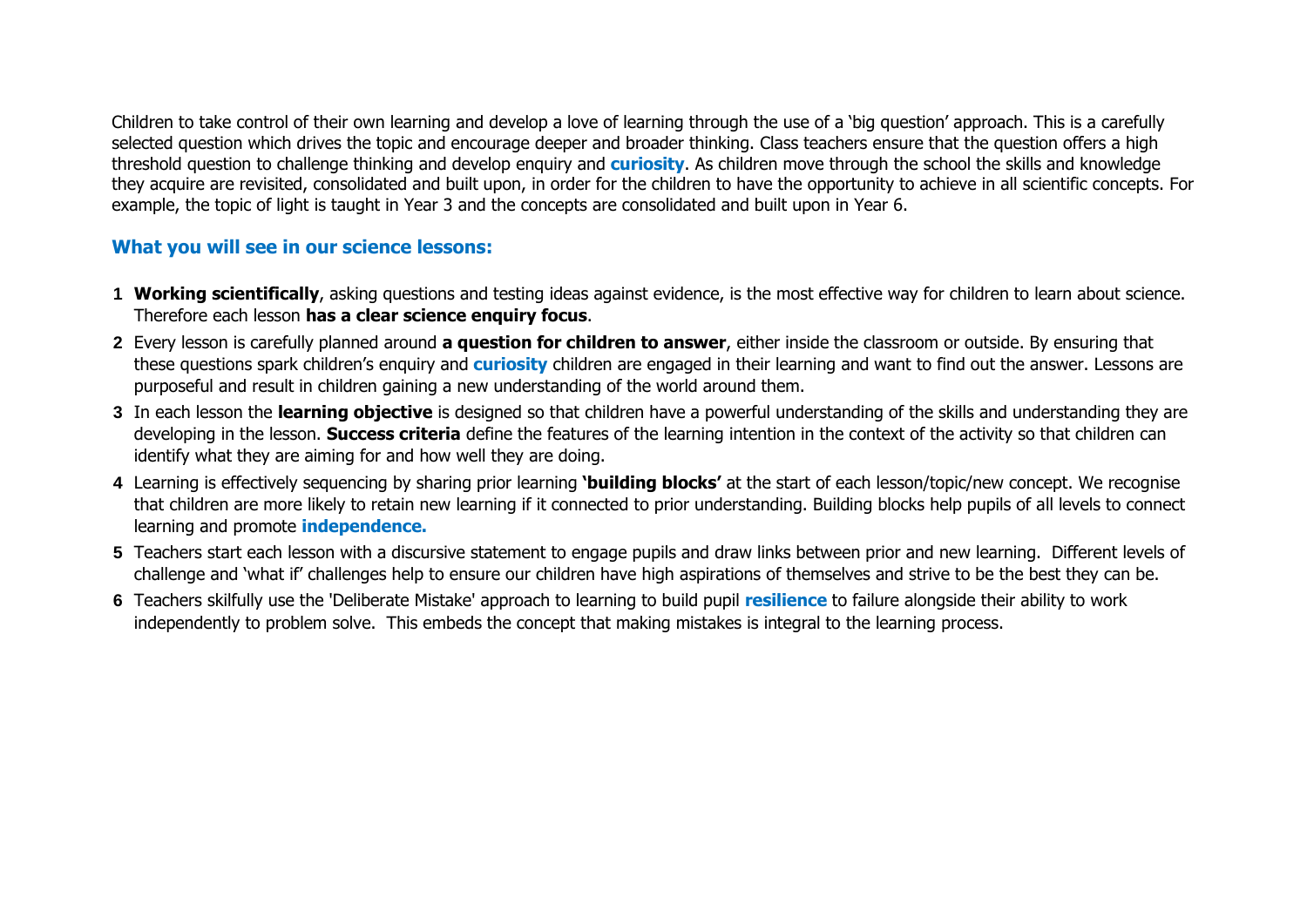Children to take control of their own learning and develop a love of learning through the use of a 'big question' approach. This is a carefully selected question which drives the topic and encourage deeper and broader thinking. Class teachers ensure that the question offers a high threshold question to challenge thinking and develop enquiry and **curiosity**. As children move through the school the skills and knowledge they acquire are revisited, consolidated and built upon, in order for the children to have the opportunity to achieve in all scientific concepts. For example, the topic of light is taught in Year 3 and the concepts are consolidated and built upon in Year 6.

## **What you will see in our science lessons:**

- **1 Working scientifically**, asking questions and testing ideas against evidence, is the most effective way for children to learn about science. Therefore each lesson **has a clear science enquiry focus**.
- **2** Every lesson is carefully planned around **a question for children to answer**, either inside the classroom or outside. By ensuring that these questions spark children's enquiry and **curiosity** children are engaged in their learning and want to find out the answer. Lessons are purposeful and result in children gaining a new understanding of the world around them.
- **3** In each lesson the **learning objective** is designed so that children have a powerful understanding of the skills and understanding they are developing in the lesson. **Success criteria** define the features of the learning intention in the context of the activity so that children can identify what they are aiming for and how well they are doing.
- **4** Learning is effectively sequencing by sharing prior learning **'building blocks'** at the start of each lesson/topic/new concept. We recognise that children are more likely to retain new learning if it connected to prior understanding. Building blocks help pupils of all levels to connect learning and promote **independence.**
- **5** Teachers start each lesson with a discursive statement to engage pupils and draw links between prior and new learning. Different levels of challenge and 'what if' challenges help to ensure our children have high aspirations of themselves and strive to be the best they can be.
- **6** Teachers skilfully use the 'Deliberate Mistake' approach to learning to build pupil **resilience** to failure alongside their ability to work independently to problem solve. This embeds the concept that making mistakes is integral to the learning process.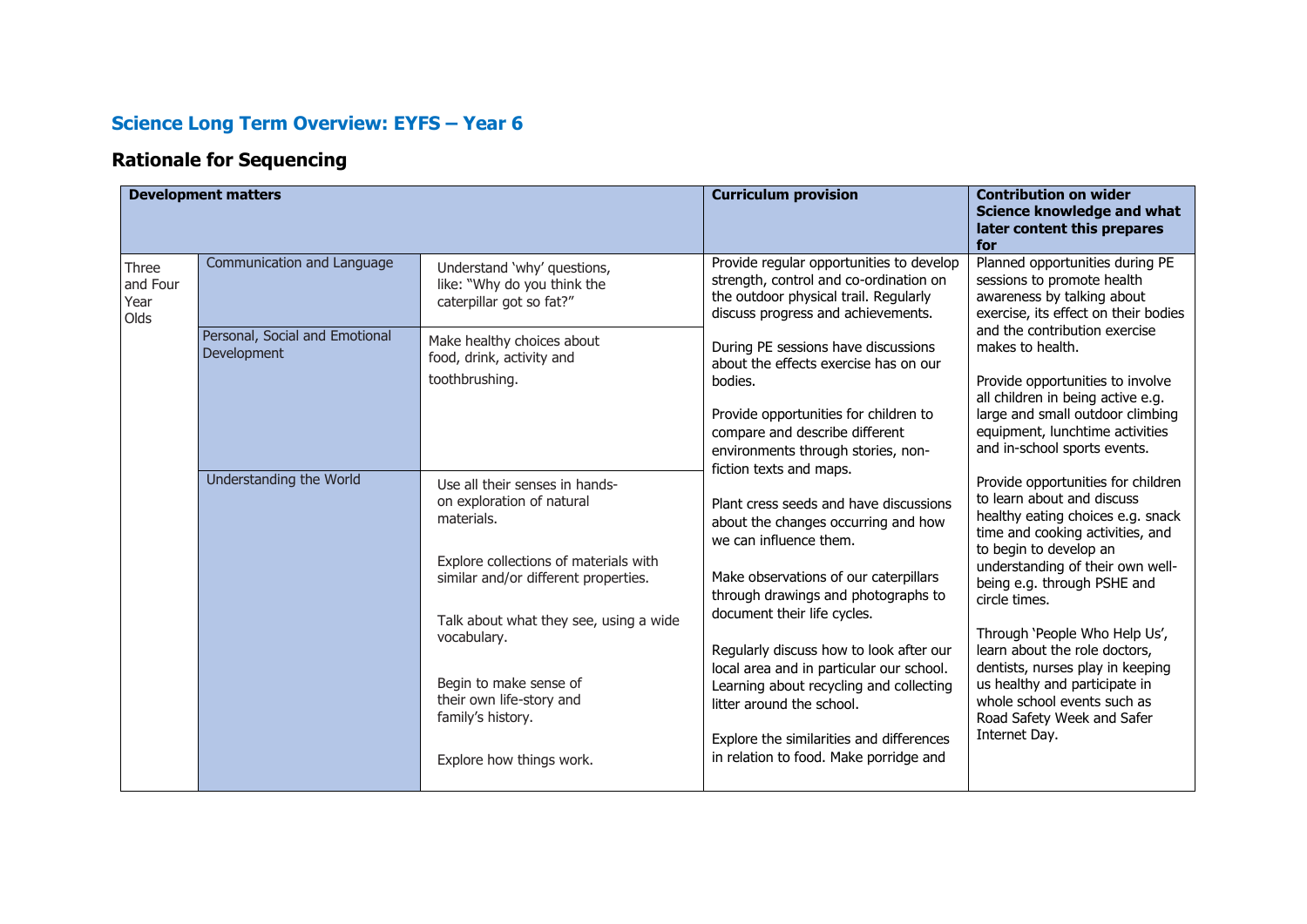## **Science Long Term Overview: EYFS – Year 6**

## **Rationale for Sequencing**

|                                   | <b>Development matters</b>                                                                                                        |                                                                                                                                                                                                                     | <b>Curriculum provision</b>                                                                                                                                                                                                                                                                                                        | <b>Contribution on wider</b>                                                                                                                                                                                                                                                                                              |
|-----------------------------------|-----------------------------------------------------------------------------------------------------------------------------------|---------------------------------------------------------------------------------------------------------------------------------------------------------------------------------------------------------------------|------------------------------------------------------------------------------------------------------------------------------------------------------------------------------------------------------------------------------------------------------------------------------------------------------------------------------------|---------------------------------------------------------------------------------------------------------------------------------------------------------------------------------------------------------------------------------------------------------------------------------------------------------------------------|
|                                   |                                                                                                                                   |                                                                                                                                                                                                                     |                                                                                                                                                                                                                                                                                                                                    | Science knowledge and what<br>later content this prepares<br>for                                                                                                                                                                                                                                                          |
| Three<br>and Four<br>Year<br>Olds | Communication and Language                                                                                                        | Understand 'why' questions,<br>like: "Why do you think the<br>caterpillar got so fat?"                                                                                                                              | Provide regular opportunities to develop<br>strength, control and co-ordination on<br>the outdoor physical trail. Regularly<br>discuss progress and achievements.                                                                                                                                                                  | Planned opportunities during PE<br>sessions to promote health<br>awareness by talking about<br>exercise, its effect on their bodies                                                                                                                                                                                       |
|                                   | Personal, Social and Emotional<br>Make healthy choices about<br><b>Development</b><br>food, drink, activity and<br>toothbrushing. | During PE sessions have discussions<br>about the effects exercise has on our<br>bodies.<br>Provide opportunities for children to<br>compare and describe different                                                  | and the contribution exercise<br>makes to health.<br>Provide opportunities to involve<br>all children in being active e.g.<br>large and small outdoor climbing<br>equipment, lunchtime activities<br>and in-school sports events.                                                                                                  |                                                                                                                                                                                                                                                                                                                           |
|                                   | Understanding the World                                                                                                           | Use all their senses in hands-<br>on exploration of natural<br>materials.<br>Explore collections of materials with<br>similar and/or different properties.<br>Talk about what they see, using a wide<br>vocabulary. | environments through stories, non-<br>fiction texts and maps.<br>Plant cress seeds and have discussions<br>about the changes occurring and how<br>we can influence them.<br>Make observations of our caterpillars<br>through drawings and photographs to<br>document their life cycles.<br>Regularly discuss how to look after our | Provide opportunities for children<br>to learn about and discuss<br>healthy eating choices e.g. snack<br>time and cooking activities, and<br>to begin to develop an<br>understanding of their own well-<br>being e.g. through PSHE and<br>circle times.<br>Through 'People Who Help Us',<br>learn about the role doctors, |
|                                   |                                                                                                                                   | Begin to make sense of<br>their own life-story and<br>family's history.<br>Explore how things work.                                                                                                                 | local area and in particular our school.<br>Learning about recycling and collecting<br>litter around the school.<br>Explore the similarities and differences<br>in relation to food. Make porridge and                                                                                                                             | dentists, nurses play in keeping<br>us healthy and participate in<br>whole school events such as<br>Road Safety Week and Safer<br>Internet Day.                                                                                                                                                                           |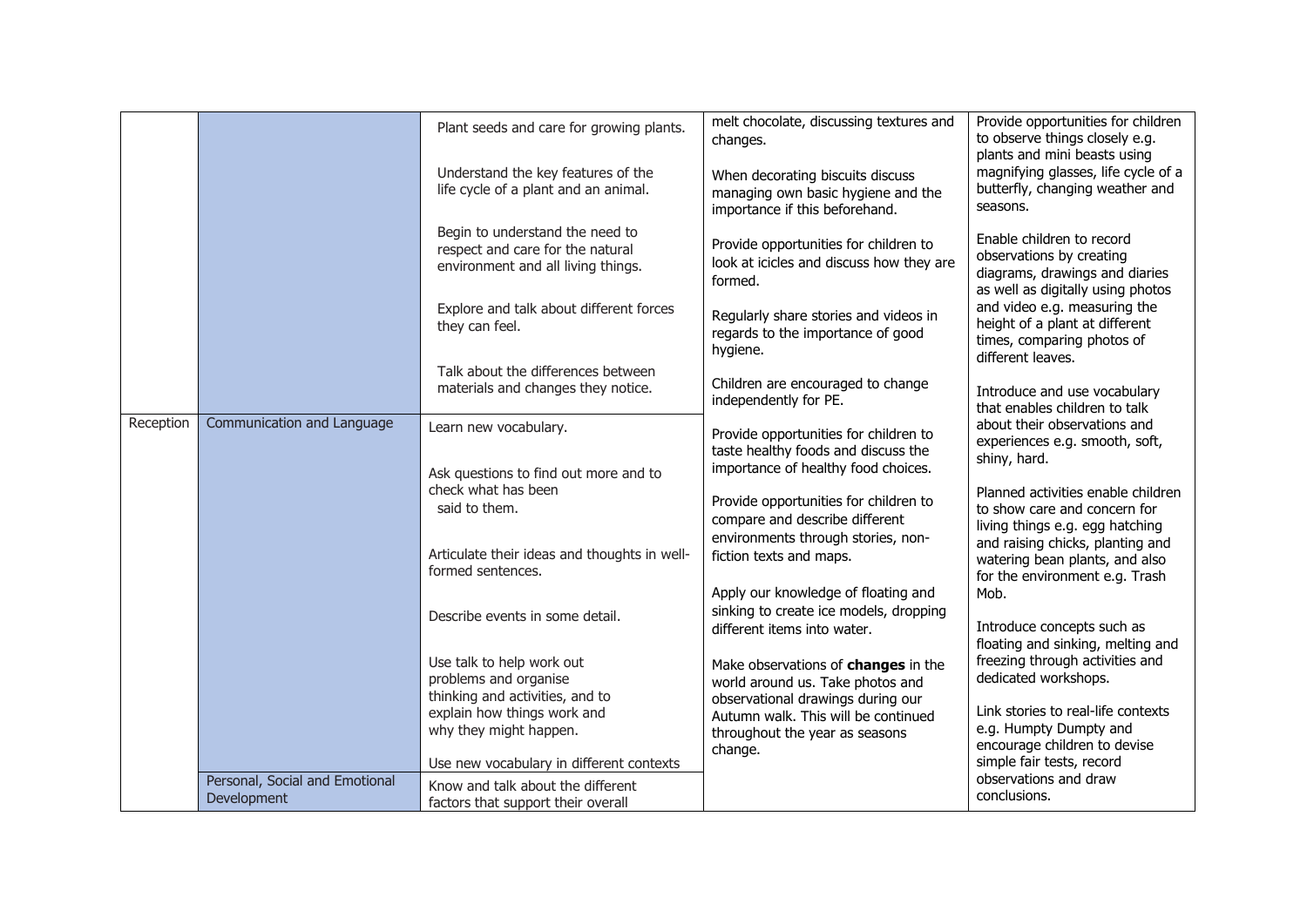|           |                                               | Plant seeds and care for growing plants.<br>Understand the key features of the<br>life cycle of a plant and an animal.                                                 | melt chocolate, discussing textures and<br>changes.<br>When decorating biscuits discuss<br>managing own basic hygiene and the<br>importance if this beforehand.                        | Provide opportunities for children<br>to observe things closely e.g.<br>plants and mini beasts using<br>magnifying glasses, life cycle of a<br>butterfly, changing weather and<br>seasons.                                                        |
|-----------|-----------------------------------------------|------------------------------------------------------------------------------------------------------------------------------------------------------------------------|----------------------------------------------------------------------------------------------------------------------------------------------------------------------------------------|---------------------------------------------------------------------------------------------------------------------------------------------------------------------------------------------------------------------------------------------------|
|           |                                               | Begin to understand the need to<br>respect and care for the natural<br>environment and all living things.<br>Explore and talk about different forces<br>they can feel. | Provide opportunities for children to<br>look at icicles and discuss how they are<br>formed.<br>Regularly share stories and videos in<br>regards to the importance of good<br>hygiene. | Enable children to record<br>observations by creating<br>diagrams, drawings and diaries<br>as well as digitally using photos<br>and video e.g. measuring the<br>height of a plant at different<br>times, comparing photos of<br>different leaves. |
|           |                                               | Talk about the differences between<br>materials and changes they notice.                                                                                               | Children are encouraged to change<br>independently for PE.                                                                                                                             | Introduce and use vocabulary<br>that enables children to talk                                                                                                                                                                                     |
| Reception | Communication and Language                    | Learn new vocabulary.<br>Ask questions to find out more and to<br>check what has been<br>said to them.                                                                 | Provide opportunities for children to<br>taste healthy foods and discuss the<br>importance of healthy food choices.<br>Provide opportunities for children to                           | about their observations and<br>experiences e.g. smooth, soft,<br>shiny, hard.<br>Planned activities enable children<br>to show care and concern for                                                                                              |
|           |                                               | Articulate their ideas and thoughts in well-<br>formed sentences.                                                                                                      | compare and describe different<br>environments through stories, non-<br>fiction texts and maps.<br>Apply our knowledge of floating and<br>sinking to create ice models, dropping       | living things e.g. egg hatching<br>and raising chicks, planting and<br>watering bean plants, and also<br>for the environment e.g. Trash<br>Mob.                                                                                                   |
|           |                                               | Describe events in some detail.<br>Use talk to help work out                                                                                                           | different items into water.                                                                                                                                                            | Introduce concepts such as<br>floating and sinking, melting and<br>freezing through activities and                                                                                                                                                |
|           |                                               | problems and organise<br>thinking and activities, and to                                                                                                               | Make observations of changes in the<br>world around us. Take photos and<br>observational drawings during our                                                                           | dedicated workshops.                                                                                                                                                                                                                              |
|           |                                               | explain how things work and<br>why they might happen.<br>Use new vocabulary in different contexts                                                                      | Autumn walk. This will be continued<br>throughout the year as seasons<br>change.                                                                                                       | Link stories to real-life contexts<br>e.g. Humpty Dumpty and<br>encourage children to devise<br>simple fair tests, record                                                                                                                         |
|           | Personal, Social and Emotional<br>Development | Know and talk about the different<br>factors that support their overall                                                                                                |                                                                                                                                                                                        | observations and draw<br>conclusions.                                                                                                                                                                                                             |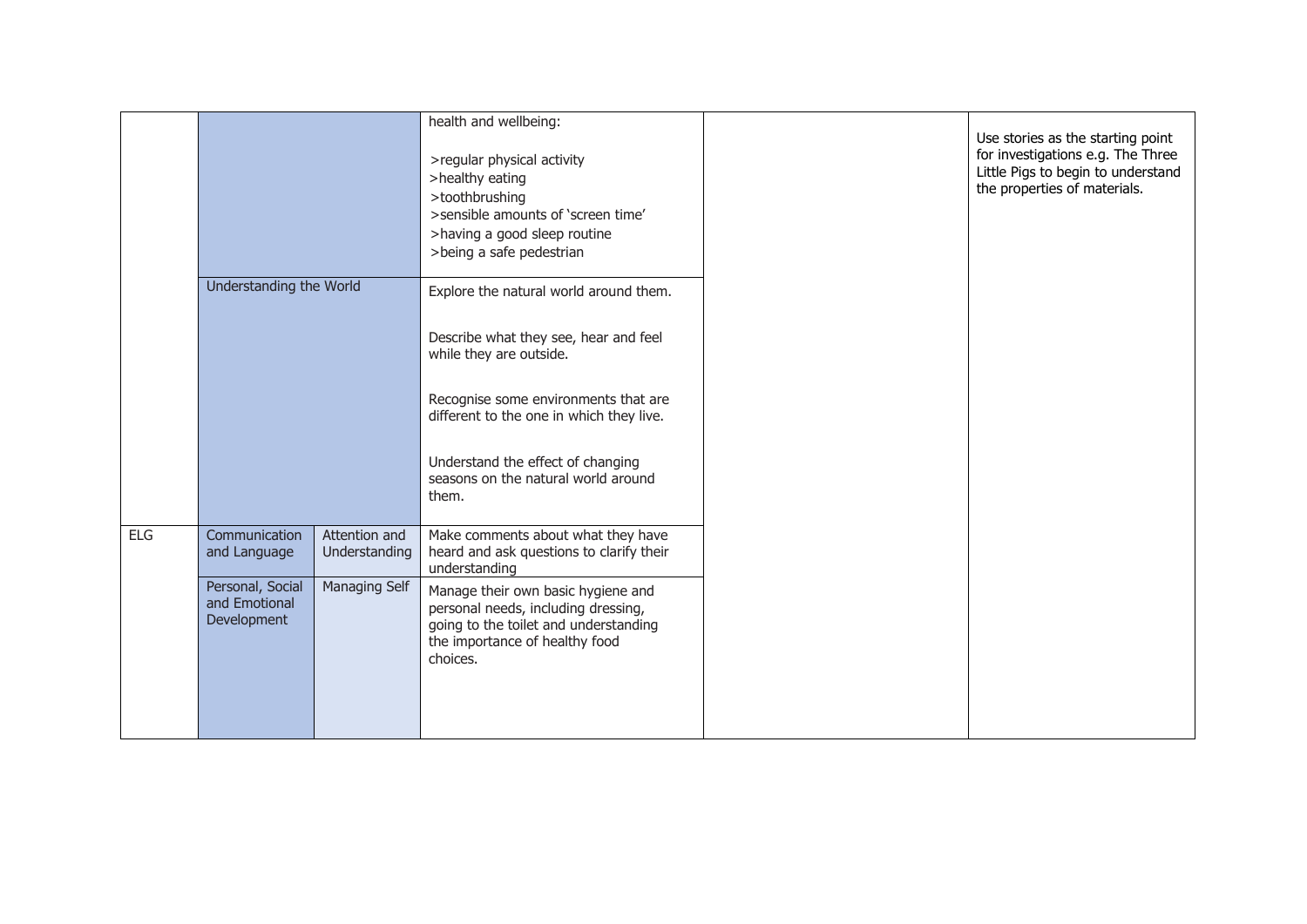|            |                                                  |                                | health and wellbeing:                                                                                                                                             |                                                                                                                                              |
|------------|--------------------------------------------------|--------------------------------|-------------------------------------------------------------------------------------------------------------------------------------------------------------------|----------------------------------------------------------------------------------------------------------------------------------------------|
|            |                                                  |                                | >regular physical activity<br>>healthy eating<br>>toothbrushing<br>>sensible amounts of 'screen time'<br>>having a good sleep routine<br>>being a safe pedestrian | Use stories as the starting point<br>for investigations e.g. The Three<br>Little Pigs to begin to understand<br>the properties of materials. |
|            | Understanding the World                          |                                | Explore the natural world around them.                                                                                                                            |                                                                                                                                              |
|            |                                                  |                                | Describe what they see, hear and feel<br>while they are outside.                                                                                                  |                                                                                                                                              |
|            |                                                  |                                | Recognise some environments that are<br>different to the one in which they live.                                                                                  |                                                                                                                                              |
|            |                                                  |                                | Understand the effect of changing<br>seasons on the natural world around<br>them.                                                                                 |                                                                                                                                              |
| <b>ELG</b> | Communication<br>and Language                    | Attention and<br>Understanding | Make comments about what they have<br>heard and ask questions to clarify their<br>understanding                                                                   |                                                                                                                                              |
|            | Personal, Social<br>and Emotional<br>Development | Managing Self                  | Manage their own basic hygiene and<br>personal needs, including dressing,<br>going to the toilet and understanding<br>the importance of healthy food<br>choices.  |                                                                                                                                              |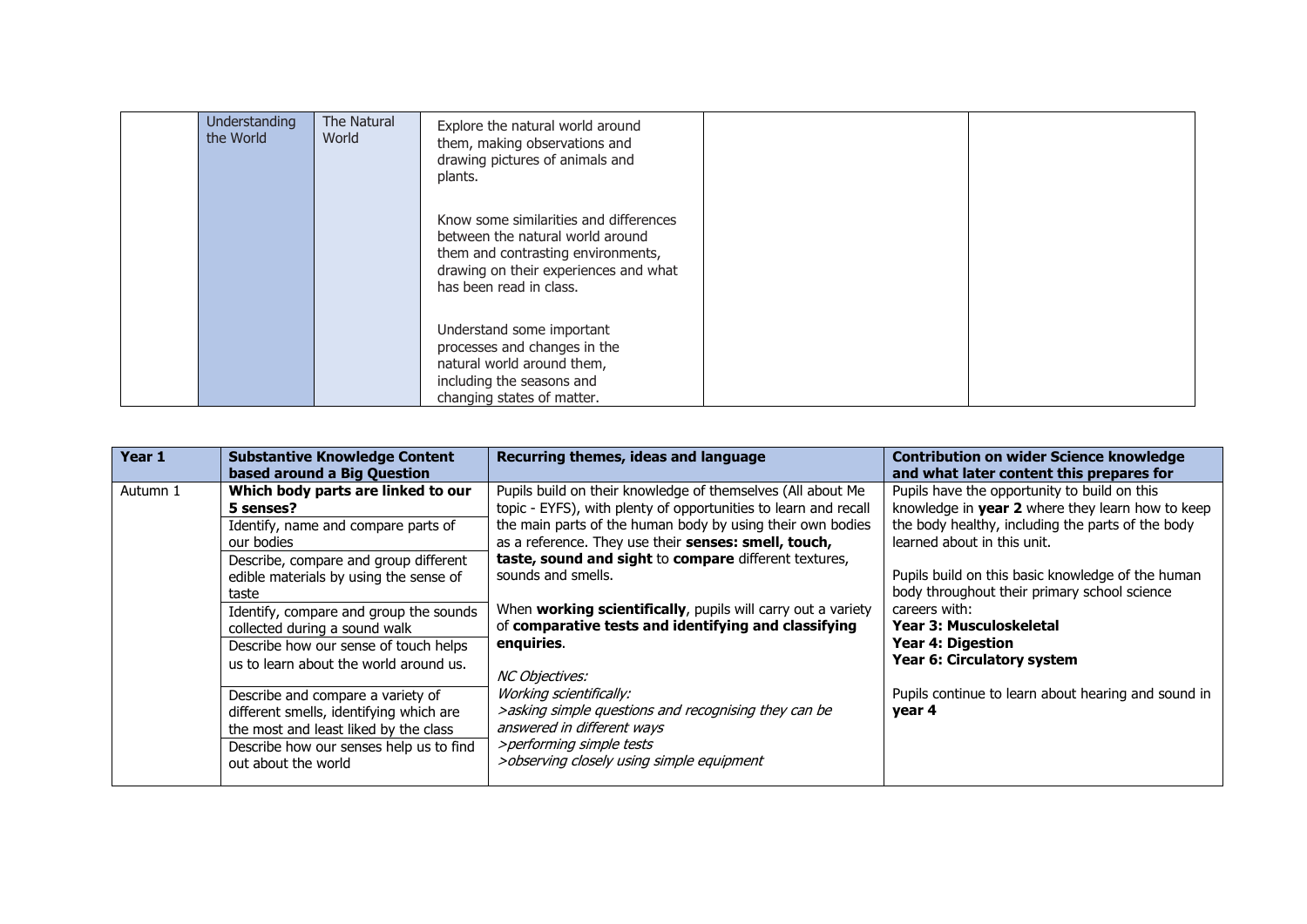| Understanding<br>the World | The Natural<br>World | Explore the natural world around<br>them, making observations and<br>drawing pictures of animals and<br>plants.                                                                      |  |
|----------------------------|----------------------|--------------------------------------------------------------------------------------------------------------------------------------------------------------------------------------|--|
|                            |                      | Know some similarities and differences<br>between the natural world around<br>them and contrasting environments,<br>drawing on their experiences and what<br>has been read in class. |  |
|                            |                      | Understand some important<br>processes and changes in the<br>natural world around them,<br>including the seasons and<br>changing states of matter.                                   |  |

| Year 1   | <b>Substantive Knowledge Content</b><br>based around a Big Question                                                                                                                                                                                                                                                                                            | Recurring themes, ideas and language                                                                                                                                                                                                                                                                                                                                                                                                                                                               | <b>Contribution on wider Science knowledge</b><br>and what later content this prepares for                                                                                                                                                                                                                                                                                                             |
|----------|----------------------------------------------------------------------------------------------------------------------------------------------------------------------------------------------------------------------------------------------------------------------------------------------------------------------------------------------------------------|----------------------------------------------------------------------------------------------------------------------------------------------------------------------------------------------------------------------------------------------------------------------------------------------------------------------------------------------------------------------------------------------------------------------------------------------------------------------------------------------------|--------------------------------------------------------------------------------------------------------------------------------------------------------------------------------------------------------------------------------------------------------------------------------------------------------------------------------------------------------------------------------------------------------|
| Autumn 1 | Which body parts are linked to our<br>5 senses?<br>Identify, name and compare parts of<br>our bodies<br>Describe, compare and group different<br>edible materials by using the sense of<br>taste<br>Identify, compare and group the sounds<br>collected during a sound walk<br>Describe how our sense of touch helps<br>us to learn about the world around us. | Pupils build on their knowledge of themselves (All about Me<br>topic - EYFS), with plenty of opportunities to learn and recall<br>the main parts of the human body by using their own bodies<br>as a reference. They use their senses: smell, touch,<br>taste, sound and sight to compare different textures,<br>sounds and smells.<br>When working scientifically, pupils will carry out a variety<br>of comparative tests and identifying and classifying<br>enquiries.<br><i>NC Objectives:</i> | Pupils have the opportunity to build on this<br>knowledge in year 2 where they learn how to keep<br>the body healthy, including the parts of the body<br>learned about in this unit.<br>Pupils build on this basic knowledge of the human<br>body throughout their primary school science<br>careers with:<br><b>Year 3: Musculoskeletal</b><br><b>Year 4: Digestion</b><br>Year 6: Circulatory system |
|          | Describe and compare a variety of<br>different smells, identifying which are<br>the most and least liked by the class<br>Describe how our senses help us to find<br>out about the world                                                                                                                                                                        | Working scientifically:<br>>asking simple questions and recognising they can be<br>answered in different ways<br>>performing simple tests<br>>observing closely using simple equipment                                                                                                                                                                                                                                                                                                             | Pupils continue to learn about hearing and sound in<br>year 4                                                                                                                                                                                                                                                                                                                                          |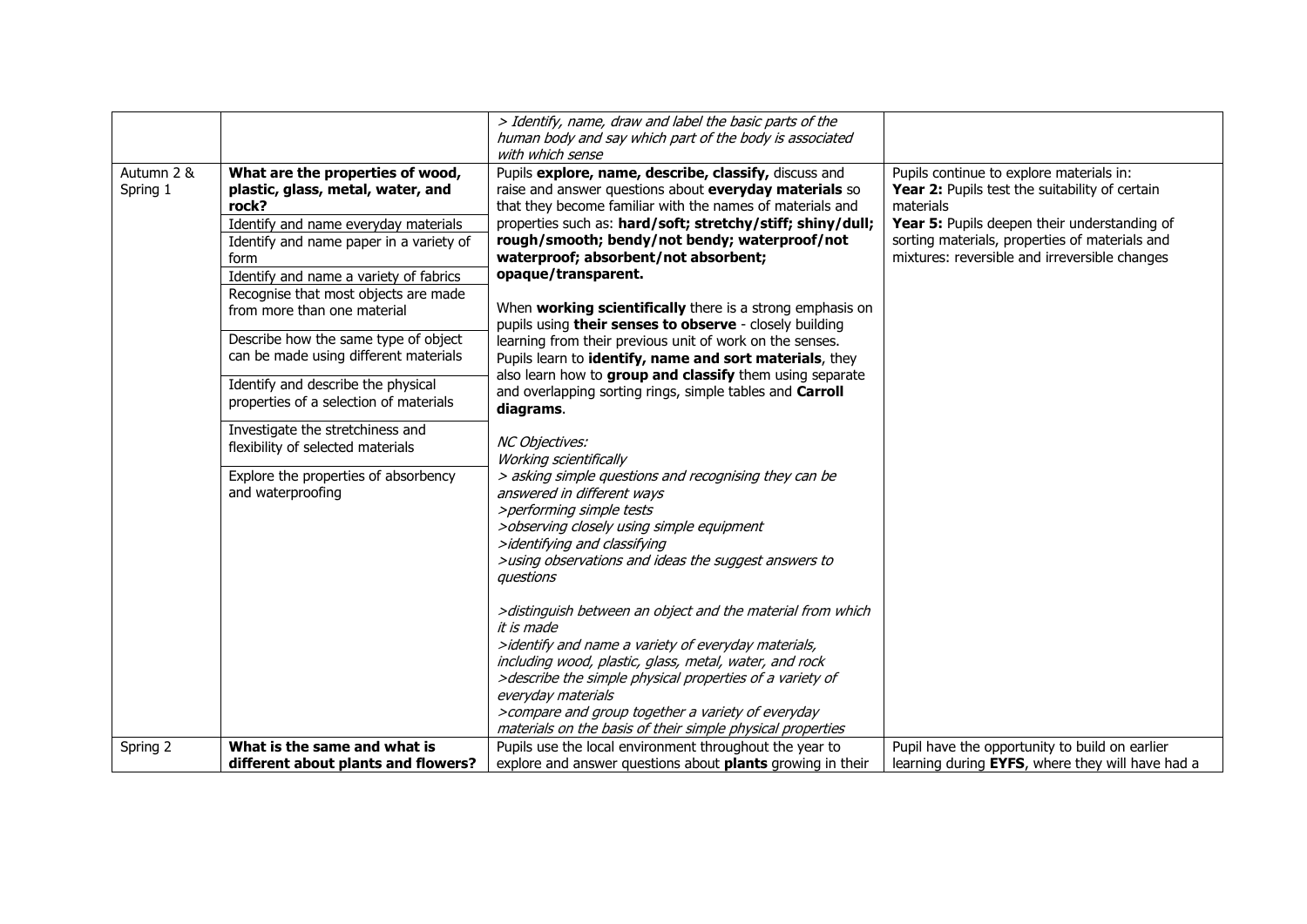|                        |                                                                                                                                                                                                                                                                                                                                                                                                                                                                                                                                                                                                   | > Identify, name, draw and label the basic parts of the<br>human body and say which part of the body is associated<br>with which sense                                                                                                                                                                                                                                                                                                                                                                                                                                                                                                                                                                                                                                                                                                                                                                                                                                                                                                                                                                                                                                                                                                                                                                                                                                                                                                                            |                                                                                                                                                                                                                                                            |
|------------------------|---------------------------------------------------------------------------------------------------------------------------------------------------------------------------------------------------------------------------------------------------------------------------------------------------------------------------------------------------------------------------------------------------------------------------------------------------------------------------------------------------------------------------------------------------------------------------------------------------|-------------------------------------------------------------------------------------------------------------------------------------------------------------------------------------------------------------------------------------------------------------------------------------------------------------------------------------------------------------------------------------------------------------------------------------------------------------------------------------------------------------------------------------------------------------------------------------------------------------------------------------------------------------------------------------------------------------------------------------------------------------------------------------------------------------------------------------------------------------------------------------------------------------------------------------------------------------------------------------------------------------------------------------------------------------------------------------------------------------------------------------------------------------------------------------------------------------------------------------------------------------------------------------------------------------------------------------------------------------------------------------------------------------------------------------------------------------------|------------------------------------------------------------------------------------------------------------------------------------------------------------------------------------------------------------------------------------------------------------|
| Autumn 2 &<br>Spring 1 | What are the properties of wood,<br>plastic, glass, metal, water, and<br>rock?<br>Identify and name everyday materials<br>Identify and name paper in a variety of<br>form<br>Identify and name a variety of fabrics<br>Recognise that most objects are made<br>from more than one material<br>Describe how the same type of object<br>can be made using different materials<br>Identify and describe the physical<br>properties of a selection of materials<br>Investigate the stretchiness and<br>flexibility of selected materials<br>Explore the properties of absorbency<br>and waterproofing | Pupils explore, name, describe, classify, discuss and<br>raise and answer questions about everyday materials so<br>that they become familiar with the names of materials and<br>properties such as: hard/soft; stretchy/stiff; shiny/dull;<br>rough/smooth; bendy/not bendy; waterproof/not<br>waterproof; absorbent/not absorbent;<br>opaque/transparent.<br>When working scientifically there is a strong emphasis on<br>pupils using their senses to observe - closely building<br>learning from their previous unit of work on the senses.<br>Pupils learn to identify, name and sort materials, they<br>also learn how to group and classify them using separate<br>and overlapping sorting rings, simple tables and Carroll<br>diagrams.<br>NC Objectives:<br>Working scientifically<br>> asking simple questions and recognising they can be<br>answered in different ways<br>>performing simple tests<br>>observing closely using simple equipment<br>>identifying and classifying<br>>using observations and ideas the suggest answers to<br>questions<br>>distinguish between an object and the material from which<br>it is made<br>>identify and name a variety of everyday materials,<br>including wood, plastic, glass, metal, water, and rock<br>>describe the simple physical properties of a variety of<br>everyday materials<br>>compare and group together a variety of everyday<br>materials on the basis of their simple physical properties | Pupils continue to explore materials in:<br>Year 2: Pupils test the suitability of certain<br>materials<br>Year 5: Pupils deepen their understanding of<br>sorting materials, properties of materials and<br>mixtures: reversible and irreversible changes |
| Spring 2               | What is the same and what is<br>different about plants and flowers?                                                                                                                                                                                                                                                                                                                                                                                                                                                                                                                               | Pupils use the local environment throughout the year to<br>explore and answer questions about plants growing in their                                                                                                                                                                                                                                                                                                                                                                                                                                                                                                                                                                                                                                                                                                                                                                                                                                                                                                                                                                                                                                                                                                                                                                                                                                                                                                                                             | Pupil have the opportunity to build on earlier<br>learning during EYFS, where they will have had a                                                                                                                                                         |
|                        |                                                                                                                                                                                                                                                                                                                                                                                                                                                                                                                                                                                                   |                                                                                                                                                                                                                                                                                                                                                                                                                                                                                                                                                                                                                                                                                                                                                                                                                                                                                                                                                                                                                                                                                                                                                                                                                                                                                                                                                                                                                                                                   |                                                                                                                                                                                                                                                            |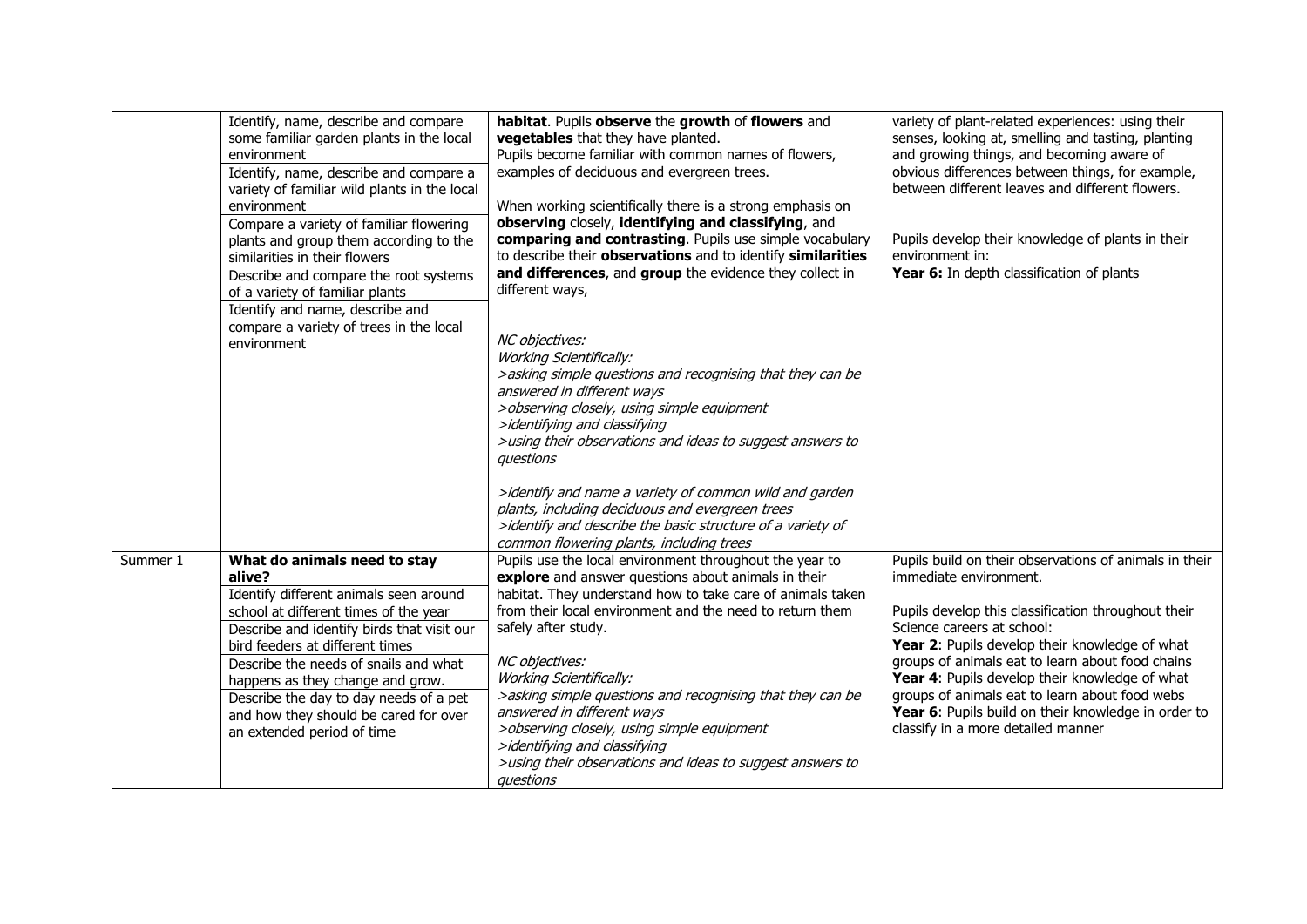|          | Identify, name, describe and compare<br>some familiar garden plants in the local<br>environment | habitat. Pupils observe the growth of flowers and<br>vegetables that they have planted.<br>Pupils become familiar with common names of flowers, | variety of plant-related experiences: using their<br>senses, looking at, smelling and tasting, planting<br>and growing things, and becoming aware of |
|----------|-------------------------------------------------------------------------------------------------|-------------------------------------------------------------------------------------------------------------------------------------------------|------------------------------------------------------------------------------------------------------------------------------------------------------|
|          | Identify, name, describe and compare a<br>variety of familiar wild plants in the local          | examples of deciduous and evergreen trees.                                                                                                      | obvious differences between things, for example,<br>between different leaves and different flowers.                                                  |
|          | environment                                                                                     | When working scientifically there is a strong emphasis on                                                                                       |                                                                                                                                                      |
|          | Compare a variety of familiar flowering                                                         | observing closely, identifying and classifying, and                                                                                             |                                                                                                                                                      |
|          | plants and group them according to the                                                          | comparing and contrasting. Pupils use simple vocabulary                                                                                         | Pupils develop their knowledge of plants in their                                                                                                    |
|          | similarities in their flowers                                                                   | to describe their observations and to identify similarities                                                                                     | environment in:                                                                                                                                      |
|          | Describe and compare the root systems                                                           | and differences, and group the evidence they collect in                                                                                         | Year 6: In depth classification of plants                                                                                                            |
|          | of a variety of familiar plants                                                                 | different ways,                                                                                                                                 |                                                                                                                                                      |
|          | Identify and name, describe and<br>compare a variety of trees in the local                      |                                                                                                                                                 |                                                                                                                                                      |
|          | environment                                                                                     | NC objectives:                                                                                                                                  |                                                                                                                                                      |
|          |                                                                                                 | <b>Working Scientifically:</b>                                                                                                                  |                                                                                                                                                      |
|          |                                                                                                 | >asking simple questions and recognising that they can be                                                                                       |                                                                                                                                                      |
|          |                                                                                                 | answered in different ways                                                                                                                      |                                                                                                                                                      |
|          |                                                                                                 | >observing closely, using simple equipment                                                                                                      |                                                                                                                                                      |
|          |                                                                                                 | >identifying and classifying                                                                                                                    |                                                                                                                                                      |
|          |                                                                                                 | >using their observations and ideas to suggest answers to                                                                                       |                                                                                                                                                      |
|          |                                                                                                 | questions                                                                                                                                       |                                                                                                                                                      |
|          |                                                                                                 | >identify and name a variety of common wild and garden                                                                                          |                                                                                                                                                      |
|          |                                                                                                 | plants, including deciduous and evergreen trees                                                                                                 |                                                                                                                                                      |
|          |                                                                                                 | >identify and describe the basic structure of a variety of                                                                                      |                                                                                                                                                      |
|          |                                                                                                 | common flowering plants, including trees                                                                                                        |                                                                                                                                                      |
| Summer 1 | What do animals need to stay                                                                    | Pupils use the local environment throughout the year to                                                                                         | Pupils build on their observations of animals in their                                                                                               |
|          | alive?                                                                                          | explore and answer questions about animals in their                                                                                             | immediate environment.                                                                                                                               |
|          | Identify different animals seen around                                                          | habitat. They understand how to take care of animals taken                                                                                      |                                                                                                                                                      |
|          | school at different times of the year                                                           | from their local environment and the need to return them                                                                                        | Pupils develop this classification throughout their                                                                                                  |
|          | Describe and identify birds that visit our                                                      | safely after study.                                                                                                                             | Science careers at school:                                                                                                                           |
|          | bird feeders at different times                                                                 |                                                                                                                                                 | Year 2: Pupils develop their knowledge of what                                                                                                       |
|          | Describe the needs of snails and what                                                           | NC objectives:                                                                                                                                  | groups of animals eat to learn about food chains                                                                                                     |
|          | happens as they change and grow.                                                                | <b>Working Scientifically:</b>                                                                                                                  | Year 4: Pupils develop their knowledge of what                                                                                                       |
|          | Describe the day to day needs of a pet                                                          | >asking simple questions and recognising that they can be                                                                                       | groups of animals eat to learn about food webs                                                                                                       |
|          | and how they should be cared for over                                                           | answered in different ways                                                                                                                      | Year 6: Pupils build on their knowledge in order to                                                                                                  |
|          | an extended period of time                                                                      | >observing closely, using simple equipment                                                                                                      | classify in a more detailed manner                                                                                                                   |
|          |                                                                                                 | >identifying and classifying                                                                                                                    |                                                                                                                                                      |
|          |                                                                                                 | >using their observations and ideas to suggest answers to                                                                                       |                                                                                                                                                      |
|          |                                                                                                 | questions                                                                                                                                       |                                                                                                                                                      |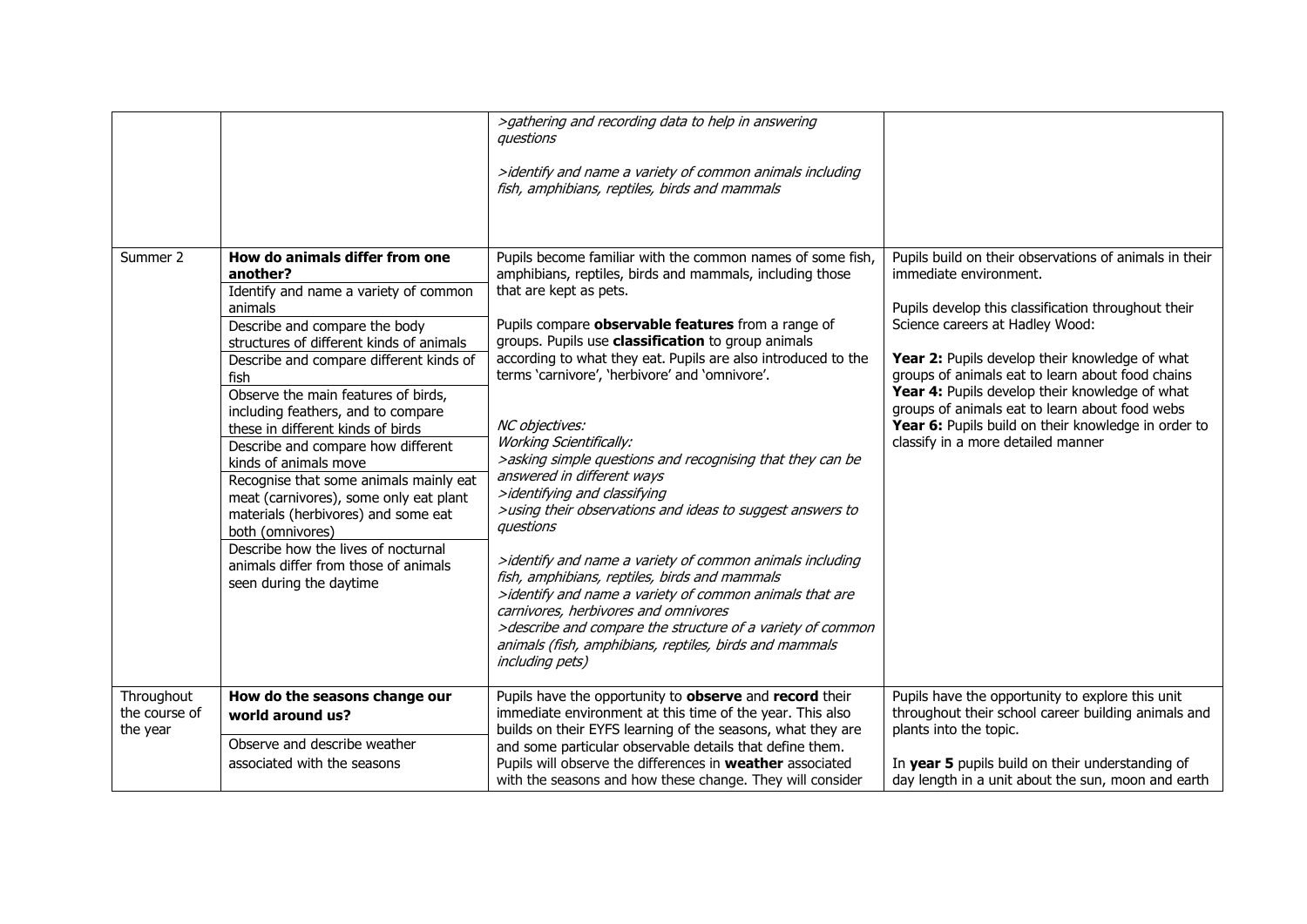|                                         |                                                                                                                                                                                                                                                                                                                                                                                                                                                                                                                                                                                                                                                                          | >gathering and recording data to help in answering<br>auestions<br>>identify and name a variety of common animals including<br>fish, amphibians, reptiles, birds and mammals                                                                                                                                                                                                                                                                                                                                                                                                                                                                                                                                                                                                                                                                                                                                                                                                                               |                                                                                                                                                                                                                                                                                                                                                                                                                                                                                   |
|-----------------------------------------|--------------------------------------------------------------------------------------------------------------------------------------------------------------------------------------------------------------------------------------------------------------------------------------------------------------------------------------------------------------------------------------------------------------------------------------------------------------------------------------------------------------------------------------------------------------------------------------------------------------------------------------------------------------------------|------------------------------------------------------------------------------------------------------------------------------------------------------------------------------------------------------------------------------------------------------------------------------------------------------------------------------------------------------------------------------------------------------------------------------------------------------------------------------------------------------------------------------------------------------------------------------------------------------------------------------------------------------------------------------------------------------------------------------------------------------------------------------------------------------------------------------------------------------------------------------------------------------------------------------------------------------------------------------------------------------------|-----------------------------------------------------------------------------------------------------------------------------------------------------------------------------------------------------------------------------------------------------------------------------------------------------------------------------------------------------------------------------------------------------------------------------------------------------------------------------------|
| Summer 2                                | How do animals differ from one<br>another?<br>Identify and name a variety of common<br>animals<br>Describe and compare the body<br>structures of different kinds of animals<br>Describe and compare different kinds of<br>fish<br>Observe the main features of birds,<br>including feathers, and to compare<br>these in different kinds of birds<br>Describe and compare how different<br>kinds of animals move<br>Recognise that some animals mainly eat<br>meat (carnivores), some only eat plant<br>materials (herbivores) and some eat<br>both (omnivores)<br>Describe how the lives of nocturnal<br>animals differ from those of animals<br>seen during the daytime | Pupils become familiar with the common names of some fish,<br>amphibians, reptiles, birds and mammals, including those<br>that are kept as pets.<br>Pupils compare observable features from a range of<br>groups. Pupils use classification to group animals<br>according to what they eat. Pupils are also introduced to the<br>terms 'carnivore', 'herbivore' and 'omnivore'.<br>NC objectives:<br><b>Working Scientifically:</b><br>>asking simple questions and recognising that they can be<br>answered in different ways<br>>identifying and classifying<br>>using their observations and ideas to suggest answers to<br>questions<br>>identify and name a variety of common animals including<br>fish, amphibians, reptiles, birds and mammals<br>>identify and name a variety of common animals that are<br>carnivores, herbivores and omnivores<br>>describe and compare the structure of a variety of common<br>animals (fish, amphibians, reptiles, birds and mammals<br><i>including pets)</i> | Pupils build on their observations of animals in their<br>immediate environment.<br>Pupils develop this classification throughout their<br>Science careers at Hadley Wood:<br>Year 2: Pupils develop their knowledge of what<br>groups of animals eat to learn about food chains<br>Year 4: Pupils develop their knowledge of what<br>groups of animals eat to learn about food webs<br>Year 6: Pupils build on their knowledge in order to<br>classify in a more detailed manner |
| Throughout<br>the course of<br>the year | How do the seasons change our<br>world around us?<br>Observe and describe weather<br>associated with the seasons                                                                                                                                                                                                                                                                                                                                                                                                                                                                                                                                                         | Pupils have the opportunity to observe and record their<br>immediate environment at this time of the year. This also<br>builds on their EYFS learning of the seasons, what they are<br>and some particular observable details that define them.<br>Pupils will observe the differences in weather associated<br>with the seasons and how these change. They will consider                                                                                                                                                                                                                                                                                                                                                                                                                                                                                                                                                                                                                                  | Pupils have the opportunity to explore this unit<br>throughout their school career building animals and<br>plants into the topic.<br>In year 5 pupils build on their understanding of<br>day length in a unit about the sun, moon and earth                                                                                                                                                                                                                                       |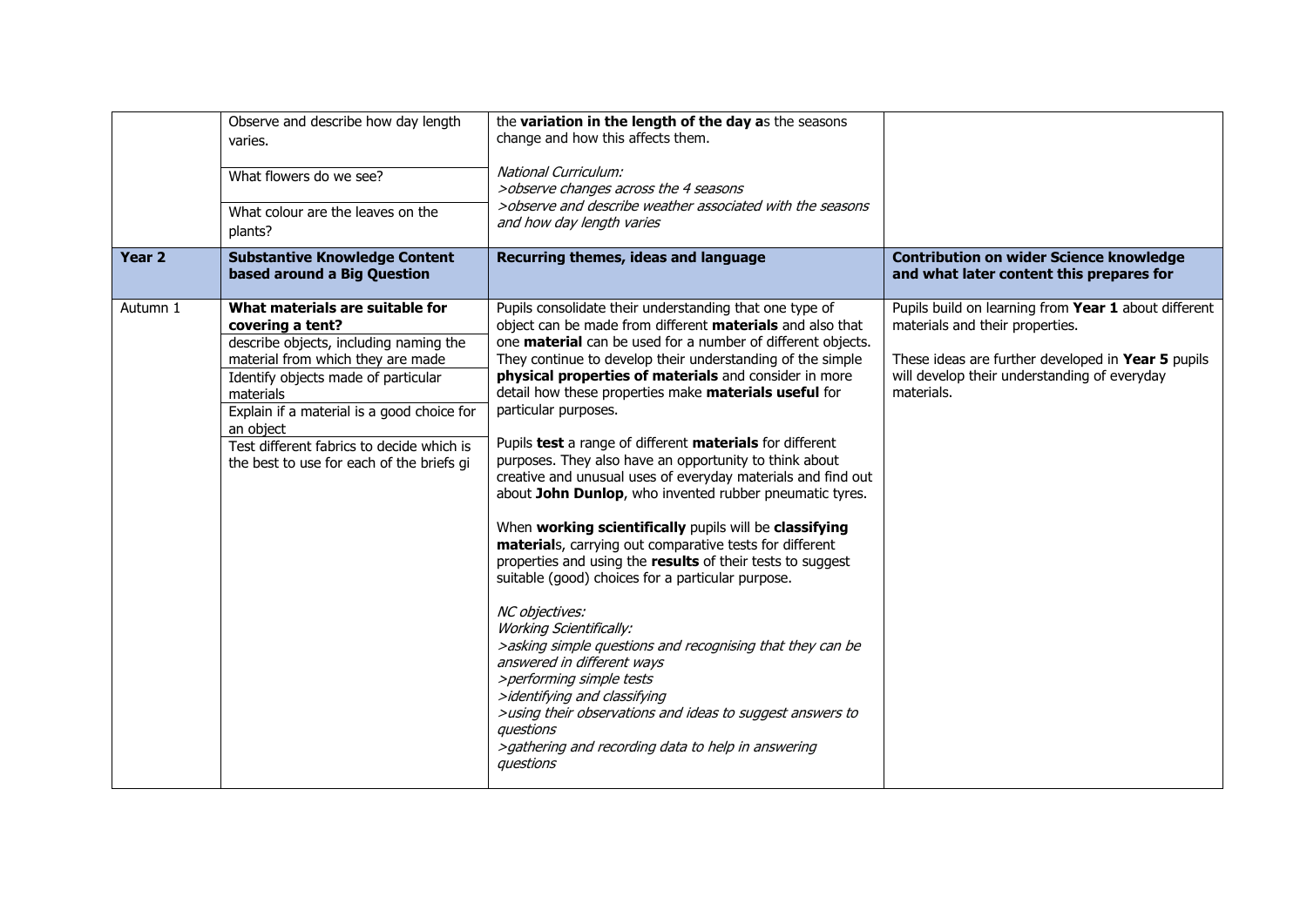|                   | Observe and describe how day length<br>varies.<br>What flowers do we see?<br>What colour are the leaves on the<br>plants?                                                                                                                                                                                                                   | the variation in the length of the day as the seasons<br>change and how this affects them.<br><b>National Curriculum:</b><br>>observe changes across the 4 seasons<br>>observe and describe weather associated with the seasons<br>and how day length varies                                                                                                                                                                                                                                                                                                                                                                                                                                                                                                                                                                                                                                                                                                                                                                                                                                                                                                                                                                                 |                                                                                                                                                                                                             |
|-------------------|---------------------------------------------------------------------------------------------------------------------------------------------------------------------------------------------------------------------------------------------------------------------------------------------------------------------------------------------|----------------------------------------------------------------------------------------------------------------------------------------------------------------------------------------------------------------------------------------------------------------------------------------------------------------------------------------------------------------------------------------------------------------------------------------------------------------------------------------------------------------------------------------------------------------------------------------------------------------------------------------------------------------------------------------------------------------------------------------------------------------------------------------------------------------------------------------------------------------------------------------------------------------------------------------------------------------------------------------------------------------------------------------------------------------------------------------------------------------------------------------------------------------------------------------------------------------------------------------------|-------------------------------------------------------------------------------------------------------------------------------------------------------------------------------------------------------------|
| Year <sub>2</sub> | <b>Substantive Knowledge Content</b><br>based around a Big Question                                                                                                                                                                                                                                                                         | Recurring themes, ideas and language                                                                                                                                                                                                                                                                                                                                                                                                                                                                                                                                                                                                                                                                                                                                                                                                                                                                                                                                                                                                                                                                                                                                                                                                         | <b>Contribution on wider Science knowledge</b><br>and what later content this prepares for                                                                                                                  |
| Autumn 1          | What materials are suitable for<br>covering a tent?<br>describe objects, including naming the<br>material from which they are made<br>Identify objects made of particular<br>materials<br>Explain if a material is a good choice for<br>an object<br>Test different fabrics to decide which is<br>the best to use for each of the briefs gi | Pupils consolidate their understanding that one type of<br>object can be made from different materials and also that<br>one material can be used for a number of different objects.<br>They continue to develop their understanding of the simple<br>physical properties of materials and consider in more<br>detail how these properties make materials useful for<br>particular purposes.<br>Pupils test a range of different materials for different<br>purposes. They also have an opportunity to think about<br>creative and unusual uses of everyday materials and find out<br>about John Dunlop, who invented rubber pneumatic tyres.<br>When working scientifically pupils will be classifying<br>materials, carrying out comparative tests for different<br>properties and using the results of their tests to suggest<br>suitable (good) choices for a particular purpose.<br>NC objectives:<br><b>Working Scientifically:</b><br>>asking simple questions and recognising that they can be<br>answered in different ways<br>>performing simple tests<br>>identifying and classifying<br>>using their observations and ideas to suggest answers to<br>questions<br>>gathering and recording data to help in answering<br>questions | Pupils build on learning from Year 1 about different<br>materials and their properties.<br>These ideas are further developed in Year 5 pupils<br>will develop their understanding of everyday<br>materials. |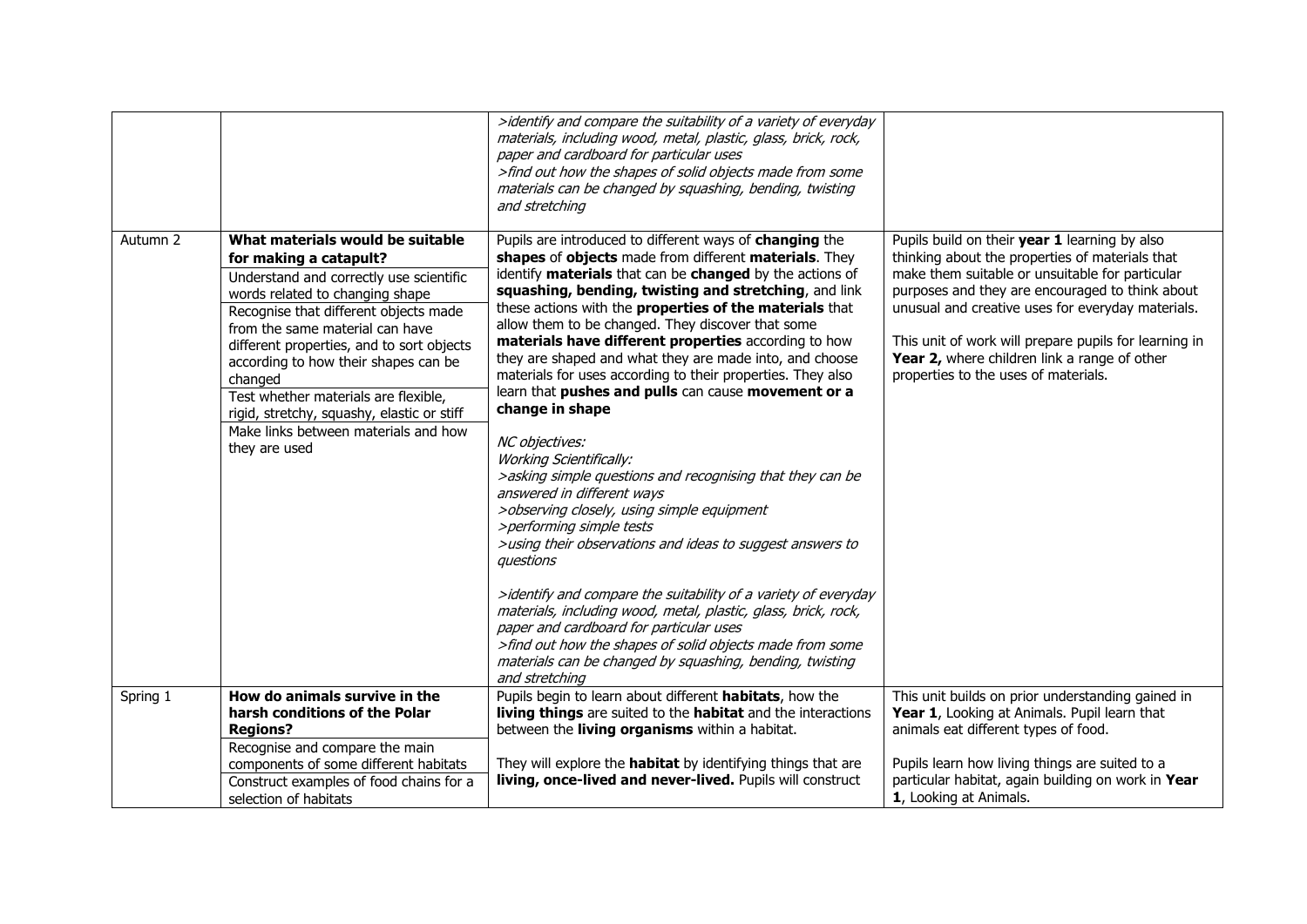|          |                                                                                                                                                                                                                                                                                                                                                                                                                                                                     | >identify and compare the suitability of a variety of everyday<br>materials, including wood, metal, plastic, glass, brick, rock,<br>paper and cardboard for particular uses<br>>find out how the shapes of solid objects made from some<br>materials can be changed by squashing, bending, twisting<br>and stretching                                                                                                                                                                                                                                                                                                                                                                                                                                                                                                                                                                                                                                                                                                                                                                                                                                                                                                       |                                                                                                                                                                                                                                                                                                                                                                                                              |
|----------|---------------------------------------------------------------------------------------------------------------------------------------------------------------------------------------------------------------------------------------------------------------------------------------------------------------------------------------------------------------------------------------------------------------------------------------------------------------------|-----------------------------------------------------------------------------------------------------------------------------------------------------------------------------------------------------------------------------------------------------------------------------------------------------------------------------------------------------------------------------------------------------------------------------------------------------------------------------------------------------------------------------------------------------------------------------------------------------------------------------------------------------------------------------------------------------------------------------------------------------------------------------------------------------------------------------------------------------------------------------------------------------------------------------------------------------------------------------------------------------------------------------------------------------------------------------------------------------------------------------------------------------------------------------------------------------------------------------|--------------------------------------------------------------------------------------------------------------------------------------------------------------------------------------------------------------------------------------------------------------------------------------------------------------------------------------------------------------------------------------------------------------|
| Autumn 2 | What materials would be suitable<br>for making a catapult?<br>Understand and correctly use scientific<br>words related to changing shape<br>Recognise that different objects made<br>from the same material can have<br>different properties, and to sort objects<br>according to how their shapes can be<br>changed<br>Test whether materials are flexible,<br>rigid, stretchy, squashy, elastic or stiff<br>Make links between materials and how<br>they are used | Pupils are introduced to different ways of changing the<br>shapes of objects made from different materials. They<br>identify materials that can be changed by the actions of<br>squashing, bending, twisting and stretching, and link<br>these actions with the properties of the materials that<br>allow them to be changed. They discover that some<br>materials have different properties according to how<br>they are shaped and what they are made into, and choose<br>materials for uses according to their properties. They also<br>learn that pushes and pulls can cause movement or a<br>change in shape<br>NC objectives:<br><b>Working Scientifically:</b><br>>asking simple questions and recognising that they can be<br>answered in different ways<br>>observing closely, using simple equipment<br>>performing simple tests<br>>using their observations and ideas to suggest answers to<br>questions<br>>identify and compare the suitability of a variety of everyday<br>materials, including wood, metal, plastic, glass, brick, rock,<br>paper and cardboard for particular uses<br>>find out how the shapes of solid objects made from some<br>materials can be changed by squashing, bending, twisting | Pupils build on their year 1 learning by also<br>thinking about the properties of materials that<br>make them suitable or unsuitable for particular<br>purposes and they are encouraged to think about<br>unusual and creative uses for everyday materials.<br>This unit of work will prepare pupils for learning in<br>Year 2, where children link a range of other<br>properties to the uses of materials. |
| Spring 1 | How do animals survive in the<br>harsh conditions of the Polar                                                                                                                                                                                                                                                                                                                                                                                                      | and stretching<br>Pupils begin to learn about different habitats, how the<br>living things are suited to the habitat and the interactions                                                                                                                                                                                                                                                                                                                                                                                                                                                                                                                                                                                                                                                                                                                                                                                                                                                                                                                                                                                                                                                                                   | This unit builds on prior understanding gained in<br>Year 1, Looking at Animals. Pupil learn that                                                                                                                                                                                                                                                                                                            |
|          | <b>Regions?</b><br>Recognise and compare the main<br>components of some different habitats<br>Construct examples of food chains for a<br>selection of habitats                                                                                                                                                                                                                                                                                                      | between the living organisms within a habitat.<br>They will explore the <b>habitat</b> by identifying things that are<br>living, once-lived and never-lived. Pupils will construct                                                                                                                                                                                                                                                                                                                                                                                                                                                                                                                                                                                                                                                                                                                                                                                                                                                                                                                                                                                                                                          | animals eat different types of food.<br>Pupils learn how living things are suited to a<br>particular habitat, again building on work in Year<br>1, Looking at Animals.                                                                                                                                                                                                                                       |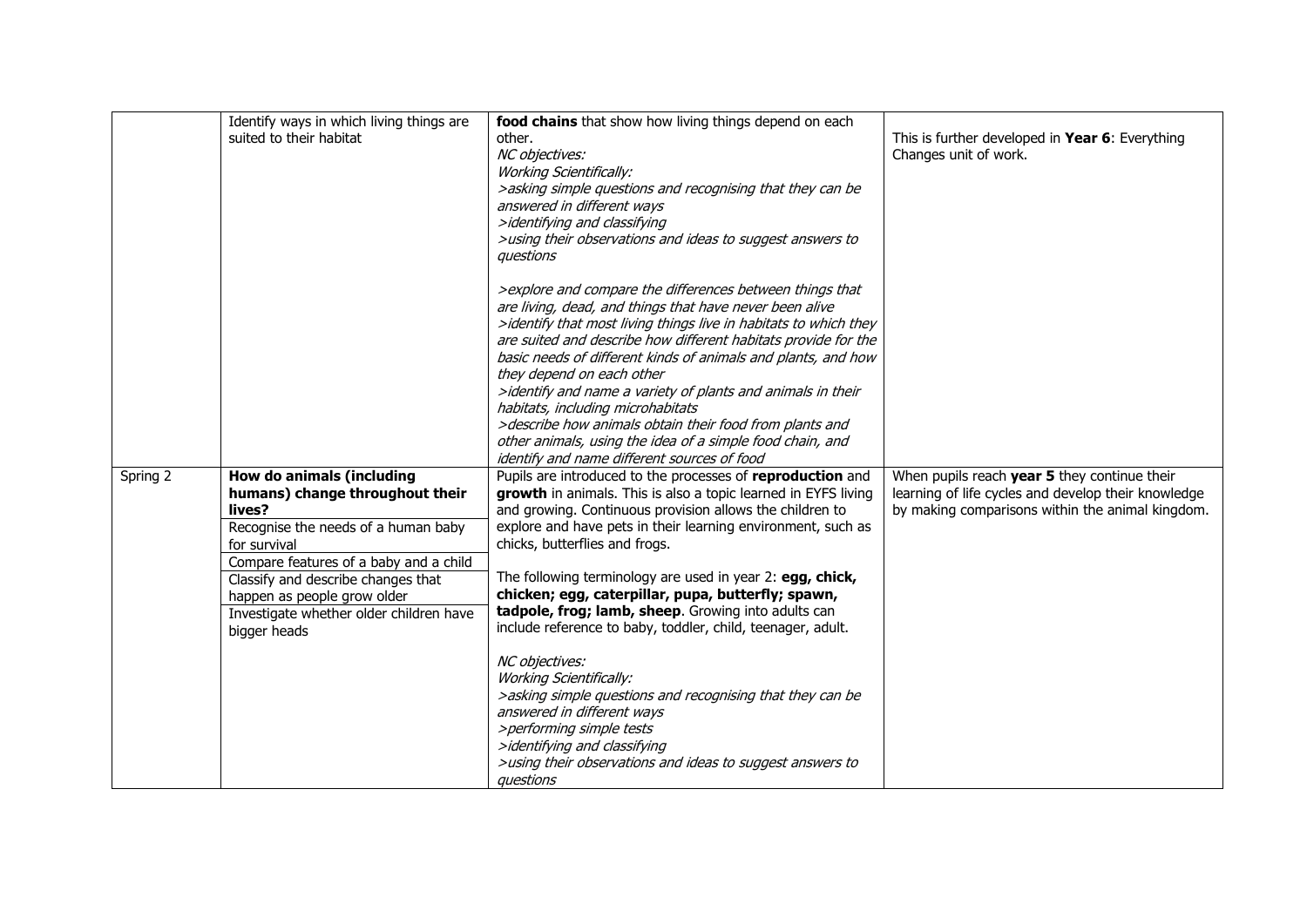|          | Identify ways in which living things are<br>suited to their habitat                                                                                                                                                                                                                                     | food chains that show how living things depend on each<br>other.<br>NC objectives:<br><b>Working Scientifically:</b><br>>asking simple questions and recognising that they can be<br>answered in different ways<br>>identifying and classifying<br>>using their observations and ideas to suggest answers to<br>questions                                                                                                                                                                                                                                                                                                                                                                                      | This is further developed in Year 6: Everything<br>Changes unit of work.                                                                                |
|----------|---------------------------------------------------------------------------------------------------------------------------------------------------------------------------------------------------------------------------------------------------------------------------------------------------------|----------------------------------------------------------------------------------------------------------------------------------------------------------------------------------------------------------------------------------------------------------------------------------------------------------------------------------------------------------------------------------------------------------------------------------------------------------------------------------------------------------------------------------------------------------------------------------------------------------------------------------------------------------------------------------------------------------------|---------------------------------------------------------------------------------------------------------------------------------------------------------|
|          |                                                                                                                                                                                                                                                                                                         | >explore and compare the differences between things that<br>are living, dead, and things that have never been alive<br>>identify that most living things live in habitats to which they<br>are suited and describe how different habitats provide for the<br>basic needs of different kinds of animals and plants, and how<br>they depend on each other<br>>identify and name a variety of plants and animals in their<br>habitats, including microhabitats<br>>describe how animals obtain their food from plants and<br>other animals, using the idea of a simple food chain, and<br>identify and name different sources of food                                                                             |                                                                                                                                                         |
| Spring 2 | How do animals (including<br>humans) change throughout their<br>lives?<br>Recognise the needs of a human baby<br>for survival<br>Compare features of a baby and a child<br>Classify and describe changes that<br>happen as people grow older<br>Investigate whether older children have<br>bigger heads | Pupils are introduced to the processes of reproduction and<br>growth in animals. This is also a topic learned in EYFS living<br>and growing. Continuous provision allows the children to<br>explore and have pets in their learning environment, such as<br>chicks, butterflies and frogs.<br>The following terminology are used in year 2: egg, chick,<br>chicken; egg, caterpillar, pupa, butterfly; spawn,<br>tadpole, frog; lamb, sheep. Growing into adults can<br>include reference to baby, toddler, child, teenager, adult.<br>NC objectives:<br><b>Working Scientifically:</b><br>>asking simple questions and recognising that they can be<br>answered in different ways<br>>performing simple tests | When pupils reach year 5 they continue their<br>learning of life cycles and develop their knowledge<br>by making comparisons within the animal kingdom. |
|          |                                                                                                                                                                                                                                                                                                         | >identifying and classifying<br>>using their observations and ideas to suggest answers to<br>questions                                                                                                                                                                                                                                                                                                                                                                                                                                                                                                                                                                                                         |                                                                                                                                                         |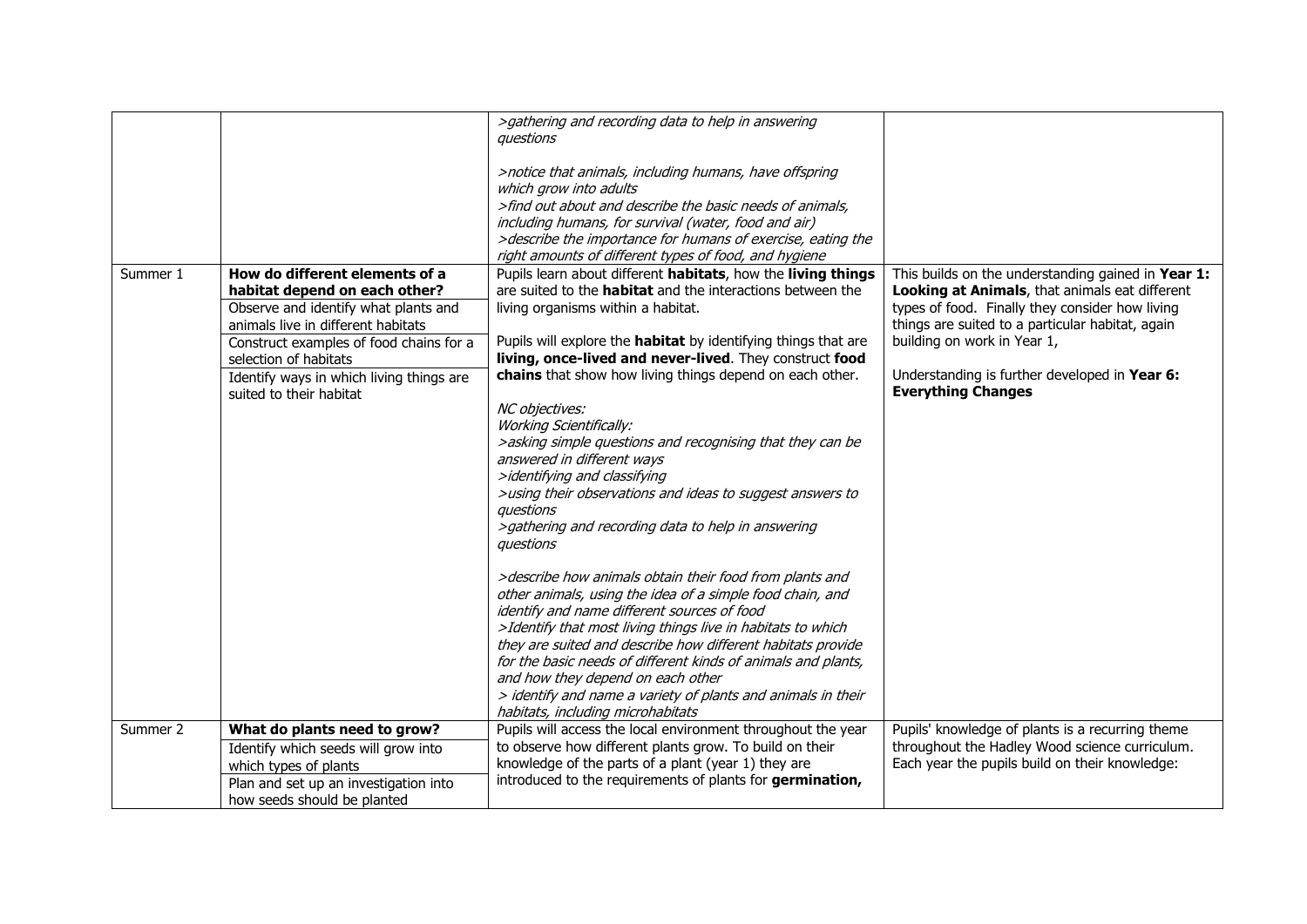|          |                                                                                                                                                                                                                                                                                          | >gathering and recording data to help in answering<br>questions<br>>notice that animals, including humans, have offspring<br>which grow into adults<br>>find out about and describe the basic needs of animals,<br>including humans, for survival (water, food and air)<br>>describe the importance for humans of exercise, eating the<br>right amounts of different types of food, and hygiene                                                                                                                                                                                                                                                                                                                                                                                                                                                                                                                                                                                                                                                                                                                                                                                |                                                                                                                                                                                                                                                                                                                          |
|----------|------------------------------------------------------------------------------------------------------------------------------------------------------------------------------------------------------------------------------------------------------------------------------------------|--------------------------------------------------------------------------------------------------------------------------------------------------------------------------------------------------------------------------------------------------------------------------------------------------------------------------------------------------------------------------------------------------------------------------------------------------------------------------------------------------------------------------------------------------------------------------------------------------------------------------------------------------------------------------------------------------------------------------------------------------------------------------------------------------------------------------------------------------------------------------------------------------------------------------------------------------------------------------------------------------------------------------------------------------------------------------------------------------------------------------------------------------------------------------------|--------------------------------------------------------------------------------------------------------------------------------------------------------------------------------------------------------------------------------------------------------------------------------------------------------------------------|
| Summer 1 | How do different elements of a<br>habitat depend on each other?<br>Observe and identify what plants and<br>animals live in different habitats<br>Construct examples of food chains for a<br>selection of habitats<br>Identify ways in which living things are<br>suited to their habitat | Pupils learn about different habitats, how the living things<br>are suited to the <b>habitat</b> and the interactions between the<br>living organisms within a habitat.<br>Pupils will explore the <b>habitat</b> by identifying things that are<br>living, once-lived and never-lived. They construct food<br>chains that show how living things depend on each other.<br>NC objectives:<br><b>Working Scientifically:</b><br>>asking simple questions and recognising that they can be<br>answered in different ways<br>>identifying and classifying<br>>using their observations and ideas to suggest answers to<br>questions<br>>gathering and recording data to help in answering<br>questions<br>>describe how animals obtain their food from plants and<br>other animals, using the idea of a simple food chain, and<br>identify and name different sources of food<br>>Identify that most living things live in habitats to which<br>they are suited and describe how different habitats provide<br>for the basic needs of different kinds of animals and plants,<br>and how they depend on each other<br>> identify and name a variety of plants and animals in their | This builds on the understanding gained in Year 1:<br>Looking at Animals, that animals eat different<br>types of food. Finally they consider how living<br>things are suited to a particular habitat, again<br>building on work in Year 1,<br>Understanding is further developed in Year 6:<br><b>Everything Changes</b> |
| Summer 2 | What do plants need to grow?                                                                                                                                                                                                                                                             | habitats, including microhabitats<br>Pupils will access the local environment throughout the year                                                                                                                                                                                                                                                                                                                                                                                                                                                                                                                                                                                                                                                                                                                                                                                                                                                                                                                                                                                                                                                                              | Pupils' knowledge of plants is a recurring theme                                                                                                                                                                                                                                                                         |
|          | Identify which seeds will grow into<br>which types of plants<br>Plan and set up an investigation into<br>how seeds should be planted                                                                                                                                                     | to observe how different plants grow. To build on their<br>knowledge of the parts of a plant (year 1) they are<br>introduced to the requirements of plants for germination,                                                                                                                                                                                                                                                                                                                                                                                                                                                                                                                                                                                                                                                                                                                                                                                                                                                                                                                                                                                                    | throughout the Hadley Wood science curriculum.<br>Each year the pupils build on their knowledge:                                                                                                                                                                                                                         |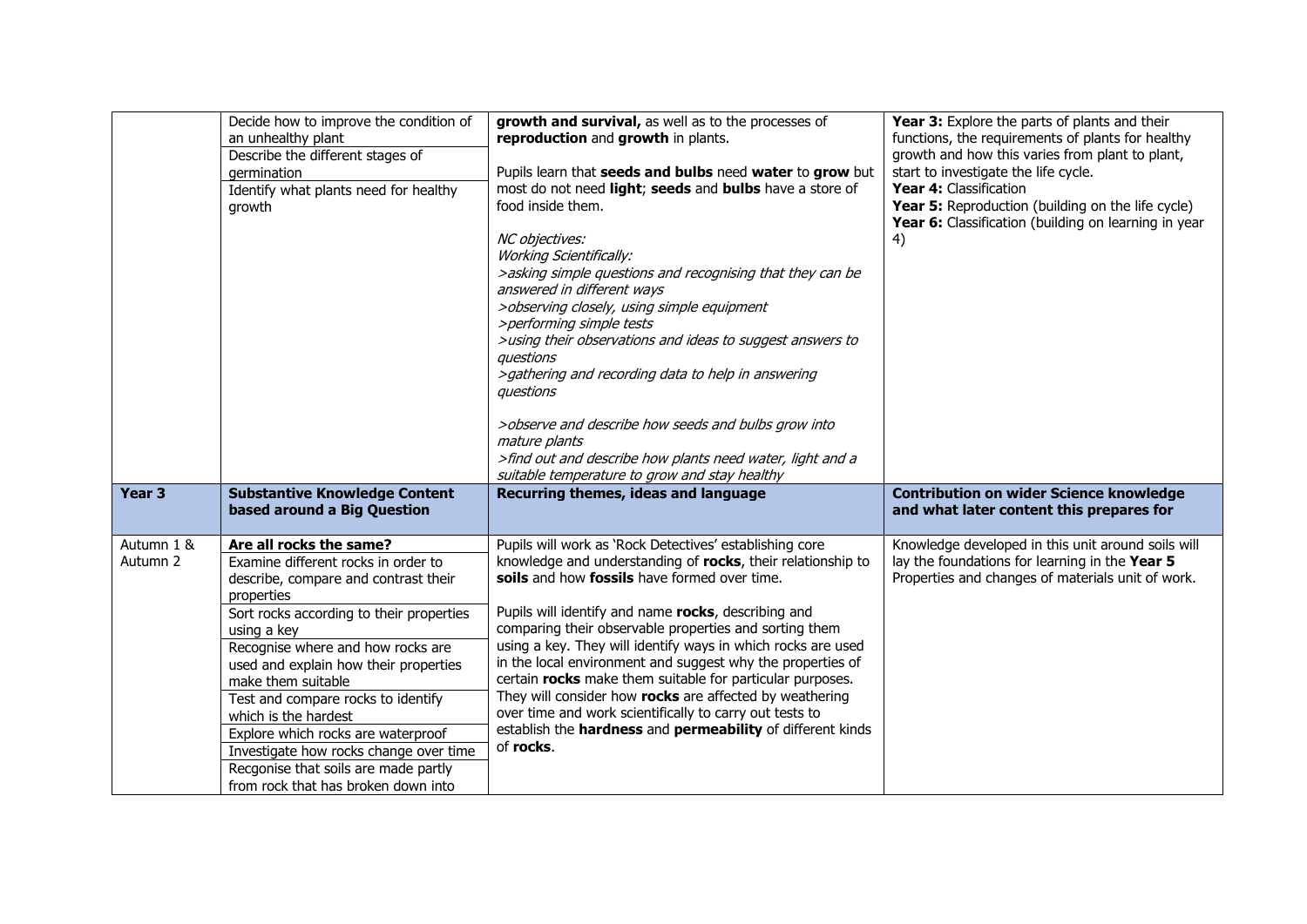|                        | Decide how to improve the condition of<br>an unhealthy plant<br>Describe the different stages of<br>germination<br>Identify what plants need for healthy<br>growth                                                                                                                                                                                                                                                                                                                                               | growth and survival, as well as to the processes of<br>reproduction and growth in plants.<br>Pupils learn that seeds and bulbs need water to grow but<br>most do not need light; seeds and bulbs have a store of<br>food inside them.<br>NC objectives:<br><b>Working Scientifically:</b><br>>asking simple questions and recognising that they can be<br>answered in different ways<br>>observing closely, using simple equipment<br>>performing simple tests<br>>using their observations and ideas to suggest answers to<br>auestions<br>>gathering and recording data to help in answering<br>auestions<br>>observe and describe how seeds and bulbs grow into<br>mature plants<br>>find out and describe how plants need water, light and a<br>suitable temperature to grow and stay healthy | Year 3: Explore the parts of plants and their<br>functions, the requirements of plants for healthy<br>growth and how this varies from plant to plant,<br>start to investigate the life cycle.<br>Year 4: Classification<br>Year 5: Reproduction (building on the life cycle)<br>Year 6: Classification (building on learning in year<br>4) |
|------------------------|------------------------------------------------------------------------------------------------------------------------------------------------------------------------------------------------------------------------------------------------------------------------------------------------------------------------------------------------------------------------------------------------------------------------------------------------------------------------------------------------------------------|---------------------------------------------------------------------------------------------------------------------------------------------------------------------------------------------------------------------------------------------------------------------------------------------------------------------------------------------------------------------------------------------------------------------------------------------------------------------------------------------------------------------------------------------------------------------------------------------------------------------------------------------------------------------------------------------------------------------------------------------------------------------------------------------------|--------------------------------------------------------------------------------------------------------------------------------------------------------------------------------------------------------------------------------------------------------------------------------------------------------------------------------------------|
| Year <sub>3</sub>      | <b>Substantive Knowledge Content</b><br>based around a Big Question                                                                                                                                                                                                                                                                                                                                                                                                                                              | Recurring themes, ideas and language                                                                                                                                                                                                                                                                                                                                                                                                                                                                                                                                                                                                                                                                                                                                                              | <b>Contribution on wider Science knowledge</b><br>and what later content this prepares for                                                                                                                                                                                                                                                 |
| Autumn 1 &<br>Autumn 2 | Are all rocks the same?<br>Examine different rocks in order to<br>describe, compare and contrast their<br>properties<br>Sort rocks according to their properties<br>using a key<br>Recognise where and how rocks are<br>used and explain how their properties<br>make them suitable<br>Test and compare rocks to identify<br>which is the hardest<br>Explore which rocks are waterproof<br>Investigate how rocks change over time<br>Recgonise that soils are made partly<br>from rock that has broken down into | Pupils will work as 'Rock Detectives' establishing core<br>knowledge and understanding of rocks, their relationship to<br>soils and how fossils have formed over time.<br>Pupils will identify and name rocks, describing and<br>comparing their observable properties and sorting them<br>using a key. They will identify ways in which rocks are used<br>in the local environment and suggest why the properties of<br>certain rocks make them suitable for particular purposes.<br>They will consider how rocks are affected by weathering<br>over time and work scientifically to carry out tests to<br>establish the hardness and permeability of different kinds<br>of rocks.                                                                                                               | Knowledge developed in this unit around soils will<br>lay the foundations for learning in the Year 5<br>Properties and changes of materials unit of work.                                                                                                                                                                                  |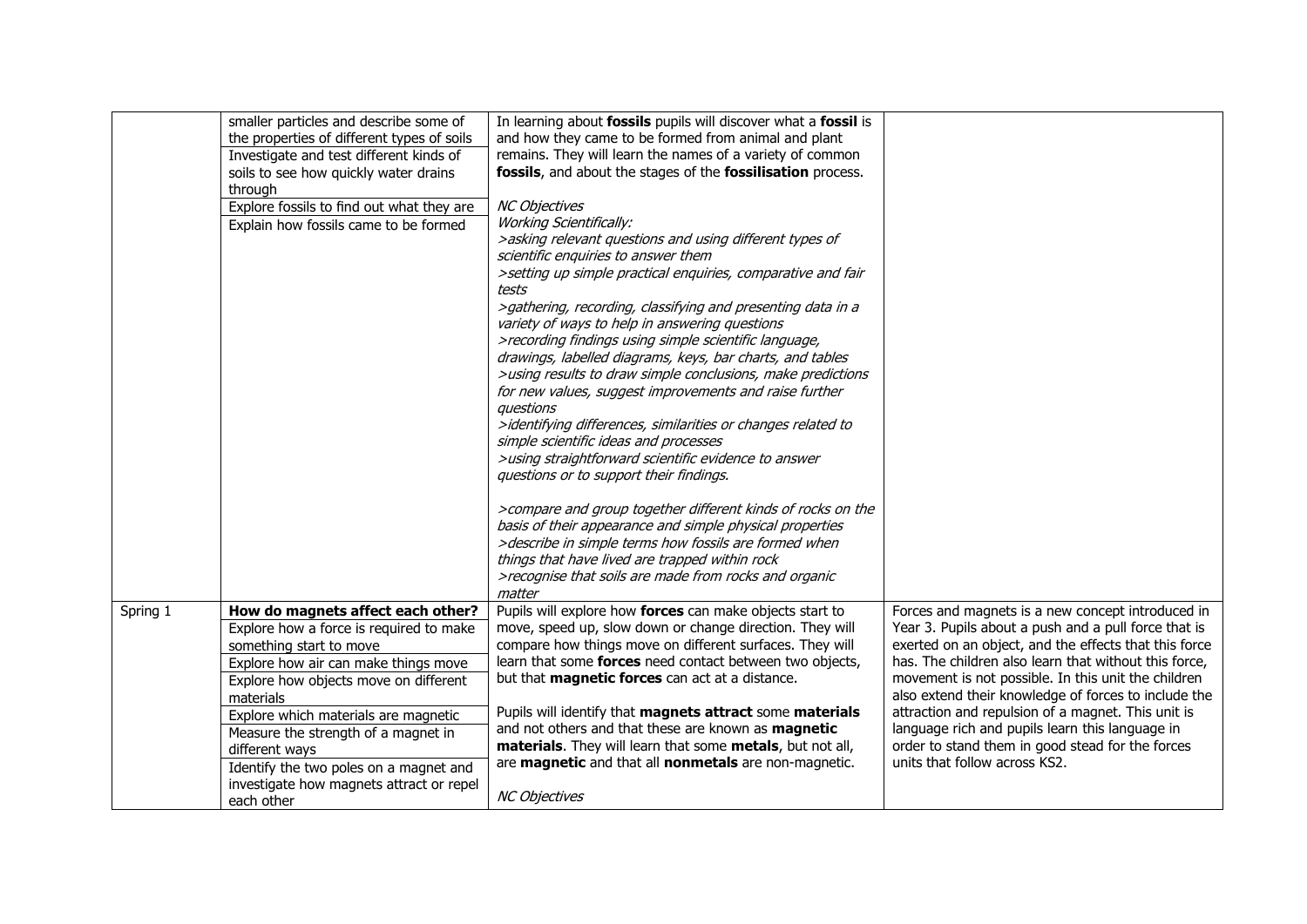|          | smaller particles and describe some of     | In learning about fossils pupils will discover what a fossil is                                                    |                                                       |
|----------|--------------------------------------------|--------------------------------------------------------------------------------------------------------------------|-------------------------------------------------------|
|          | the properties of different types of soils | and how they came to be formed from animal and plant                                                               |                                                       |
|          | Investigate and test different kinds of    | remains. They will learn the names of a variety of common                                                          |                                                       |
|          | soils to see how quickly water drains      | fossils, and about the stages of the fossilisation process.                                                        |                                                       |
|          | through                                    | <b>NC Objectives</b>                                                                                               |                                                       |
|          | Explore fossils to find out what they are  |                                                                                                                    |                                                       |
|          | Explain how fossils came to be formed      | <b>Working Scientifically:</b>                                                                                     |                                                       |
|          |                                            | >asking relevant questions and using different types of                                                            |                                                       |
|          |                                            | scientific enquiries to answer them                                                                                |                                                       |
|          |                                            | >setting up simple practical enquiries, comparative and fair<br>tests                                              |                                                       |
|          |                                            |                                                                                                                    |                                                       |
|          |                                            | >gathering, recording, classifying and presenting data in a                                                        |                                                       |
|          |                                            | variety of ways to help in answering questions                                                                     |                                                       |
|          |                                            | >recording findings using simple scientific language,<br>drawings, labelled diagrams, keys, bar charts, and tables |                                                       |
|          |                                            | >using results to draw simple conclusions, make predictions                                                        |                                                       |
|          |                                            | for new values, suggest improvements and raise further                                                             |                                                       |
|          |                                            | auestions                                                                                                          |                                                       |
|          |                                            | >identifying differences, similarities or changes related to                                                       |                                                       |
|          |                                            | simple scientific ideas and processes                                                                              |                                                       |
|          |                                            | >using straightforward scientific evidence to answer                                                               |                                                       |
|          |                                            | questions or to support their findings.                                                                            |                                                       |
|          |                                            |                                                                                                                    |                                                       |
|          |                                            | >compare and group together different kinds of rocks on the                                                        |                                                       |
|          |                                            | basis of their appearance and simple physical properties                                                           |                                                       |
|          |                                            | >describe in simple terms how fossils are formed when                                                              |                                                       |
|          |                                            | things that have lived are trapped within rock                                                                     |                                                       |
|          |                                            | >recognise that soils are made from rocks and organic                                                              |                                                       |
|          |                                            | matter                                                                                                             |                                                       |
| Spring 1 | How do magnets affect each other?          | Pupils will explore how forces can make objects start to                                                           | Forces and magnets is a new concept introduced in     |
|          | Explore how a force is required to make    | move, speed up, slow down or change direction. They will                                                           | Year 3. Pupils about a push and a pull force that is  |
|          | something start to move                    | compare how things move on different surfaces. They will                                                           | exerted on an object, and the effects that this force |
|          | Explore how air can make things move       | learn that some forces need contact between two objects,                                                           | has. The children also learn that without this force, |
|          | Explore how objects move on different      | but that magnetic forces can act at a distance.                                                                    | movement is not possible. In this unit the children   |
|          | materials                                  |                                                                                                                    | also extend their knowledge of forces to include the  |
|          | Explore which materials are magnetic       | Pupils will identify that magnets attract some materials                                                           | attraction and repulsion of a magnet. This unit is    |
|          | Measure the strength of a magnet in        | and not others and that these are known as magnetic                                                                | language rich and pupils learn this language in       |
|          | different ways                             | materials. They will learn that some metals, but not all,                                                          | order to stand them in good stead for the forces      |
|          | Identify the two poles on a magnet and     | are magnetic and that all nonmetals are non-magnetic.                                                              | units that follow across KS2.                         |
|          | investigate how magnets attract or repel   |                                                                                                                    |                                                       |
|          | each other                                 | <b>NC Objectives</b>                                                                                               |                                                       |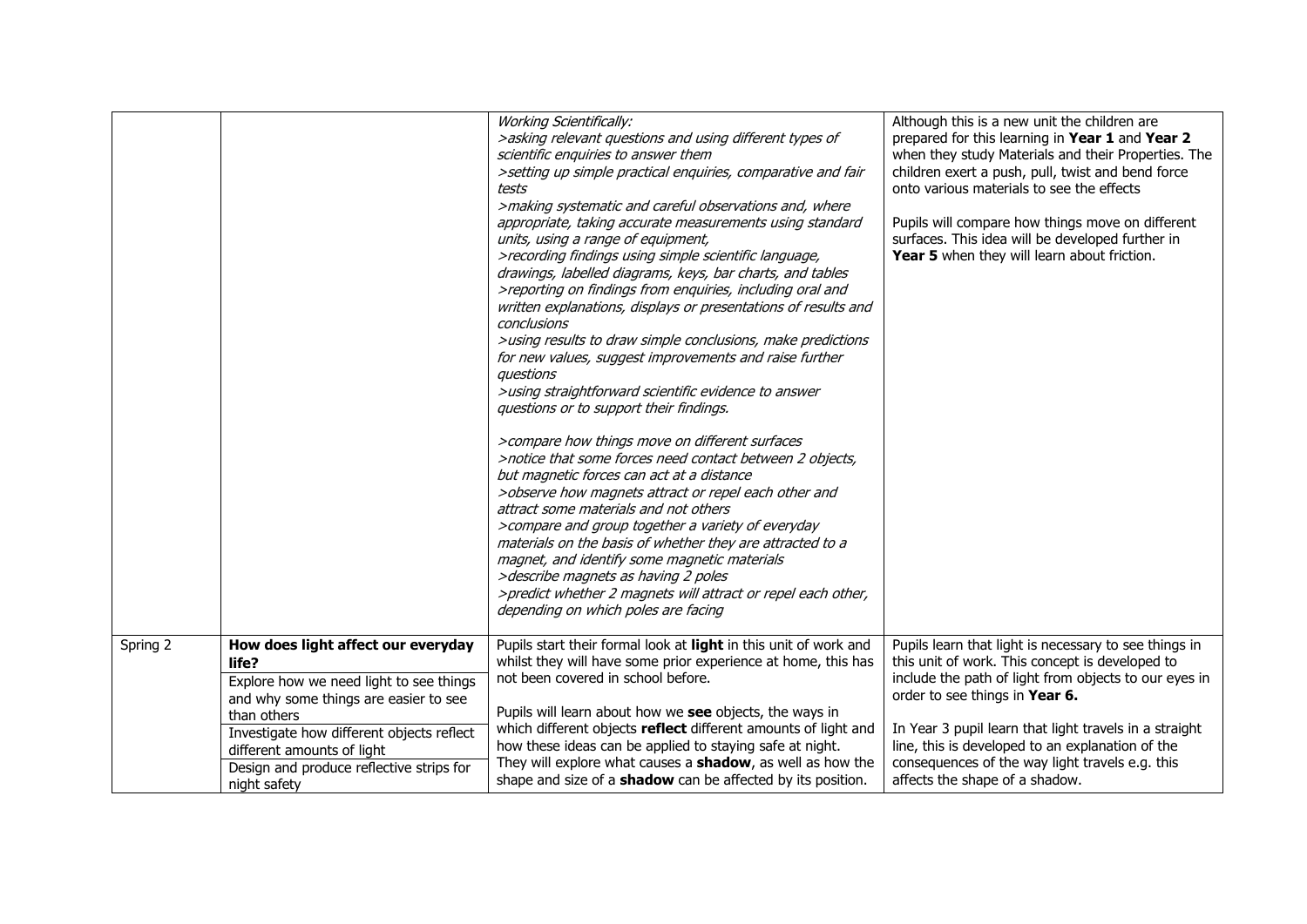|          |                                                                                                                                                                                                                                                                                       | <b>Working Scientifically:</b><br>>asking relevant questions and using different types of<br>scientific enquiries to answer them<br>>setting up simple practical enquiries, comparative and fair<br>tests<br>>making systematic and careful observations and, where<br>appropriate, taking accurate measurements using standard<br>units, using a range of equipment,<br>>recording findings using simple scientific language,<br>drawings, labelled diagrams, keys, bar charts, and tables<br>>reporting on findings from enquiries, including oral and<br>written explanations, displays or presentations of results and<br>conclusions<br>>using results to draw simple conclusions, make predictions<br>for new values, suggest improvements and raise further<br>auestions<br>>using straightforward scientific evidence to answer<br>questions or to support their findings.<br>>compare how things move on different surfaces<br>>notice that some forces need contact between 2 objects,<br>but magnetic forces can act at a distance<br>>observe how magnets attract or repel each other and<br>attract some materials and not others<br>>compare and group together a variety of everyday<br>materials on the basis of whether they are attracted to a<br>magnet, and identify some magnetic materials<br>>describe magnets as having 2 poles<br>>predict whether 2 magnets will attract or repel each other,<br>depending on which poles are facing | Although this is a new unit the children are<br>prepared for this learning in Year 1 and Year 2<br>when they study Materials and their Properties. The<br>children exert a push, pull, twist and bend force<br>onto various materials to see the effects<br>Pupils will compare how things move on different<br>surfaces. This idea will be developed further in<br>Year 5 when they will learn about friction. |
|----------|---------------------------------------------------------------------------------------------------------------------------------------------------------------------------------------------------------------------------------------------------------------------------------------|----------------------------------------------------------------------------------------------------------------------------------------------------------------------------------------------------------------------------------------------------------------------------------------------------------------------------------------------------------------------------------------------------------------------------------------------------------------------------------------------------------------------------------------------------------------------------------------------------------------------------------------------------------------------------------------------------------------------------------------------------------------------------------------------------------------------------------------------------------------------------------------------------------------------------------------------------------------------------------------------------------------------------------------------------------------------------------------------------------------------------------------------------------------------------------------------------------------------------------------------------------------------------------------------------------------------------------------------------------------------------------------------------------------------------------------------------------------|-----------------------------------------------------------------------------------------------------------------------------------------------------------------------------------------------------------------------------------------------------------------------------------------------------------------------------------------------------------------------------------------------------------------|
| Spring 2 | How does light affect our everyday<br>life?<br>Explore how we need light to see things<br>and why some things are easier to see<br>than others<br>Investigate how different objects reflect<br>different amounts of light<br>Design and produce reflective strips for<br>night safety | Pupils start their formal look at light in this unit of work and<br>whilst they will have some prior experience at home, this has<br>not been covered in school before.<br>Pupils will learn about how we see objects, the ways in<br>which different objects reflect different amounts of light and<br>how these ideas can be applied to staying safe at night.<br>They will explore what causes a <b>shadow</b> , as well as how the<br>shape and size of a <b>shadow</b> can be affected by its position.                                                                                                                                                                                                                                                                                                                                                                                                                                                                                                                                                                                                                                                                                                                                                                                                                                                                                                                                                   | Pupils learn that light is necessary to see things in<br>this unit of work. This concept is developed to<br>include the path of light from objects to our eyes in<br>order to see things in Year 6.<br>In Year 3 pupil learn that light travels in a straight<br>line, this is developed to an explanation of the<br>consequences of the way light travels e.g. this<br>affects the shape of a shadow.          |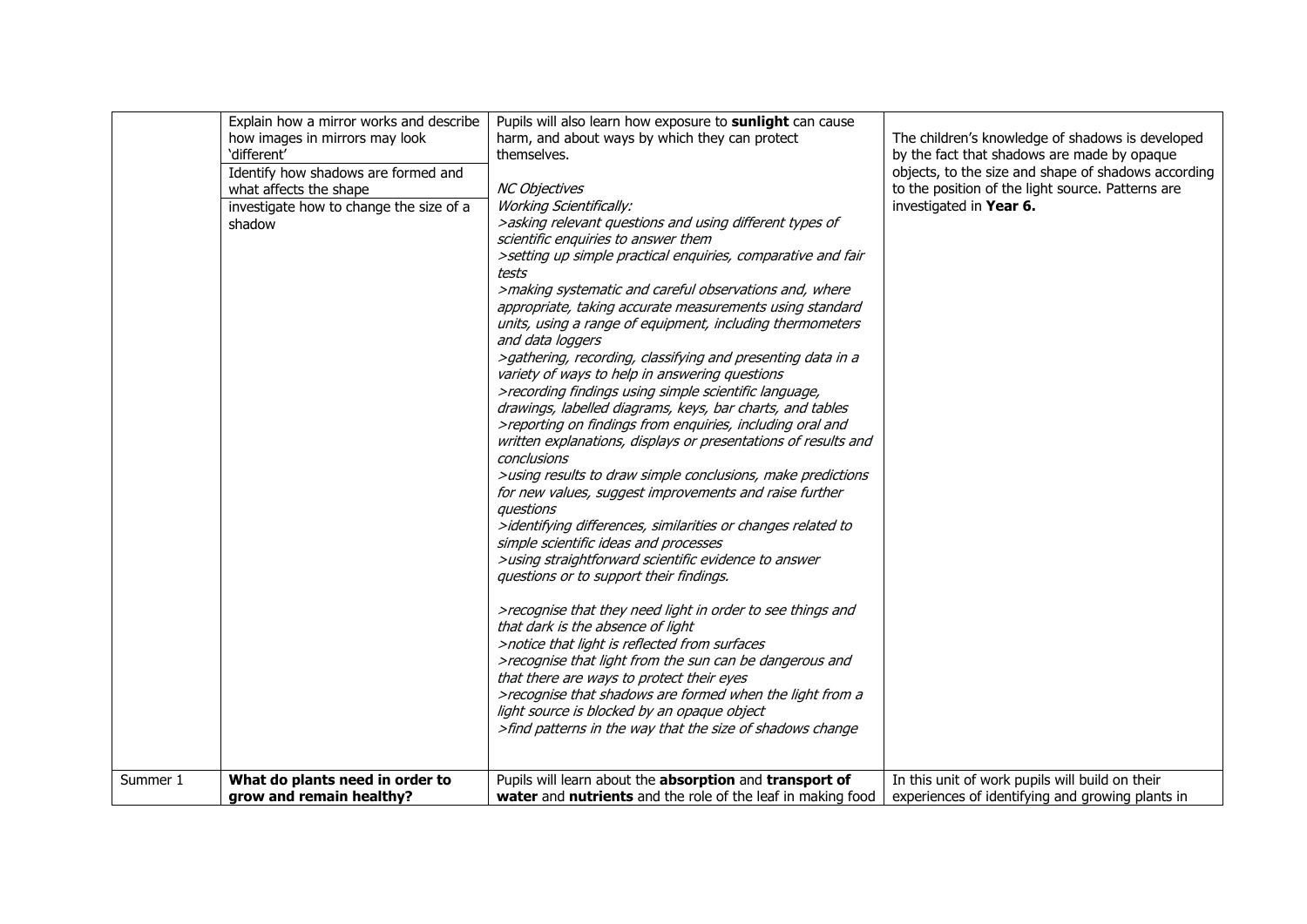|          | Explain how a mirror works and describe | Pupils will also learn how exposure to sunlight can cause      |                                                     |
|----------|-----------------------------------------|----------------------------------------------------------------|-----------------------------------------------------|
|          | how images in mirrors may look          | harm, and about ways by which they can protect                 | The children's knowledge of shadows is developed    |
|          | 'different'                             | themselves.                                                    | by the fact that shadows are made by opaque         |
|          | Identify how shadows are formed and     |                                                                | objects, to the size and shape of shadows according |
|          | what affects the shape                  | <b>NC Objectives</b>                                           | to the position of the light source. Patterns are   |
|          | investigate how to change the size of a | <b>Working Scientifically:</b>                                 | investigated in Year 6.                             |
|          | shadow                                  | >asking relevant questions and using different types of        |                                                     |
|          |                                         | scientific enquiries to answer them                            |                                                     |
|          |                                         | >setting up simple practical enquiries, comparative and fair   |                                                     |
|          |                                         | tests                                                          |                                                     |
|          |                                         | >making systematic and careful observations and, where         |                                                     |
|          |                                         | appropriate, taking accurate measurements using standard       |                                                     |
|          |                                         | units, using a range of equipment, including thermometers      |                                                     |
|          |                                         | and data loggers                                               |                                                     |
|          |                                         | >gathering, recording, classifying and presenting data in a    |                                                     |
|          |                                         | variety of ways to help in answering questions                 |                                                     |
|          |                                         | >recording findings using simple scientific language,          |                                                     |
|          |                                         | drawings, labelled diagrams, keys, bar charts, and tables      |                                                     |
|          |                                         | >reporting on findings from enquiries, including oral and      |                                                     |
|          |                                         | written explanations, displays or presentations of results and |                                                     |
|          |                                         | conclusions                                                    |                                                     |
|          |                                         | >using results to draw simple conclusions, make predictions    |                                                     |
|          |                                         | for new values, suggest improvements and raise further         |                                                     |
|          |                                         | questions                                                      |                                                     |
|          |                                         | >identifying differences, similarities or changes related to   |                                                     |
|          |                                         | simple scientific ideas and processes                          |                                                     |
|          |                                         | >using straightforward scientific evidence to answer           |                                                     |
|          |                                         | questions or to support their findings.                        |                                                     |
|          |                                         |                                                                |                                                     |
|          |                                         | >recognise that they need light in order to see things and     |                                                     |
|          |                                         | that dark is the absence of light                              |                                                     |
|          |                                         | >notice that light is reflected from surfaces                  |                                                     |
|          |                                         | >recognise that light from the sun can be dangerous and        |                                                     |
|          |                                         | that there are ways to protect their eyes                      |                                                     |
|          |                                         | >recognise that shadows are formed when the light from a       |                                                     |
|          |                                         | light source is blocked by an opaque object                    |                                                     |
|          |                                         | >find patterns in the way that the size of shadows change      |                                                     |
|          |                                         |                                                                |                                                     |
|          |                                         |                                                                |                                                     |
| Summer 1 | What do plants need in order to         | Pupils will learn about the absorption and transport of        | In this unit of work pupils will build on their     |
|          | grow and remain healthy?                | water and nutrients and the role of the leaf in making food    | experiences of identifying and growing plants in    |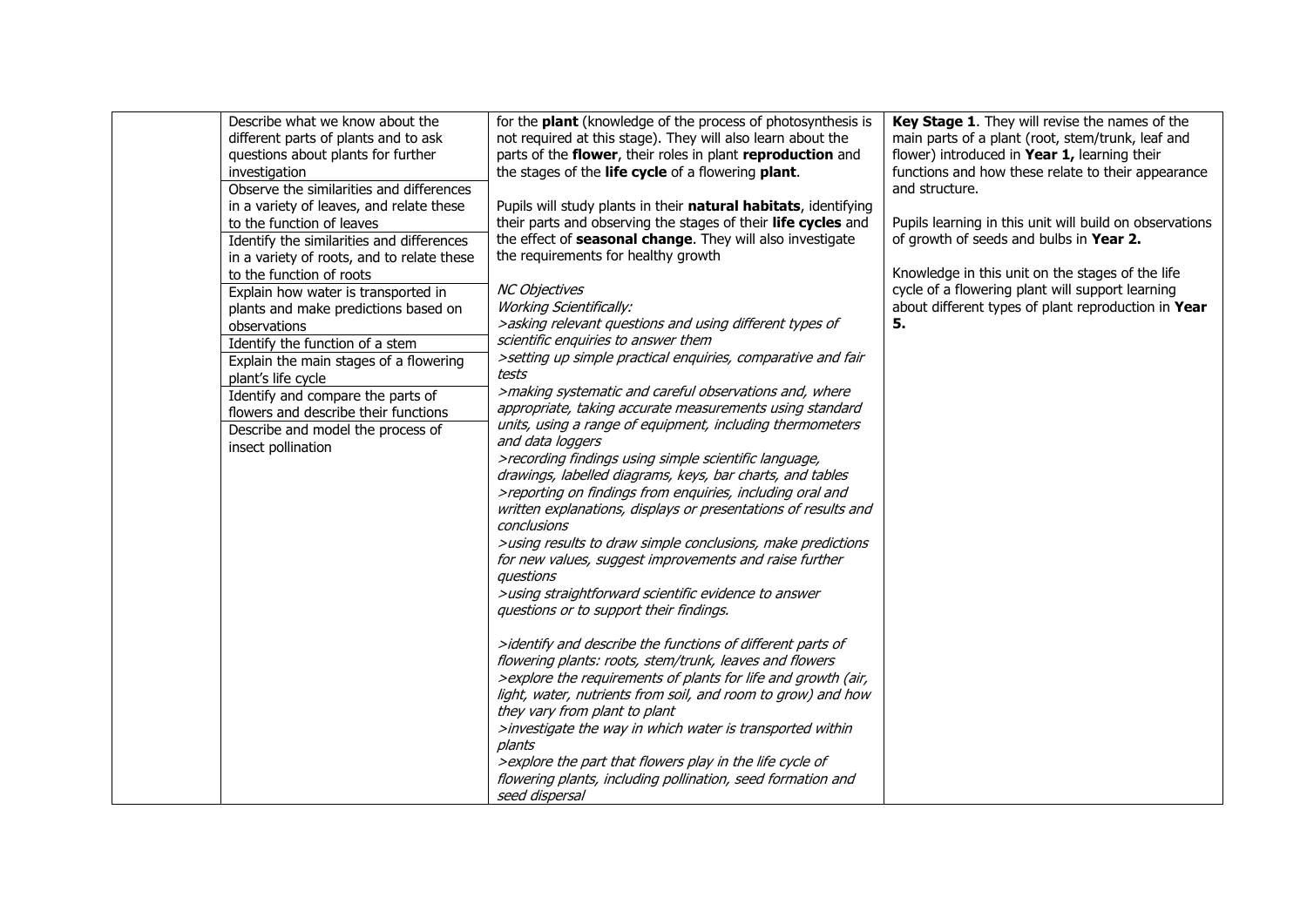| Describe what we know about the<br>different parts of plants and to ask<br>questions about plants for further<br>investigation<br>Observe the similarities and differences<br>in a variety of leaves, and relate these<br>to the function of leaves<br>Identify the similarities and differences<br>in a variety of roots, and to relate these<br>to the function of roots<br>Explain how water is transported in<br>plants and make predictions based on<br>observations<br>Identify the function of a stem<br>Explain the main stages of a flowering<br>plant's life cycle<br>Identify and compare the parts of<br>flowers and describe their functions<br>Describe and model the process of<br>insect pollination | for the <b>plant</b> (knowledge of the process of photosynthesis is<br>not required at this stage). They will also learn about the<br>parts of the flower, their roles in plant reproduction and<br>the stages of the life cycle of a flowering plant.<br>Pupils will study plants in their natural habitats, identifying<br>their parts and observing the stages of their life cycles and<br>the effect of seasonal change. They will also investigate<br>the requirements for healthy growth<br><b>NC Objectives</b><br><b>Working Scientifically:</b><br>>asking relevant questions and using different types of<br>scientific enquiries to answer them<br>>setting up simple practical enquiries, comparative and fair<br>tests<br>>making systematic and careful observations and, where<br>appropriate, taking accurate measurements using standard<br>units, using a range of equipment, including thermometers<br>and data loggers<br>>recording findings using simple scientific language,<br>drawings, labelled diagrams, keys, bar charts, and tables<br>>reporting on findings from enquiries, including oral and<br>written explanations, displays or presentations of results and<br>conclusions<br>>using results to draw simple conclusions, make predictions<br>for new values, suggest improvements and raise further<br>auestions<br>>using straightforward scientific evidence to answer<br>questions or to support their findings. | Key Stage 1. They will revise the names of the<br>main parts of a plant (root, stem/trunk, leaf and<br>flower) introduced in Year 1, learning their<br>functions and how these relate to their appearance<br>and structure.<br>Pupils learning in this unit will build on observations<br>of growth of seeds and bulbs in Year 2.<br>Knowledge in this unit on the stages of the life<br>cycle of a flowering plant will support learning<br>about different types of plant reproduction in Year<br>5. |
|----------------------------------------------------------------------------------------------------------------------------------------------------------------------------------------------------------------------------------------------------------------------------------------------------------------------------------------------------------------------------------------------------------------------------------------------------------------------------------------------------------------------------------------------------------------------------------------------------------------------------------------------------------------------------------------------------------------------|---------------------------------------------------------------------------------------------------------------------------------------------------------------------------------------------------------------------------------------------------------------------------------------------------------------------------------------------------------------------------------------------------------------------------------------------------------------------------------------------------------------------------------------------------------------------------------------------------------------------------------------------------------------------------------------------------------------------------------------------------------------------------------------------------------------------------------------------------------------------------------------------------------------------------------------------------------------------------------------------------------------------------------------------------------------------------------------------------------------------------------------------------------------------------------------------------------------------------------------------------------------------------------------------------------------------------------------------------------------------------------------------------------------------------------------------------------|--------------------------------------------------------------------------------------------------------------------------------------------------------------------------------------------------------------------------------------------------------------------------------------------------------------------------------------------------------------------------------------------------------------------------------------------------------------------------------------------------------|
|                                                                                                                                                                                                                                                                                                                                                                                                                                                                                                                                                                                                                                                                                                                      |                                                                                                                                                                                                                                                                                                                                                                                                                                                                                                                                                                                                                                                                                                                                                                                                                                                                                                                                                                                                                                                                                                                                                                                                                                                                                                                                                                                                                                                         |                                                                                                                                                                                                                                                                                                                                                                                                                                                                                                        |
|                                                                                                                                                                                                                                                                                                                                                                                                                                                                                                                                                                                                                                                                                                                      | >identify and describe the functions of different parts of<br>flowering plants: roots, stem/trunk, leaves and flowers<br>>explore the requirements of plants for life and growth (air,                                                                                                                                                                                                                                                                                                                                                                                                                                                                                                                                                                                                                                                                                                                                                                                                                                                                                                                                                                                                                                                                                                                                                                                                                                                                  |                                                                                                                                                                                                                                                                                                                                                                                                                                                                                                        |
|                                                                                                                                                                                                                                                                                                                                                                                                                                                                                                                                                                                                                                                                                                                      | light, water, nutrients from soil, and room to grow) and how<br>they vary from plant to plant<br>>investigate the way in which water is transported within<br>plants<br>> explore the part that flowers play in the life cycle of<br>flowering plants, including pollination, seed formation and<br>seed dispersal                                                                                                                                                                                                                                                                                                                                                                                                                                                                                                                                                                                                                                                                                                                                                                                                                                                                                                                                                                                                                                                                                                                                      |                                                                                                                                                                                                                                                                                                                                                                                                                                                                                                        |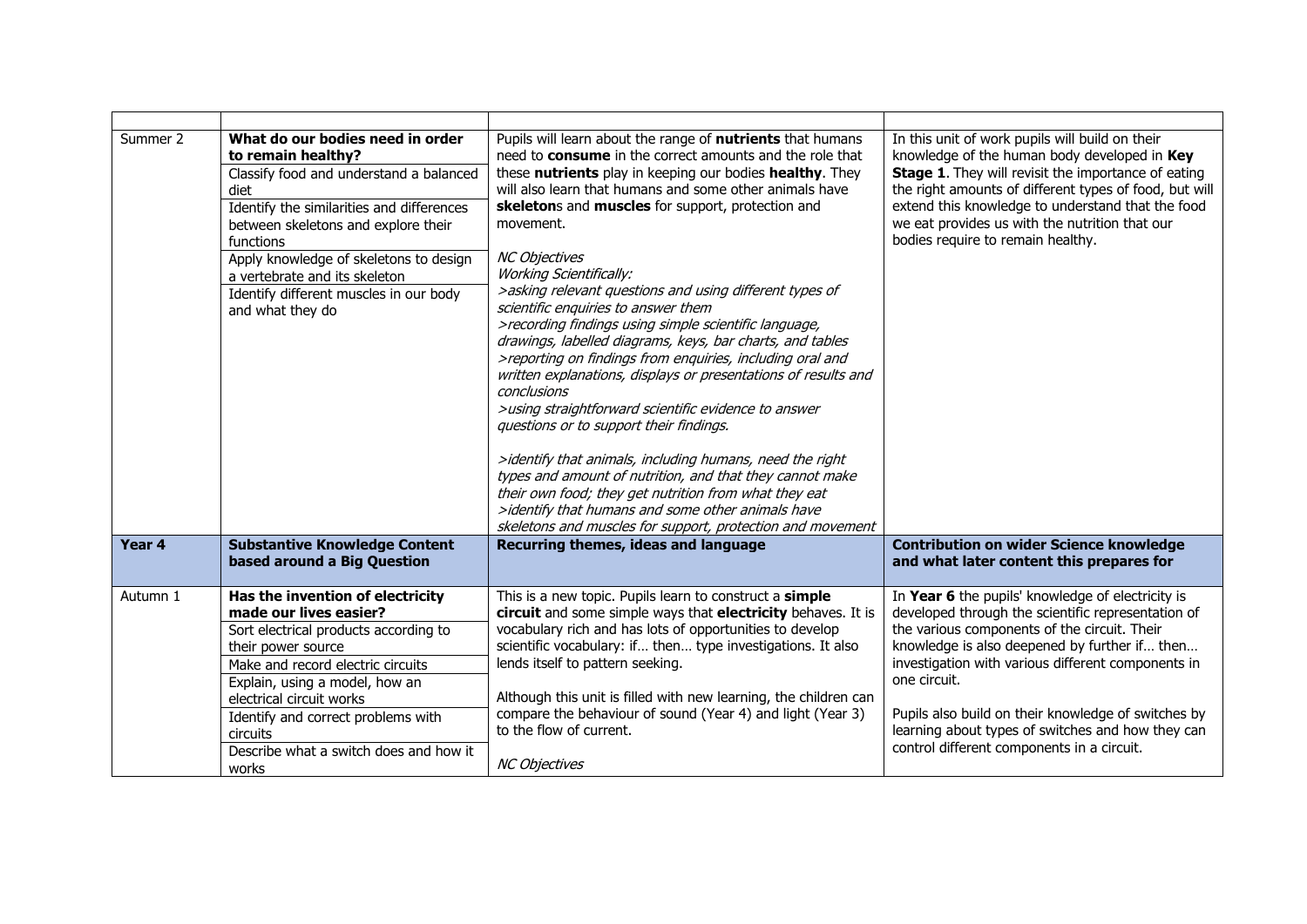| Summer 2 | What do our bodies need in order<br>to remain healthy?<br>Classify food and understand a balanced<br>diet<br>Identify the similarities and differences<br>between skeletons and explore their<br>functions<br>Apply knowledge of skeletons to design<br>a vertebrate and its skeleton<br>Identify different muscles in our body<br>and what they do | Pupils will learn about the range of <b>nutrients</b> that humans<br>need to consume in the correct amounts and the role that<br>these nutrients play in keeping our bodies healthy. They<br>will also learn that humans and some other animals have<br>skeletons and muscles for support, protection and<br>movement.<br><b>NC Objectives</b><br><b>Working Scientifically:</b><br>>asking relevant questions and using different types of<br>scientific enquiries to answer them<br>>recording findings using simple scientific language,<br>drawings, labelled diagrams, keys, bar charts, and tables<br>>reporting on findings from enquiries, including oral and<br>written explanations, displays or presentations of results and<br>conclusions<br>>using straightforward scientific evidence to answer<br>questions or to support their findings.<br>>identify that animals, including humans, need the right<br>types and amount of nutrition, and that they cannot make<br>their own food; they get nutrition from what they eat<br>>identify that humans and some other animals have<br>skeletons and muscles for support, protection and movement | In this unit of work pupils will build on their<br>knowledge of the human body developed in Key<br><b>Stage 1.</b> They will revisit the importance of eating<br>the right amounts of different types of food, but will<br>extend this knowledge to understand that the food<br>we eat provides us with the nutrition that our<br>bodies require to remain healthy.                                                                      |
|----------|-----------------------------------------------------------------------------------------------------------------------------------------------------------------------------------------------------------------------------------------------------------------------------------------------------------------------------------------------------|---------------------------------------------------------------------------------------------------------------------------------------------------------------------------------------------------------------------------------------------------------------------------------------------------------------------------------------------------------------------------------------------------------------------------------------------------------------------------------------------------------------------------------------------------------------------------------------------------------------------------------------------------------------------------------------------------------------------------------------------------------------------------------------------------------------------------------------------------------------------------------------------------------------------------------------------------------------------------------------------------------------------------------------------------------------------------------------------------------------------------------------------------------------|------------------------------------------------------------------------------------------------------------------------------------------------------------------------------------------------------------------------------------------------------------------------------------------------------------------------------------------------------------------------------------------------------------------------------------------|
| Year 4   | <b>Substantive Knowledge Content</b><br>based around a Big Question                                                                                                                                                                                                                                                                                 | Recurring themes, ideas and language                                                                                                                                                                                                                                                                                                                                                                                                                                                                                                                                                                                                                                                                                                                                                                                                                                                                                                                                                                                                                                                                                                                          | <b>Contribution on wider Science knowledge</b><br>and what later content this prepares for                                                                                                                                                                                                                                                                                                                                               |
| Autumn 1 | Has the invention of electricity<br>made our lives easier?<br>Sort electrical products according to<br>their power source<br>Make and record electric circuits<br>Explain, using a model, how an<br>electrical circuit works<br>Identify and correct problems with<br>circuits<br>Describe what a switch does and how it<br>works                   | This is a new topic. Pupils learn to construct a simple<br>circuit and some simple ways that electricity behaves. It is<br>vocabulary rich and has lots of opportunities to develop<br>scientific vocabulary: if then type investigations. It also<br>lends itself to pattern seeking.<br>Although this unit is filled with new learning, the children can<br>compare the behaviour of sound (Year 4) and light (Year 3)<br>to the flow of current.<br><b>NC Objectives</b>                                                                                                                                                                                                                                                                                                                                                                                                                                                                                                                                                                                                                                                                                   | In Year 6 the pupils' knowledge of electricity is<br>developed through the scientific representation of<br>the various components of the circuit. Their<br>knowledge is also deepened by further if then<br>investigation with various different components in<br>one circuit.<br>Pupils also build on their knowledge of switches by<br>learning about types of switches and how they can<br>control different components in a circuit. |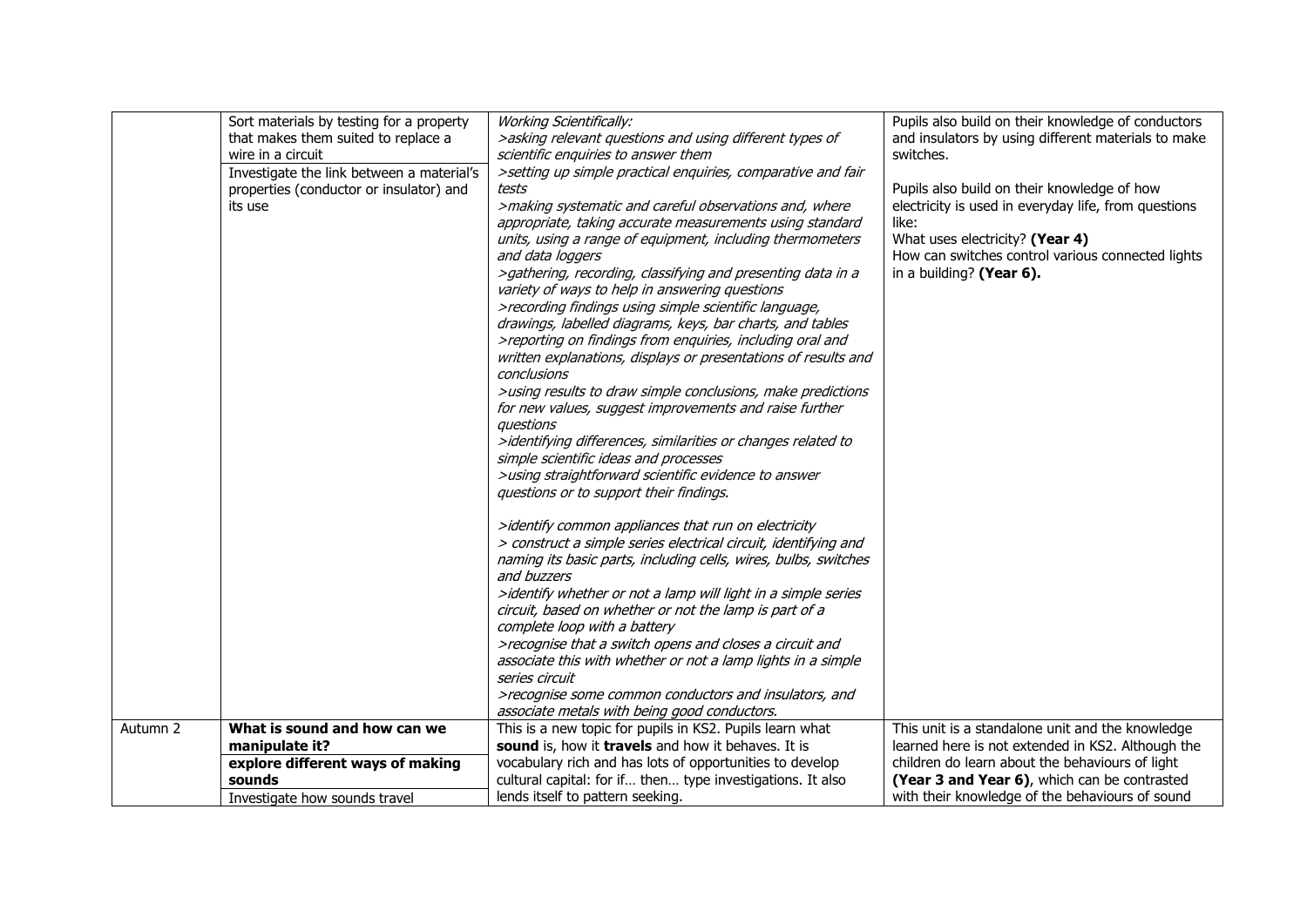|          | Sort materials by testing for a property  | <b>Working Scientifically:</b>                                  | Pupils also build on their knowledge of conductors   |
|----------|-------------------------------------------|-----------------------------------------------------------------|------------------------------------------------------|
|          | that makes them suited to replace a       | >asking relevant questions and using different types of         | and insulators by using different materials to make  |
|          | wire in a circuit                         | scientific enquiries to answer them                             | switches.                                            |
|          |                                           |                                                                 |                                                      |
|          | Investigate the link between a material's | >setting up simple practical enquiries, comparative and fair    |                                                      |
|          | properties (conductor or insulator) and   | tests                                                           | Pupils also build on their knowledge of how          |
|          | its use                                   | >making systematic and careful observations and, where          | electricity is used in everyday life, from questions |
|          |                                           | appropriate, taking accurate measurements using standard        | like:                                                |
|          |                                           | units, using a range of equipment, including thermometers       | What uses electricity? (Year 4)                      |
|          |                                           | and data loggers                                                | How can switches control various connected lights    |
|          |                                           | >gathering, recording, classifying and presenting data in a     | in a building? (Year 6).                             |
|          |                                           | variety of ways to help in answering questions                  |                                                      |
|          |                                           | >recording findings using simple scientific language,           |                                                      |
|          |                                           | drawings, labelled diagrams, keys, bar charts, and tables       |                                                      |
|          |                                           | >reporting on findings from enquiries, including oral and       |                                                      |
|          |                                           | written explanations, displays or presentations of results and  |                                                      |
|          |                                           | conclusions                                                     |                                                      |
|          |                                           | >using results to draw simple conclusions, make predictions     |                                                      |
|          |                                           | for new values, suggest improvements and raise further          |                                                      |
|          |                                           | auestions                                                       |                                                      |
|          |                                           | >identifying differences, similarities or changes related to    |                                                      |
|          |                                           | simple scientific ideas and processes                           |                                                      |
|          |                                           | >using straightforward scientific evidence to answer            |                                                      |
|          |                                           | questions or to support their findings.                         |                                                      |
|          |                                           |                                                                 |                                                      |
|          |                                           | >identify common appliances that run on electricity             |                                                      |
|          |                                           | > construct a simple series electrical circuit, identifying and |                                                      |
|          |                                           | naming its basic parts, including cells, wires, bulbs, switches |                                                      |
|          |                                           | and buzzers                                                     |                                                      |
|          |                                           | >identify whether or not a lamp will light in a simple series   |                                                      |
|          |                                           | circuit, based on whether or not the lamp is part of a          |                                                      |
|          |                                           | complete loop with a battery                                    |                                                      |
|          |                                           | >recognise that a switch opens and closes a circuit and         |                                                      |
|          |                                           | associate this with whether or not a lamp lights in a simple    |                                                      |
|          |                                           | series circuit                                                  |                                                      |
|          |                                           | >recognise some common conductors and insulators, and           |                                                      |
|          |                                           | associate metals with being good conductors.                    |                                                      |
| Autumn 2 | What is sound and how can we              | This is a new topic for pupils in KS2. Pupils learn what        | This unit is a standalone unit and the knowledge     |
|          | manipulate it?                            | sound is, how it travels and how it behaves. It is              | learned here is not extended in KS2. Although the    |
|          | explore different ways of making          | vocabulary rich and has lots of opportunities to develop        | children do learn about the behaviours of light      |
|          | sounds                                    | cultural capital: for if then type investigations. It also      | (Year 3 and Year 6), which can be contrasted         |
|          | Investigate how sounds travel             | lends itself to pattern seeking.                                | with their knowledge of the behaviours of sound      |
|          |                                           |                                                                 |                                                      |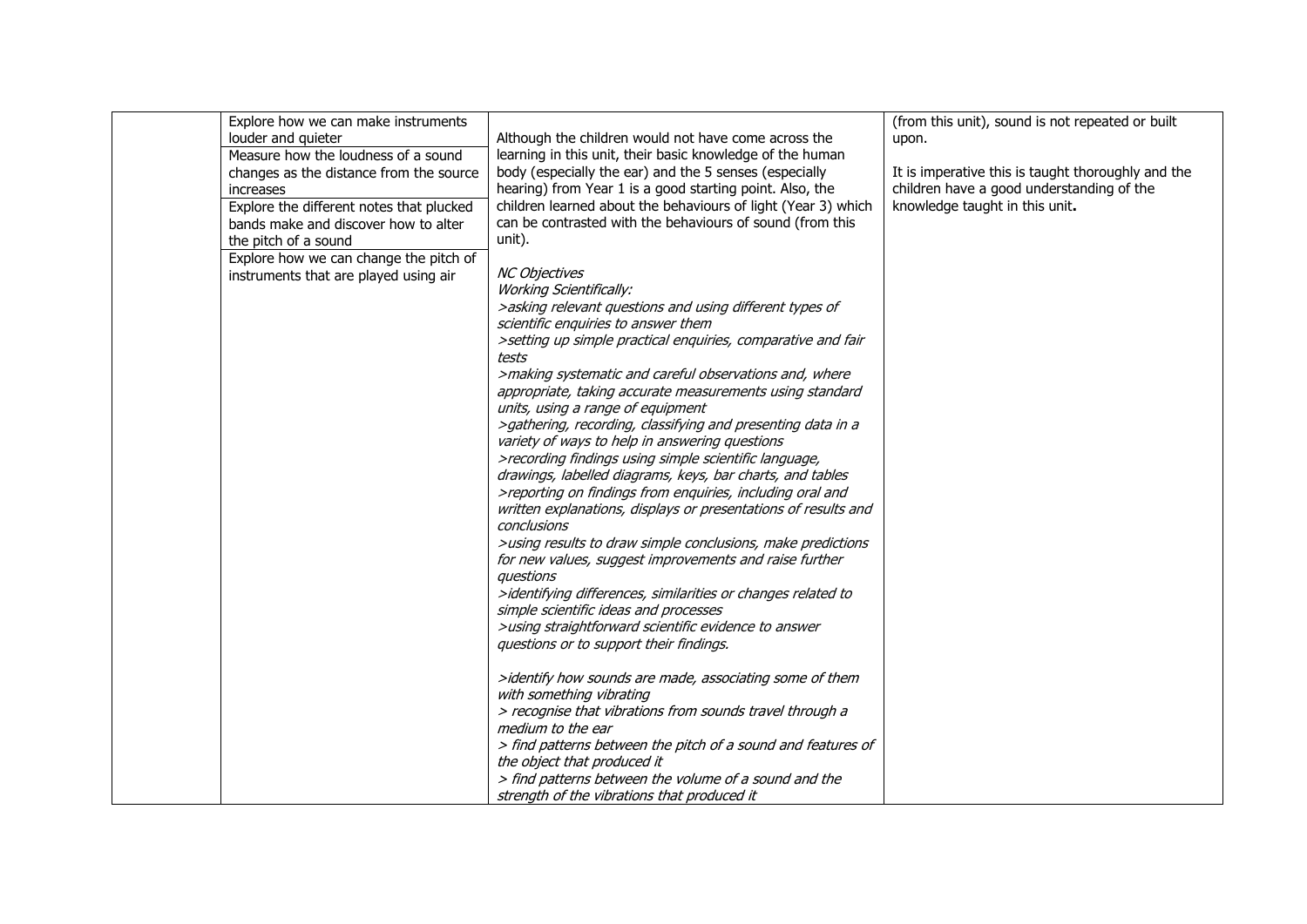| Explore how we can make instruments      |                                                                | (from this unit), sound is not repeated or built   |
|------------------------------------------|----------------------------------------------------------------|----------------------------------------------------|
| louder and quieter                       | Although the children would not have come across the           | upon.                                              |
| Measure how the loudness of a sound      | learning in this unit, their basic knowledge of the human      |                                                    |
| changes as the distance from the source  | body (especially the ear) and the 5 senses (especially         | It is imperative this is taught thoroughly and the |
| increases                                | hearing) from Year 1 is a good starting point. Also, the       | children have a good understanding of the          |
|                                          | children learned about the behaviours of light (Year 3) which  | knowledge taught in this unit.                     |
| Explore the different notes that plucked | can be contrasted with the behaviours of sound (from this      |                                                    |
| bands make and discover how to alter     |                                                                |                                                    |
| the pitch of a sound                     | unit).                                                         |                                                    |
| Explore how we can change the pitch of   |                                                                |                                                    |
| instruments that are played using air    | <b>NC Objectives</b>                                           |                                                    |
|                                          | <b>Working Scientifically:</b>                                 |                                                    |
|                                          | >asking relevant questions and using different types of        |                                                    |
|                                          | scientific enquiries to answer them                            |                                                    |
|                                          | >setting up simple practical enquiries, comparative and fair   |                                                    |
|                                          | tests                                                          |                                                    |
|                                          | >making systematic and careful observations and, where         |                                                    |
|                                          | appropriate, taking accurate measurements using standard       |                                                    |
|                                          | units, using a range of equipment                              |                                                    |
|                                          | >gathering, recording, classifying and presenting data in a    |                                                    |
|                                          | variety of ways to help in answering questions                 |                                                    |
|                                          | >recording findings using simple scientific language,          |                                                    |
|                                          | drawings, labelled diagrams, keys, bar charts, and tables      |                                                    |
|                                          | >reporting on findings from enquiries, including oral and      |                                                    |
|                                          | written explanations, displays or presentations of results and |                                                    |
|                                          | conclusions                                                    |                                                    |
|                                          | >using results to draw simple conclusions, make predictions    |                                                    |
|                                          | for new values, suggest improvements and raise further         |                                                    |
|                                          | questions                                                      |                                                    |
|                                          | >identifying differences, similarities or changes related to   |                                                    |
|                                          | simple scientific ideas and processes                          |                                                    |
|                                          | >using straightforward scientific evidence to answer           |                                                    |
|                                          | questions or to support their findings.                        |                                                    |
|                                          |                                                                |                                                    |
|                                          | >identify how sounds are made, associating some of them        |                                                    |
|                                          | with something vibrating                                       |                                                    |
|                                          | > recognise that vibrations from sounds travel through a       |                                                    |
|                                          | medium to the ear                                              |                                                    |
|                                          | > find patterns between the pitch of a sound and features of   |                                                    |
|                                          |                                                                |                                                    |
|                                          | the object that produced it                                    |                                                    |
|                                          | > find patterns between the volume of a sound and the          |                                                    |
|                                          | strength of the vibrations that produced it                    |                                                    |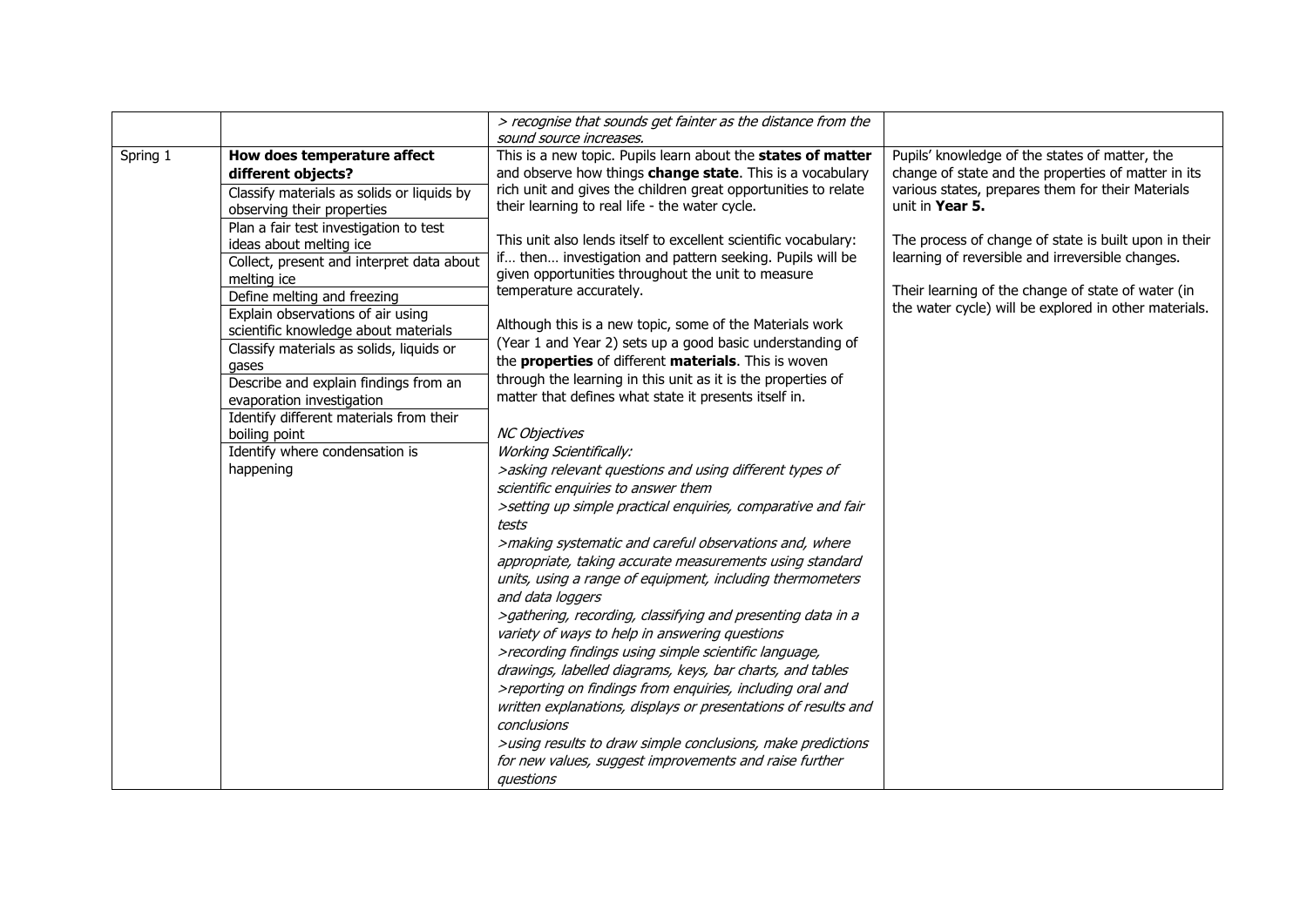|          |                                                                                                                                                                                                                                                                                                                                                                                                                                                                                 | > recognise that sounds get fainter as the distance from the<br>sound source increases.                                                                                                                                                                                                                                                                                                                                                                                                                                                                                                                                                                                                                                                                                                                                                                                                                                                                             |                                                                                                                                                                                                                          |
|----------|---------------------------------------------------------------------------------------------------------------------------------------------------------------------------------------------------------------------------------------------------------------------------------------------------------------------------------------------------------------------------------------------------------------------------------------------------------------------------------|---------------------------------------------------------------------------------------------------------------------------------------------------------------------------------------------------------------------------------------------------------------------------------------------------------------------------------------------------------------------------------------------------------------------------------------------------------------------------------------------------------------------------------------------------------------------------------------------------------------------------------------------------------------------------------------------------------------------------------------------------------------------------------------------------------------------------------------------------------------------------------------------------------------------------------------------------------------------|--------------------------------------------------------------------------------------------------------------------------------------------------------------------------------------------------------------------------|
| Spring 1 | How does temperature affect<br>different objects?<br>Classify materials as solids or liquids by<br>observing their properties                                                                                                                                                                                                                                                                                                                                                   | This is a new topic. Pupils learn about the states of matter<br>and observe how things change state. This is a vocabulary<br>rich unit and gives the children great opportunities to relate<br>their learning to real life - the water cycle.                                                                                                                                                                                                                                                                                                                                                                                                                                                                                                                                                                                                                                                                                                                       | Pupils' knowledge of the states of matter, the<br>change of state and the properties of matter in its<br>various states, prepares them for their Materials<br>unit in Year 5.                                            |
|          | Plan a fair test investigation to test<br>ideas about melting ice<br>Collect, present and interpret data about<br>melting ice<br>Define melting and freezing<br>Explain observations of air using<br>scientific knowledge about materials<br>Classify materials as solids, liquids or<br>gases<br>Describe and explain findings from an<br>evaporation investigation<br>Identify different materials from their<br>boiling point<br>Identify where condensation is<br>happening | This unit also lends itself to excellent scientific vocabulary:<br>if then investigation and pattern seeking. Pupils will be<br>given opportunities throughout the unit to measure<br>temperature accurately.<br>Although this is a new topic, some of the Materials work<br>(Year 1 and Year 2) sets up a good basic understanding of<br>the properties of different materials. This is woven<br>through the learning in this unit as it is the properties of<br>matter that defines what state it presents itself in.<br><b>NC Objectives</b><br><b>Working Scientifically:</b><br>>asking relevant questions and using different types of<br>scientific enquiries to answer them<br>>setting up simple practical enquiries, comparative and fair<br>tests<br>>making systematic and careful observations and, where<br>appropriate, taking accurate measurements using standard<br>units, using a range of equipment, including thermometers<br>and data loggers | The process of change of state is built upon in their<br>learning of reversible and irreversible changes.<br>Their learning of the change of state of water (in<br>the water cycle) will be explored in other materials. |
|          |                                                                                                                                                                                                                                                                                                                                                                                                                                                                                 | >gathering, recording, classifying and presenting data in a<br>variety of ways to help in answering questions<br>>recording findings using simple scientific language,<br>drawings, labelled diagrams, keys, bar charts, and tables<br>>reporting on findings from enquiries, including oral and<br>written explanations, displays or presentations of results and<br>conclusions<br>>using results to draw simple conclusions, make predictions<br>for new values, suggest improvements and raise further<br>questions                                                                                                                                                                                                                                                                                                                                                                                                                                             |                                                                                                                                                                                                                          |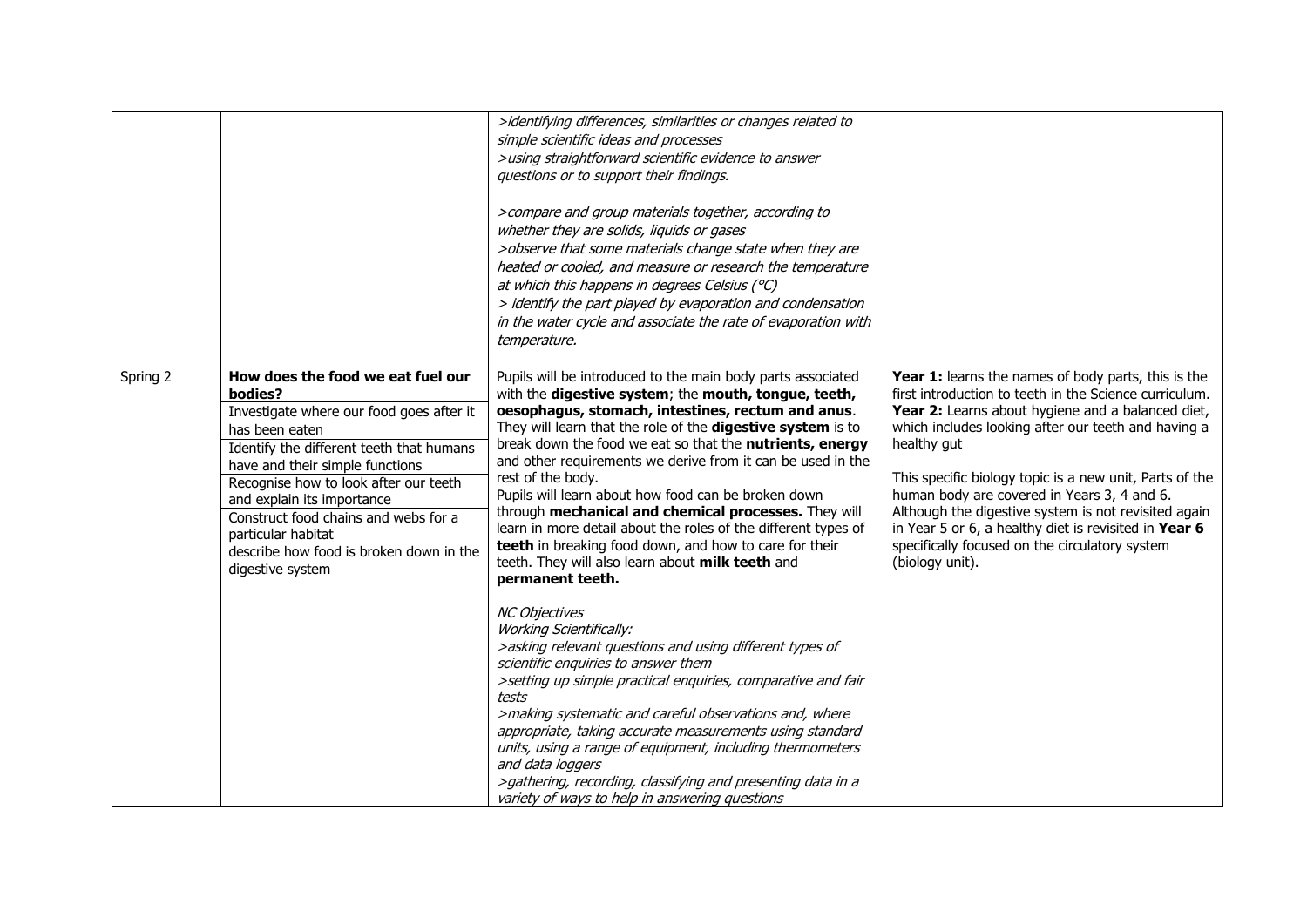|          |                                                                                                                                                                                                                                                                                                                                                                                               | >identifying differences, similarities or changes related to<br>simple scientific ideas and processes<br>>using straightforward scientific evidence to answer<br>questions or to support their findings.<br>>compare and group materials together, according to<br>whether they are solids, liquids or gases<br>>observe that some materials change state when they are<br>heated or cooled, and measure or research the temperature<br>at which this happens in degrees Celsius (°C)<br>> identify the part played by evaporation and condensation<br>in the water cycle and associate the rate of evaporation with<br>temperature.                                                                       |                                                                                                                                                                                                                                                                                                                                                                                                                                                                                                                                          |
|----------|-----------------------------------------------------------------------------------------------------------------------------------------------------------------------------------------------------------------------------------------------------------------------------------------------------------------------------------------------------------------------------------------------|------------------------------------------------------------------------------------------------------------------------------------------------------------------------------------------------------------------------------------------------------------------------------------------------------------------------------------------------------------------------------------------------------------------------------------------------------------------------------------------------------------------------------------------------------------------------------------------------------------------------------------------------------------------------------------------------------------|------------------------------------------------------------------------------------------------------------------------------------------------------------------------------------------------------------------------------------------------------------------------------------------------------------------------------------------------------------------------------------------------------------------------------------------------------------------------------------------------------------------------------------------|
| Spring 2 | How does the food we eat fuel our<br>bodies?<br>Investigate where our food goes after it<br>has been eaten<br>Identify the different teeth that humans<br>have and their simple functions<br>Recognise how to look after our teeth<br>and explain its importance<br>Construct food chains and webs for a<br>particular habitat<br>describe how food is broken down in the<br>digestive system | Pupils will be introduced to the main body parts associated<br>with the digestive system; the mouth, tongue, teeth,<br>oesophagus, stomach, intestines, rectum and anus.<br>They will learn that the role of the digestive system is to<br>break down the food we eat so that the nutrients, energy<br>and other requirements we derive from it can be used in the<br>rest of the body.<br>Pupils will learn about how food can be broken down<br>through mechanical and chemical processes. They will<br>learn in more detail about the roles of the different types of<br>teeth in breaking food down, and how to care for their<br>teeth. They will also learn about milk teeth and<br>permanent teeth. | Year 1: learns the names of body parts, this is the<br>first introduction to teeth in the Science curriculum.<br>Year 2: Learns about hygiene and a balanced diet,<br>which includes looking after our teeth and having a<br>healthy gut<br>This specific biology topic is a new unit, Parts of the<br>human body are covered in Years 3, 4 and 6.<br>Although the digestive system is not revisited again<br>in Year 5 or 6, a healthy diet is revisited in Year 6<br>specifically focused on the circulatory system<br>(biology unit). |
|          |                                                                                                                                                                                                                                                                                                                                                                                               | <b>NC Objectives</b><br><b>Working Scientifically:</b><br>>asking relevant questions and using different types of<br>scientific enquiries to answer them<br>>setting up simple practical enquiries, comparative and fair<br>tests<br>>making systematic and careful observations and, where<br>appropriate, taking accurate measurements using standard<br>units, using a range of equipment, including thermometers<br>and data loggers<br>>gathering, recording, classifying and presenting data in a<br>variety of ways to help in answering questions                                                                                                                                                  |                                                                                                                                                                                                                                                                                                                                                                                                                                                                                                                                          |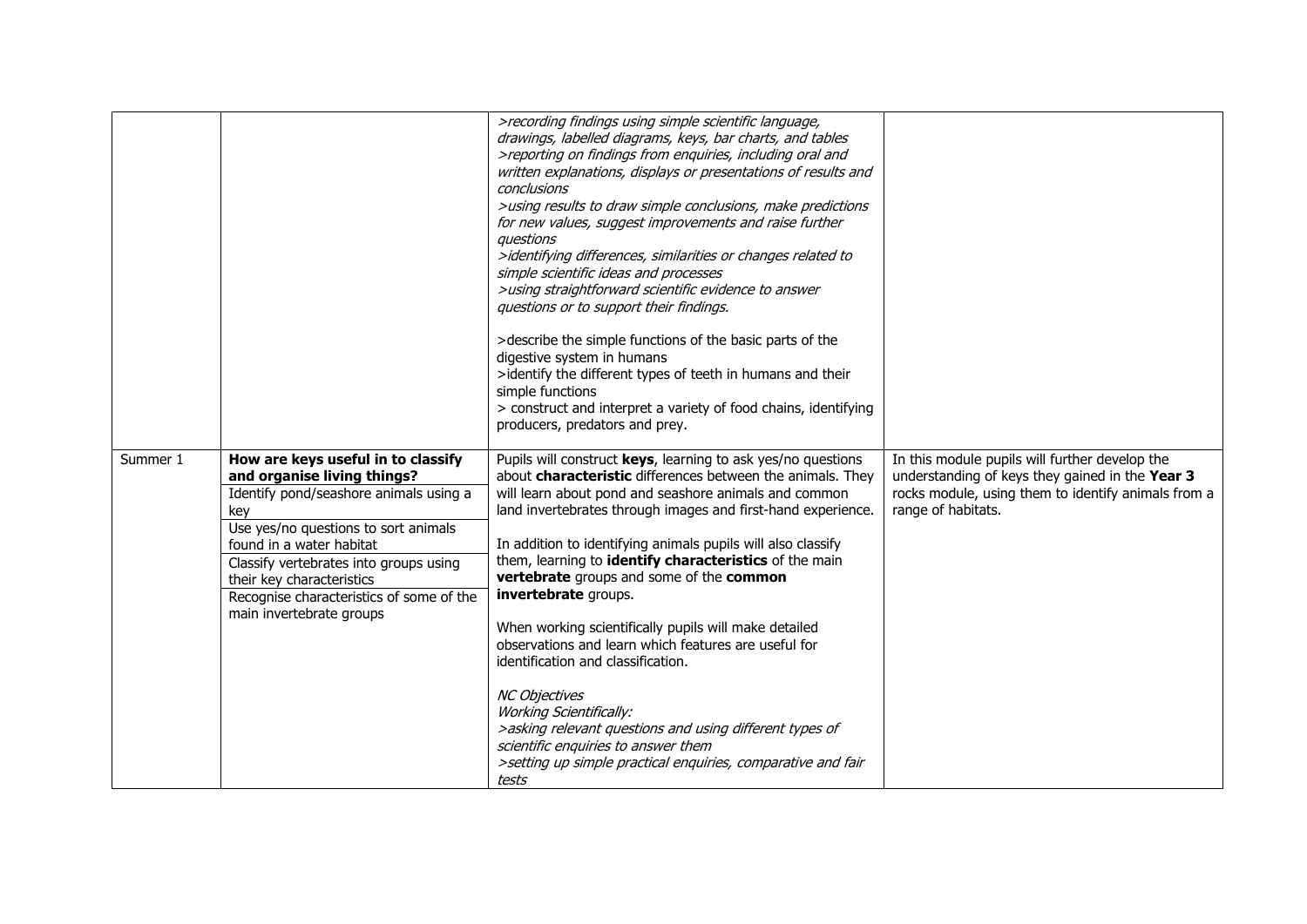|          |                                                                                                                                                                                                                                                                                                                                       | >recording findings using simple scientific language,<br>drawings, labelled diagrams, keys, bar charts, and tables<br>>reporting on findings from enquiries, including oral and<br>written explanations, displays or presentations of results and<br>conclusions<br>>using results to draw simple conclusions, make predictions<br>for new values, suggest improvements and raise further<br>questions<br>>identifying differences, similarities or changes related to<br>simple scientific ideas and processes<br>>using straightforward scientific evidence to answer<br>questions or to support their findings.<br>>describe the simple functions of the basic parts of the<br>digestive system in humans<br>>identify the different types of teeth in humans and their<br>simple functions<br>> construct and interpret a variety of food chains, identifying<br>producers, predators and prey. |                                                                                                                                                                                |
|----------|---------------------------------------------------------------------------------------------------------------------------------------------------------------------------------------------------------------------------------------------------------------------------------------------------------------------------------------|-----------------------------------------------------------------------------------------------------------------------------------------------------------------------------------------------------------------------------------------------------------------------------------------------------------------------------------------------------------------------------------------------------------------------------------------------------------------------------------------------------------------------------------------------------------------------------------------------------------------------------------------------------------------------------------------------------------------------------------------------------------------------------------------------------------------------------------------------------------------------------------------------------|--------------------------------------------------------------------------------------------------------------------------------------------------------------------------------|
| Summer 1 | How are keys useful in to classify<br>and organise living things?<br>Identify pond/seashore animals using a<br>key<br>Use yes/no questions to sort animals<br>found in a water habitat<br>Classify vertebrates into groups using<br>their key characteristics<br>Recognise characteristics of some of the<br>main invertebrate groups | Pupils will construct keys, learning to ask yes/no questions<br>about characteristic differences between the animals. They<br>will learn about pond and seashore animals and common<br>land invertebrates through images and first-hand experience.<br>In addition to identifying animals pupils will also classify<br>them, learning to identify characteristics of the main<br>vertebrate groups and some of the common<br>invertebrate groups.<br>When working scientifically pupils will make detailed<br>observations and learn which features are useful for<br>identification and classification.<br><b>NC Objectives</b><br><b>Working Scientifically:</b><br>>asking relevant questions and using different types of<br>scientific enquiries to answer them<br>>setting up simple practical enquiries, comparative and fair<br>tests                                                       | In this module pupils will further develop the<br>understanding of keys they gained in the Year 3<br>rocks module, using them to identify animals from a<br>range of habitats. |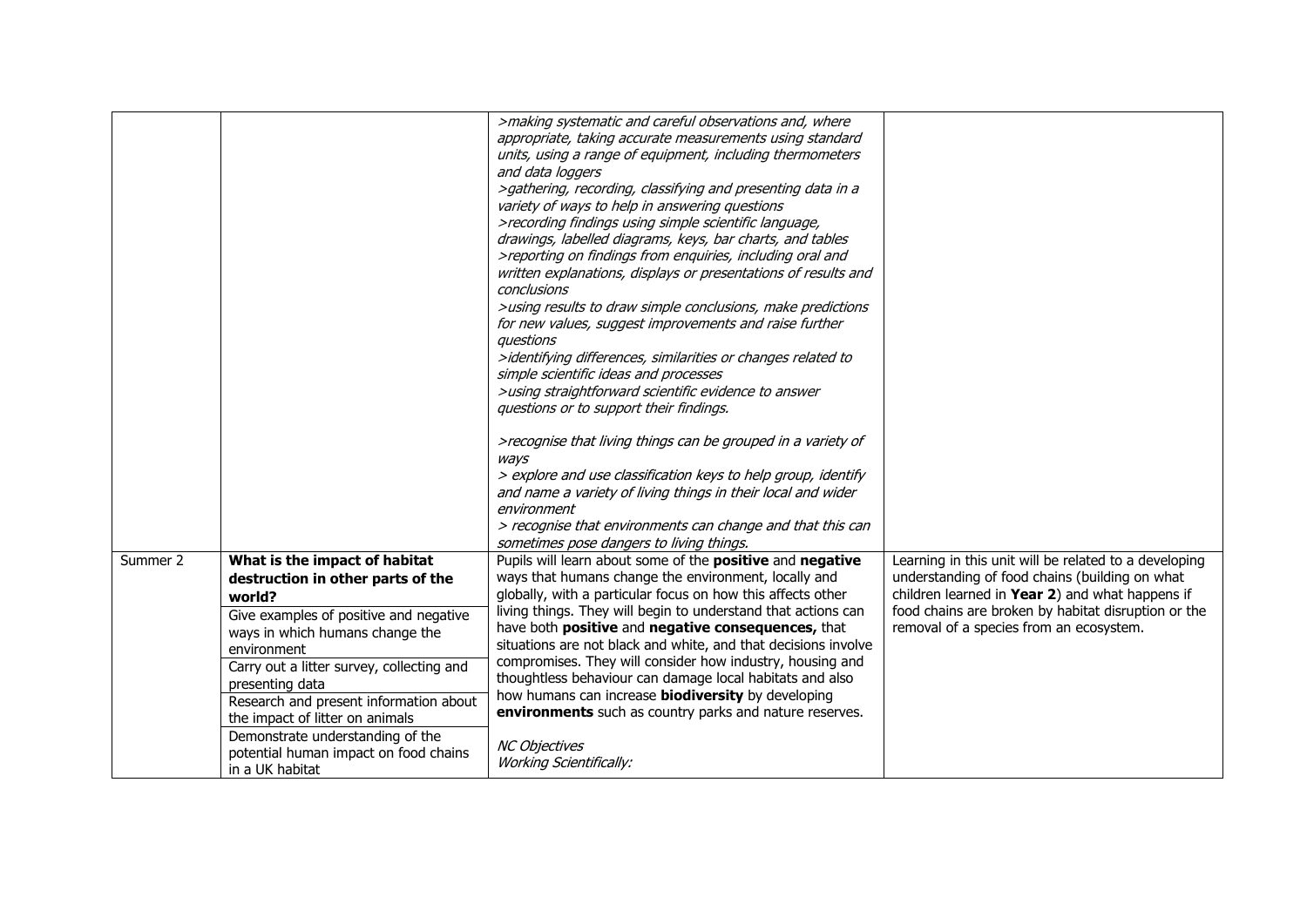|          |                                                                                              | >making systematic and careful observations and, where<br>appropriate, taking accurate measurements using standard<br>units, using a range of equipment, including thermometers<br>and data loggers<br>>gathering, recording, classifying and presenting data in a<br>variety of ways to help in answering questions<br>>recording findings using simple scientific language,<br>drawings, labelled diagrams, keys, bar charts, and tables<br>>reporting on findings from enquiries, including oral and<br>written explanations, displays or presentations of results and<br>conclusions<br>>using results to draw simple conclusions, make predictions<br>for new values, suggest improvements and raise further<br>questions<br>>identifying differences, similarities or changes related to<br>simple scientific ideas and processes<br>>using straightforward scientific evidence to answer<br>questions or to support their findings.<br>>recognise that living things can be grouped in a variety of<br>ways |                                                                                                   |
|----------|----------------------------------------------------------------------------------------------|--------------------------------------------------------------------------------------------------------------------------------------------------------------------------------------------------------------------------------------------------------------------------------------------------------------------------------------------------------------------------------------------------------------------------------------------------------------------------------------------------------------------------------------------------------------------------------------------------------------------------------------------------------------------------------------------------------------------------------------------------------------------------------------------------------------------------------------------------------------------------------------------------------------------------------------------------------------------------------------------------------------------|---------------------------------------------------------------------------------------------------|
|          |                                                                                              | environment                                                                                                                                                                                                                                                                                                                                                                                                                                                                                                                                                                                                                                                                                                                                                                                                                                                                                                                                                                                                        |                                                                                                   |
|          |                                                                                              | > recognise that environments can change and that this can<br>sometimes pose dangers to living things.                                                                                                                                                                                                                                                                                                                                                                                                                                                                                                                                                                                                                                                                                                                                                                                                                                                                                                             |                                                                                                   |
| Summer 2 | What is the impact of habitat                                                                | Pupils will learn about some of the positive and negative                                                                                                                                                                                                                                                                                                                                                                                                                                                                                                                                                                                                                                                                                                                                                                                                                                                                                                                                                          | Learning in this unit will be related to a developing                                             |
|          | destruction in other parts of the<br>world?                                                  | ways that humans change the environment, locally and<br>globally, with a particular focus on how this affects other                                                                                                                                                                                                                                                                                                                                                                                                                                                                                                                                                                                                                                                                                                                                                                                                                                                                                                | understanding of food chains (building on what<br>children learned in Year 2) and what happens if |
|          | Give examples of positive and negative<br>ways in which humans change the<br>environment     | living things. They will begin to understand that actions can<br>have both positive and negative consequences, that<br>situations are not black and white, and that decisions involve                                                                                                                                                                                                                                                                                                                                                                                                                                                                                                                                                                                                                                                                                                                                                                                                                              | food chains are broken by habitat disruption or the<br>removal of a species from an ecosystem.    |
|          | Carry out a litter survey, collecting and<br>presenting data                                 | compromises. They will consider how industry, housing and<br>thoughtless behaviour can damage local habitats and also                                                                                                                                                                                                                                                                                                                                                                                                                                                                                                                                                                                                                                                                                                                                                                                                                                                                                              |                                                                                                   |
|          | Research and present information about<br>the impact of litter on animals                    | how humans can increase <b>biodiversity</b> by developing<br>environments such as country parks and nature reserves.                                                                                                                                                                                                                                                                                                                                                                                                                                                                                                                                                                                                                                                                                                                                                                                                                                                                                               |                                                                                                   |
|          | Demonstrate understanding of the<br>potential human impact on food chains<br>in a UK habitat | <b>NC Objectives</b><br><b>Working Scientifically:</b>                                                                                                                                                                                                                                                                                                                                                                                                                                                                                                                                                                                                                                                                                                                                                                                                                                                                                                                                                             |                                                                                                   |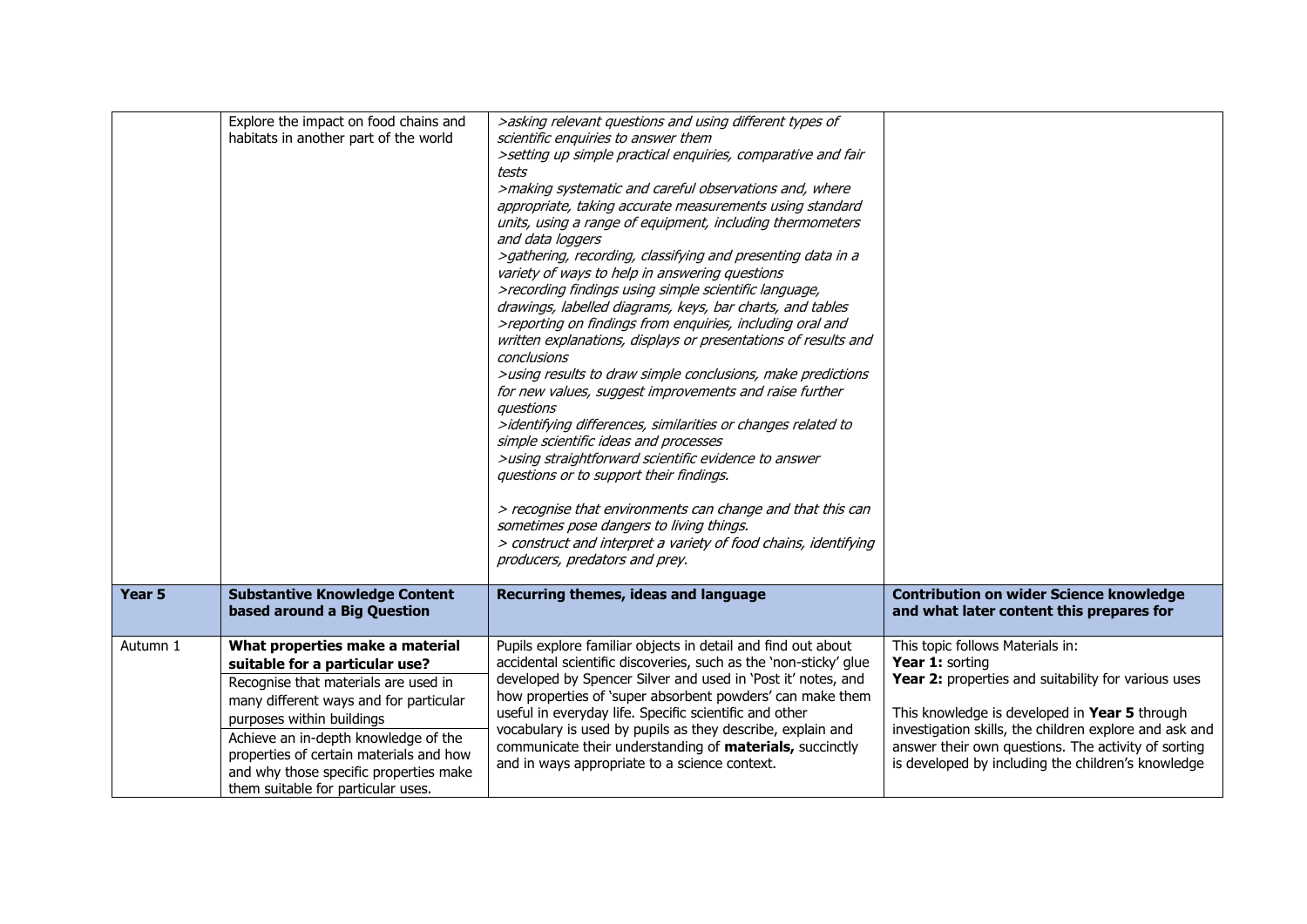|                   | Explore the impact on food chains and<br>habitats in another part of the world                                                                                                                                                                                                                                                                      | >asking relevant questions and using different types of<br>scientific enquiries to answer them<br>>setting up simple practical enquiries, comparative and fair<br>tests<br>>making systematic and careful observations and, where<br>appropriate, taking accurate measurements using standard<br>units, using a range of equipment, including thermometers<br>and data loggers<br>>gathering, recording, classifying and presenting data in a<br>variety of ways to help in answering questions<br>>recording findings using simple scientific language,<br>drawings, labelled diagrams, keys, bar charts, and tables<br>>reporting on findings from enquiries, including oral and<br>written explanations, displays or presentations of results and<br>conclusions<br>>using results to draw simple conclusions, make predictions<br>for new values, suggest improvements and raise further<br>questions<br>>identifying differences, similarities or changes related to<br>simple scientific ideas and processes<br>>using straightforward scientific evidence to answer<br>questions or to support their findings.<br>> recognise that environments can change and that this can<br>sometimes pose dangers to living things.<br>> construct and interpret a variety of food chains, identifying<br>producers, predators and prey. |                                                                                                                                                                                                                                                                                                                                    |
|-------------------|-----------------------------------------------------------------------------------------------------------------------------------------------------------------------------------------------------------------------------------------------------------------------------------------------------------------------------------------------------|--------------------------------------------------------------------------------------------------------------------------------------------------------------------------------------------------------------------------------------------------------------------------------------------------------------------------------------------------------------------------------------------------------------------------------------------------------------------------------------------------------------------------------------------------------------------------------------------------------------------------------------------------------------------------------------------------------------------------------------------------------------------------------------------------------------------------------------------------------------------------------------------------------------------------------------------------------------------------------------------------------------------------------------------------------------------------------------------------------------------------------------------------------------------------------------------------------------------------------------------------------------------------------------------------------------------------------------|------------------------------------------------------------------------------------------------------------------------------------------------------------------------------------------------------------------------------------------------------------------------------------------------------------------------------------|
| Year <sub>5</sub> | <b>Substantive Knowledge Content</b><br>based around a Big Question                                                                                                                                                                                                                                                                                 | Recurring themes, ideas and language                                                                                                                                                                                                                                                                                                                                                                                                                                                                                                                                                                                                                                                                                                                                                                                                                                                                                                                                                                                                                                                                                                                                                                                                                                                                                                 | <b>Contribution on wider Science knowledge</b><br>and what later content this prepares for                                                                                                                                                                                                                                         |
| Autumn 1          | What properties make a material<br>suitable for a particular use?<br>Recognise that materials are used in<br>many different ways and for particular<br>purposes within buildings<br>Achieve an in-depth knowledge of the<br>properties of certain materials and how<br>and why those specific properties make<br>them suitable for particular uses. | Pupils explore familiar objects in detail and find out about<br>accidental scientific discoveries, such as the 'non-sticky' glue<br>developed by Spencer Silver and used in 'Post it' notes, and<br>how properties of 'super absorbent powders' can make them<br>useful in everyday life. Specific scientific and other<br>vocabulary is used by pupils as they describe, explain and<br>communicate their understanding of materials, succinctly<br>and in ways appropriate to a science context.                                                                                                                                                                                                                                                                                                                                                                                                                                                                                                                                                                                                                                                                                                                                                                                                                                   | This topic follows Materials in:<br>Year 1: sorting<br>Year 2: properties and suitability for various uses<br>This knowledge is developed in Year 5 through<br>investigation skills, the children explore and ask and<br>answer their own questions. The activity of sorting<br>is developed by including the children's knowledge |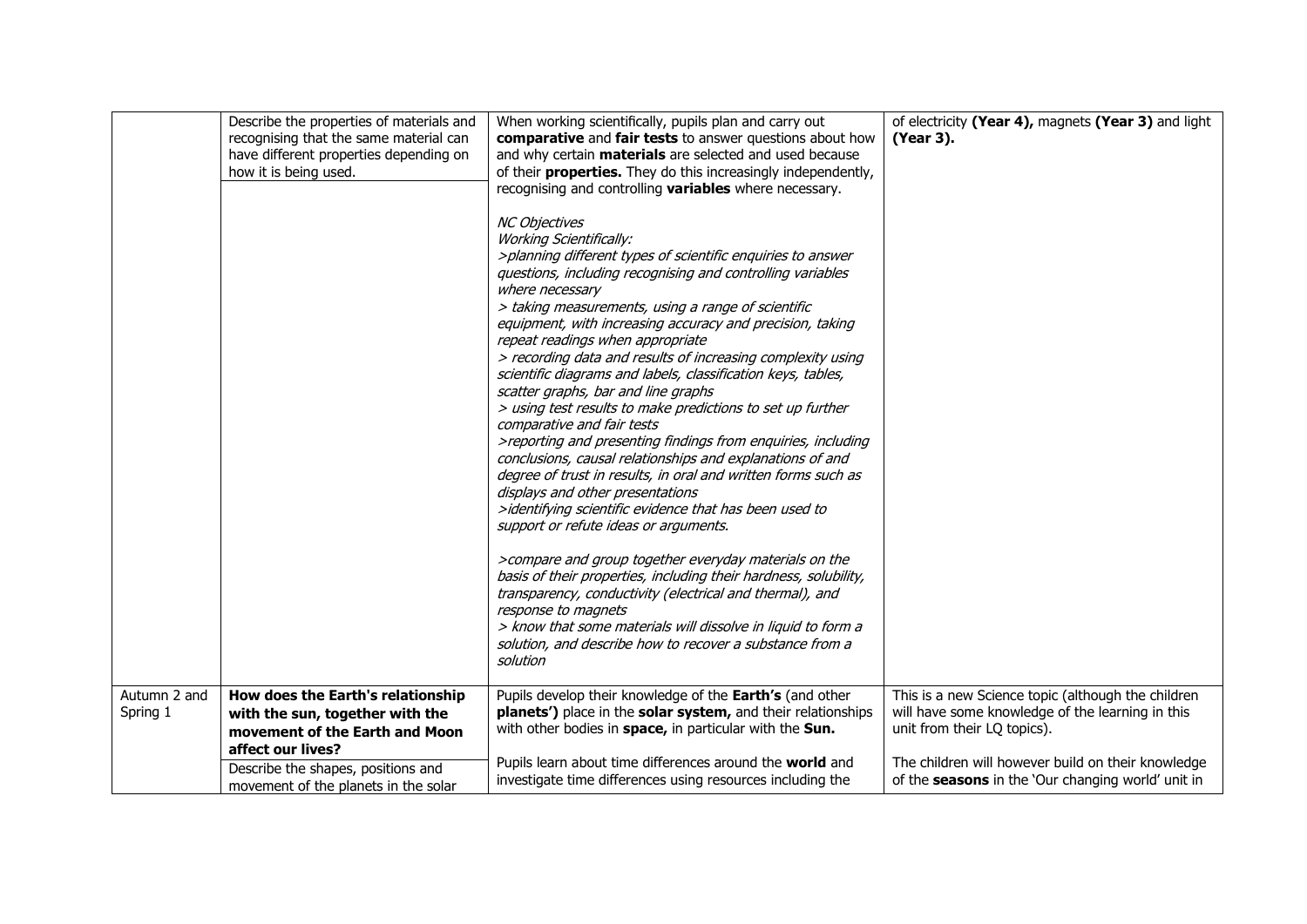| Autumn 2 and | Describe the properties of materials and<br>recognising that the same material can<br>have different properties depending on<br>how it is being used.<br>How does the Earth's relationship | When working scientifically, pupils plan and carry out<br>comparative and fair tests to answer questions about how<br>and why certain <b>materials</b> are selected and used because<br>of their <b>properties.</b> They do this increasingly independently,<br>recognising and controlling variables where necessary.<br><b>NC Objectives</b><br><b>Working Scientifically:</b><br>>planning different types of scientific enquiries to answer<br>questions, including recognising and controlling variables<br>where necessary<br>> taking measurements, using a range of scientific<br>equipment, with increasing accuracy and precision, taking<br>repeat readings when appropriate<br>> recording data and results of increasing complexity using<br>scientific diagrams and labels, classification keys, tables,<br>scatter graphs, bar and line graphs<br>> using test results to make predictions to set up further<br>comparative and fair tests<br>>reporting and presenting findings from enquiries, including<br>conclusions, causal relationships and explanations of and<br>degree of trust in results, in oral and written forms such as<br>displays and other presentations<br>>identifying scientific evidence that has been used to<br>support or refute ideas or arguments.<br>>compare and group together everyday materials on the<br>basis of their properties, including their hardness, solubility,<br>transparency, conductivity (electrical and thermal), and<br>response to magnets<br>> know that some materials will dissolve in liquid to form a<br>solution, and describe how to recover a substance from a<br>solution<br>Pupils develop their knowledge of the Earth's (and other | of electricity (Year 4), magnets (Year 3) and light<br>(Year 3).<br>This is a new Science topic (although the children                |
|--------------|--------------------------------------------------------------------------------------------------------------------------------------------------------------------------------------------|--------------------------------------------------------------------------------------------------------------------------------------------------------------------------------------------------------------------------------------------------------------------------------------------------------------------------------------------------------------------------------------------------------------------------------------------------------------------------------------------------------------------------------------------------------------------------------------------------------------------------------------------------------------------------------------------------------------------------------------------------------------------------------------------------------------------------------------------------------------------------------------------------------------------------------------------------------------------------------------------------------------------------------------------------------------------------------------------------------------------------------------------------------------------------------------------------------------------------------------------------------------------------------------------------------------------------------------------------------------------------------------------------------------------------------------------------------------------------------------------------------------------------------------------------------------------------------------------------------------------------------------------------------------------------------------------------------------------|---------------------------------------------------------------------------------------------------------------------------------------|
| Spring 1     | with the sun, together with the<br>movement of the Earth and Moon<br>affect our lives?                                                                                                     | planets') place in the solar system, and their relationships<br>with other bodies in space, in particular with the Sun.<br>Pupils learn about time differences around the world and                                                                                                                                                                                                                                                                                                                                                                                                                                                                                                                                                                                                                                                                                                                                                                                                                                                                                                                                                                                                                                                                                                                                                                                                                                                                                                                                                                                                                                                                                                                                | will have some knowledge of the learning in this<br>unit from their LQ topics).<br>The children will however build on their knowledge |
|              | Describe the shapes, positions and<br>movement of the planets in the solar                                                                                                                 | investigate time differences using resources including the                                                                                                                                                                                                                                                                                                                                                                                                                                                                                                                                                                                                                                                                                                                                                                                                                                                                                                                                                                                                                                                                                                                                                                                                                                                                                                                                                                                                                                                                                                                                                                                                                                                         | of the seasons in the 'Our changing world' unit in                                                                                    |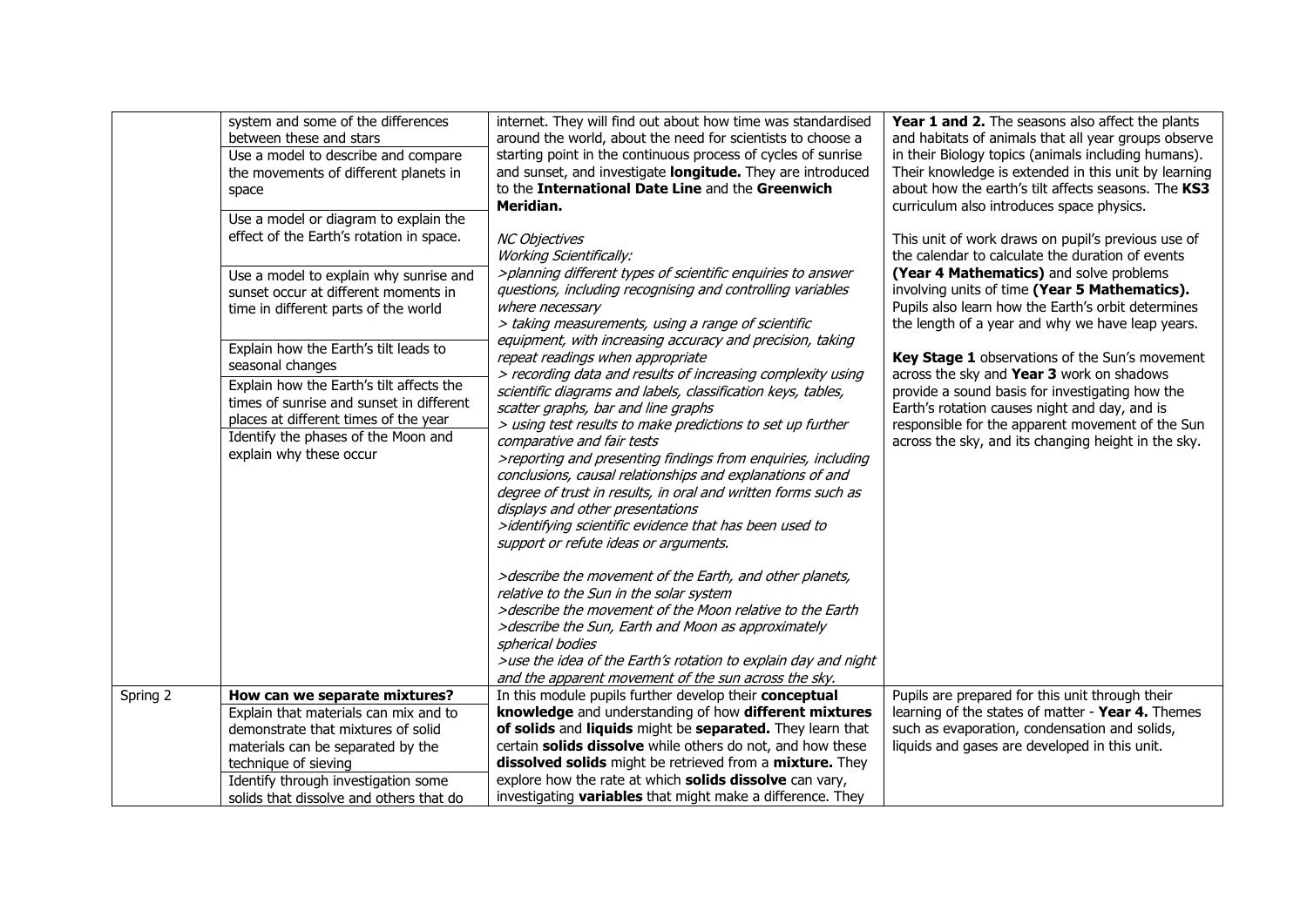|          | system and some of the differences<br>between these and stars<br>Use a model to describe and compare<br>the movements of different planets in<br>space<br>Use a model or diagram to explain the<br>effect of the Earth's rotation in space.<br>Use a model to explain why sunrise and<br>sunset occur at different moments in<br>time in different parts of the world<br>Explain how the Earth's tilt leads to<br>seasonal changes | internet. They will find out about how time was standardised<br>around the world, about the need for scientists to choose a<br>starting point in the continuous process of cycles of sunrise<br>and sunset, and investigate longitude. They are introduced<br>to the International Date Line and the Greenwich<br>Meridian.<br><b>NC Objectives</b><br><b>Working Scientifically:</b><br>>planning different types of scientific enquiries to answer<br>questions, including recognising and controlling variables<br>where necessary<br>> taking measurements, using a range of scientific<br>equipment, with increasing accuracy and precision, taking<br>repeat readings when appropriate<br>> recording data and results of increasing complexity using                                                                                                                                                | Year 1 and 2. The seasons also affect the plants<br>and habitats of animals that all year groups observe<br>in their Biology topics (animals including humans).<br>Their knowledge is extended in this unit by learning<br>about how the earth's tilt affects seasons. The KS3<br>curriculum also introduces space physics.<br>This unit of work draws on pupil's previous use of<br>the calendar to calculate the duration of events<br>(Year 4 Mathematics) and solve problems<br>involving units of time (Year 5 Mathematics).<br>Pupils also learn how the Earth's orbit determines<br>the length of a year and why we have leap years.<br>Key Stage 1 observations of the Sun's movement<br>across the sky and Year 3 work on shadows |
|----------|------------------------------------------------------------------------------------------------------------------------------------------------------------------------------------------------------------------------------------------------------------------------------------------------------------------------------------------------------------------------------------------------------------------------------------|------------------------------------------------------------------------------------------------------------------------------------------------------------------------------------------------------------------------------------------------------------------------------------------------------------------------------------------------------------------------------------------------------------------------------------------------------------------------------------------------------------------------------------------------------------------------------------------------------------------------------------------------------------------------------------------------------------------------------------------------------------------------------------------------------------------------------------------------------------------------------------------------------------|--------------------------------------------------------------------------------------------------------------------------------------------------------------------------------------------------------------------------------------------------------------------------------------------------------------------------------------------------------------------------------------------------------------------------------------------------------------------------------------------------------------------------------------------------------------------------------------------------------------------------------------------------------------------------------------------------------------------------------------------|
|          | Explain how the Earth's tilt affects the<br>times of sunrise and sunset in different<br>places at different times of the year<br>Identify the phases of the Moon and<br>explain why these occur                                                                                                                                                                                                                                    | scientific diagrams and labels, classification keys, tables,<br>scatter graphs, bar and line graphs<br>> using test results to make predictions to set up further<br>comparative and fair tests<br>>reporting and presenting findings from enquiries, including<br>conclusions, causal relationships and explanations of and<br>degree of trust in results, in oral and written forms such as<br>displays and other presentations<br>>identifying scientific evidence that has been used to<br>support or refute ideas or arguments.<br>>describe the movement of the Earth, and other planets,<br>relative to the Sun in the solar system<br>>describe the movement of the Moon relative to the Earth<br>>describe the Sun, Earth and Moon as approximately<br>spherical bodies<br>>use the idea of the Earth's rotation to explain day and night<br>and the apparent movement of the sun across the sky. | provide a sound basis for investigating how the<br>Earth's rotation causes night and day, and is<br>responsible for the apparent movement of the Sun<br>across the sky, and its changing height in the sky.                                                                                                                                                                                                                                                                                                                                                                                                                                                                                                                                |
| Spring 2 | How can we separate mixtures?                                                                                                                                                                                                                                                                                                                                                                                                      | In this module pupils further develop their conceptual                                                                                                                                                                                                                                                                                                                                                                                                                                                                                                                                                                                                                                                                                                                                                                                                                                                     | Pupils are prepared for this unit through their                                                                                                                                                                                                                                                                                                                                                                                                                                                                                                                                                                                                                                                                                            |
|          | Explain that materials can mix and to                                                                                                                                                                                                                                                                                                                                                                                              | knowledge and understanding of how different mixtures                                                                                                                                                                                                                                                                                                                                                                                                                                                                                                                                                                                                                                                                                                                                                                                                                                                      | learning of the states of matter - Year 4. Themes                                                                                                                                                                                                                                                                                                                                                                                                                                                                                                                                                                                                                                                                                          |
|          | demonstrate that mixtures of solid                                                                                                                                                                                                                                                                                                                                                                                                 | of solids and liquids might be separated. They learn that                                                                                                                                                                                                                                                                                                                                                                                                                                                                                                                                                                                                                                                                                                                                                                                                                                                  | such as evaporation, condensation and solids,                                                                                                                                                                                                                                                                                                                                                                                                                                                                                                                                                                                                                                                                                              |
|          | materials can be separated by the                                                                                                                                                                                                                                                                                                                                                                                                  | certain solids dissolve while others do not, and how these                                                                                                                                                                                                                                                                                                                                                                                                                                                                                                                                                                                                                                                                                                                                                                                                                                                 | liquids and gases are developed in this unit.                                                                                                                                                                                                                                                                                                                                                                                                                                                                                                                                                                                                                                                                                              |
|          | technique of sieving                                                                                                                                                                                                                                                                                                                                                                                                               | dissolved solids might be retrieved from a mixture. They                                                                                                                                                                                                                                                                                                                                                                                                                                                                                                                                                                                                                                                                                                                                                                                                                                                   |                                                                                                                                                                                                                                                                                                                                                                                                                                                                                                                                                                                                                                                                                                                                            |
|          | Identify through investigation some                                                                                                                                                                                                                                                                                                                                                                                                | explore how the rate at which solids dissolve can vary,                                                                                                                                                                                                                                                                                                                                                                                                                                                                                                                                                                                                                                                                                                                                                                                                                                                    |                                                                                                                                                                                                                                                                                                                                                                                                                                                                                                                                                                                                                                                                                                                                            |
|          | solids that dissolve and others that do                                                                                                                                                                                                                                                                                                                                                                                            | investigating variables that might make a difference. They                                                                                                                                                                                                                                                                                                                                                                                                                                                                                                                                                                                                                                                                                                                                                                                                                                                 |                                                                                                                                                                                                                                                                                                                                                                                                                                                                                                                                                                                                                                                                                                                                            |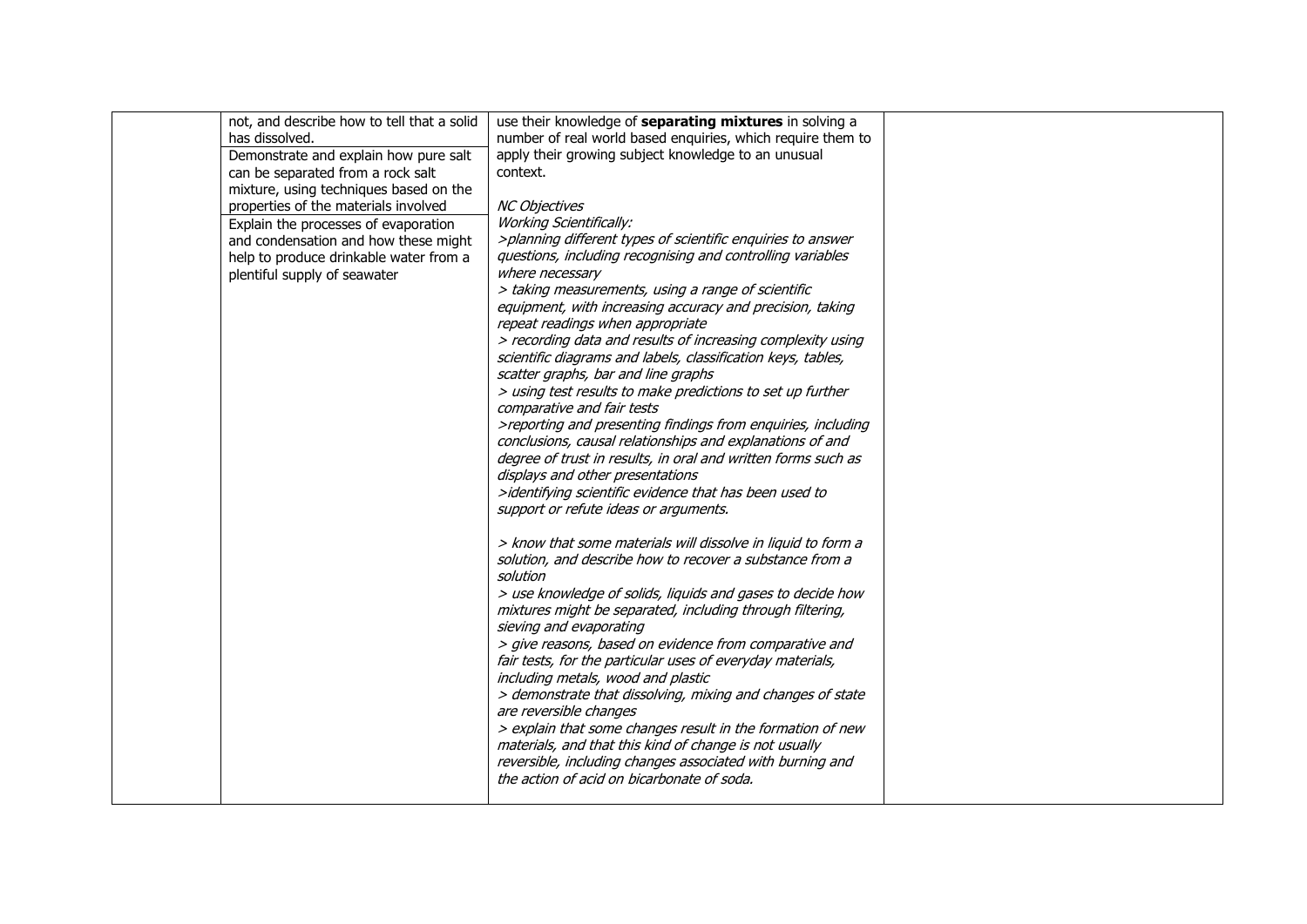| has dissolved.<br>Demonstrate and explain how pure salt<br>can be separated from a rock salt<br>mixture, using techniques based on the<br>properties of the materials involved<br>Explain the processes of evaporation<br>and condensation and how these might<br>help to produce drinkable water from a<br>plentiful supply of seawater | number of real world based enquiries, which require them to<br>apply their growing subject knowledge to an unusual<br>context.<br><b>NC Objectives</b><br><b>Working Scientifically:</b><br>>planning different types of scientific enquiries to answer<br>questions, including recognising and controlling variables<br>where necessary<br>> taking measurements, using a range of scientific<br>equipment, with increasing accuracy and precision, taking<br>repeat readings when appropriate<br>> recording data and results of increasing complexity using<br>scientific diagrams and labels, classification keys, tables,<br>scatter graphs, bar and line graphs<br>> using test results to make predictions to set up further<br>comparative and fair tests<br>>reporting and presenting findings from enquiries, including<br>conclusions, causal relationships and explanations of and<br>degree of trust in results, in oral and written forms such as<br>displays and other presentations<br>>identifying scientific evidence that has been used to<br>support or refute ideas or arguments. |  |
|------------------------------------------------------------------------------------------------------------------------------------------------------------------------------------------------------------------------------------------------------------------------------------------------------------------------------------------|--------------------------------------------------------------------------------------------------------------------------------------------------------------------------------------------------------------------------------------------------------------------------------------------------------------------------------------------------------------------------------------------------------------------------------------------------------------------------------------------------------------------------------------------------------------------------------------------------------------------------------------------------------------------------------------------------------------------------------------------------------------------------------------------------------------------------------------------------------------------------------------------------------------------------------------------------------------------------------------------------------------------------------------------------------------------------------------------------------|--|
|                                                                                                                                                                                                                                                                                                                                          | > know that some materials will dissolve in liquid to form a<br>solution, and describe how to recover a substance from a<br>solution<br>> use knowledge of solids, liquids and gases to decide how<br>mixtures might be separated, including through filtering,<br>sieving and evaporating<br>> give reasons, based on evidence from comparative and<br>fair tests, for the particular uses of everyday materials,<br>including metals, wood and plastic<br>> demonstrate that dissolving, mixing and changes of state<br>are reversible changes<br>> explain that some changes result in the formation of new<br>materials, and that this kind of change is not usually<br>reversible, including changes associated with burning and<br>the action of acid on bicarbonate of soda.                                                                                                                                                                                                                                                                                                                    |  |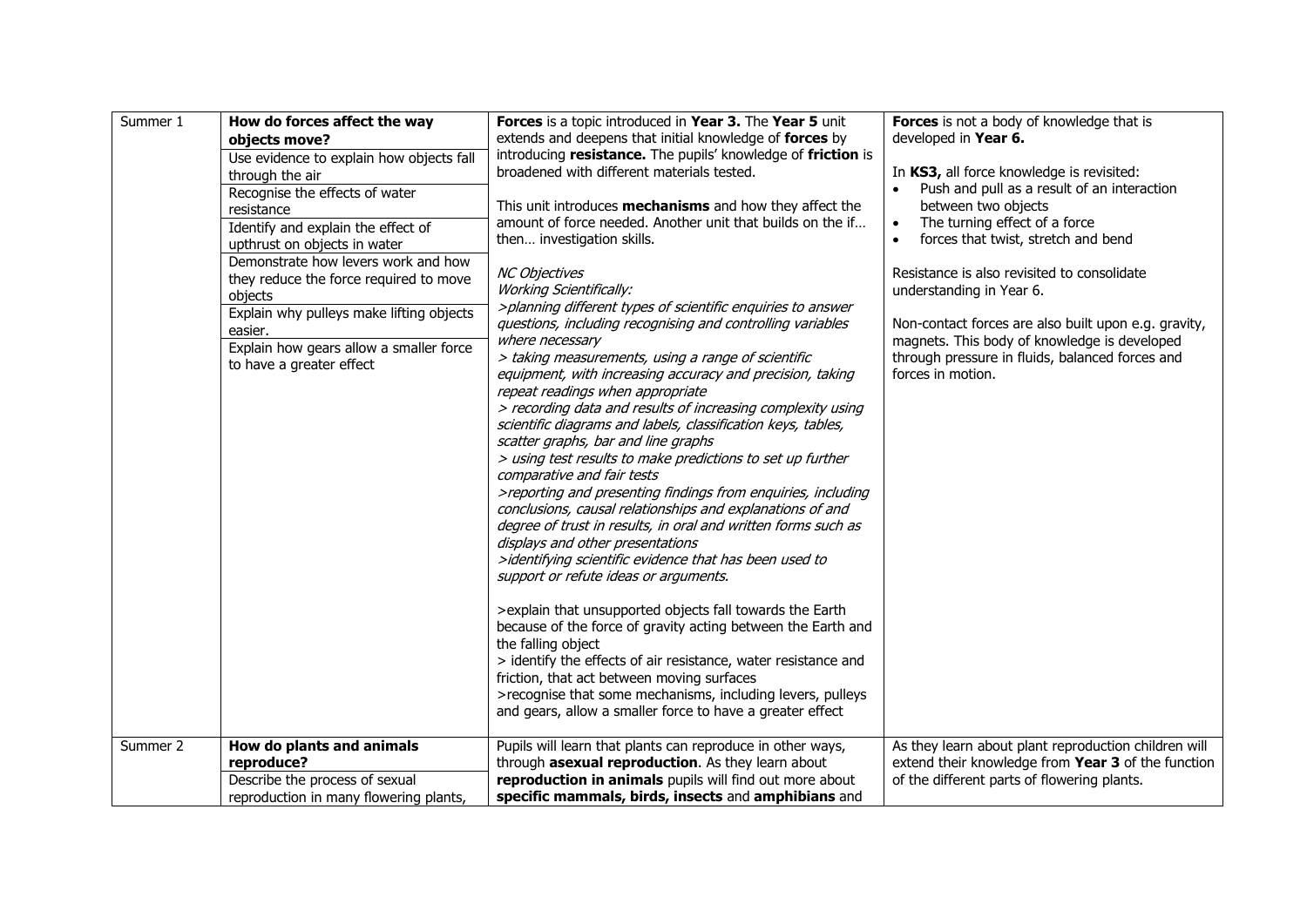| Summer 1 | How do forces affect the way<br>objects move?<br>Use evidence to explain how objects fall<br>through the air<br>Recognise the effects of water<br>resistance<br>Identify and explain the effect of<br>upthrust on objects in water<br>Demonstrate how levers work and how<br>they reduce the force required to move<br>objects<br>Explain why pulleys make lifting objects<br>easier.<br>Explain how gears allow a smaller force<br>to have a greater effect | Forces is a topic introduced in Year 3. The Year 5 unit<br>extends and deepens that initial knowledge of forces by<br>introducing resistance. The pupils' knowledge of friction is<br>broadened with different materials tested.<br>This unit introduces mechanisms and how they affect the<br>amount of force needed. Another unit that builds on the if<br>then investigation skills.<br><b>NC Objectives</b><br><b>Working Scientifically:</b><br>>planning different types of scientific enquiries to answer<br>questions, including recognising and controlling variables<br>where necessary<br>> taking measurements, using a range of scientific<br>equipment, with increasing accuracy and precision, taking<br>repeat readings when appropriate<br>> recording data and results of increasing complexity using<br>scientific diagrams and labels, classification keys, tables,<br>scatter graphs, bar and line graphs<br>> using test results to make predictions to set up further<br>comparative and fair tests<br>>reporting and presenting findings from enquiries, including<br>conclusions, causal relationships and explanations of and<br>degree of trust in results, in oral and written forms such as<br>displays and other presentations<br>>identifying scientific evidence that has been used to<br>support or refute ideas or arguments.<br>>explain that unsupported objects fall towards the Earth<br>because of the force of gravity acting between the Earth and<br>the falling object<br>> identify the effects of air resistance, water resistance and<br>friction, that act between moving surfaces<br>>recognise that some mechanisms, including levers, pulleys<br>and gears, allow a smaller force to have a greater effect | Forces is not a body of knowledge that is<br>developed in Year 6.<br>In KS3, all force knowledge is revisited:<br>Push and pull as a result of an interaction<br>between two objects<br>The turning effect of a force<br>$\bullet$<br>forces that twist, stretch and bend<br>$\bullet$<br>Resistance is also revisited to consolidate<br>understanding in Year 6.<br>Non-contact forces are also built upon e.g. gravity,<br>magnets. This body of knowledge is developed<br>through pressure in fluids, balanced forces and<br>forces in motion. |
|----------|--------------------------------------------------------------------------------------------------------------------------------------------------------------------------------------------------------------------------------------------------------------------------------------------------------------------------------------------------------------------------------------------------------------------------------------------------------------|--------------------------------------------------------------------------------------------------------------------------------------------------------------------------------------------------------------------------------------------------------------------------------------------------------------------------------------------------------------------------------------------------------------------------------------------------------------------------------------------------------------------------------------------------------------------------------------------------------------------------------------------------------------------------------------------------------------------------------------------------------------------------------------------------------------------------------------------------------------------------------------------------------------------------------------------------------------------------------------------------------------------------------------------------------------------------------------------------------------------------------------------------------------------------------------------------------------------------------------------------------------------------------------------------------------------------------------------------------------------------------------------------------------------------------------------------------------------------------------------------------------------------------------------------------------------------------------------------------------------------------------------------------------------------------------------------------------------------------------------------------------|---------------------------------------------------------------------------------------------------------------------------------------------------------------------------------------------------------------------------------------------------------------------------------------------------------------------------------------------------------------------------------------------------------------------------------------------------------------------------------------------------------------------------------------------------|
| Summer 2 | How do plants and animals                                                                                                                                                                                                                                                                                                                                                                                                                                    | Pupils will learn that plants can reproduce in other ways,                                                                                                                                                                                                                                                                                                                                                                                                                                                                                                                                                                                                                                                                                                                                                                                                                                                                                                                                                                                                                                                                                                                                                                                                                                                                                                                                                                                                                                                                                                                                                                                                                                                                                                   | As they learn about plant reproduction children will                                                                                                                                                                                                                                                                                                                                                                                                                                                                                              |
|          | reproduce?                                                                                                                                                                                                                                                                                                                                                                                                                                                   | through asexual reproduction. As they learn about                                                                                                                                                                                                                                                                                                                                                                                                                                                                                                                                                                                                                                                                                                                                                                                                                                                                                                                                                                                                                                                                                                                                                                                                                                                                                                                                                                                                                                                                                                                                                                                                                                                                                                            | extend their knowledge from Year 3 of the function                                                                                                                                                                                                                                                                                                                                                                                                                                                                                                |
|          | Describe the process of sexual                                                                                                                                                                                                                                                                                                                                                                                                                               | reproduction in animals pupils will find out more about                                                                                                                                                                                                                                                                                                                                                                                                                                                                                                                                                                                                                                                                                                                                                                                                                                                                                                                                                                                                                                                                                                                                                                                                                                                                                                                                                                                                                                                                                                                                                                                                                                                                                                      | of the different parts of flowering plants.                                                                                                                                                                                                                                                                                                                                                                                                                                                                                                       |
|          | reproduction in many flowering plants,                                                                                                                                                                                                                                                                                                                                                                                                                       | specific mammals, birds, insects and amphibians and                                                                                                                                                                                                                                                                                                                                                                                                                                                                                                                                                                                                                                                                                                                                                                                                                                                                                                                                                                                                                                                                                                                                                                                                                                                                                                                                                                                                                                                                                                                                                                                                                                                                                                          |                                                                                                                                                                                                                                                                                                                                                                                                                                                                                                                                                   |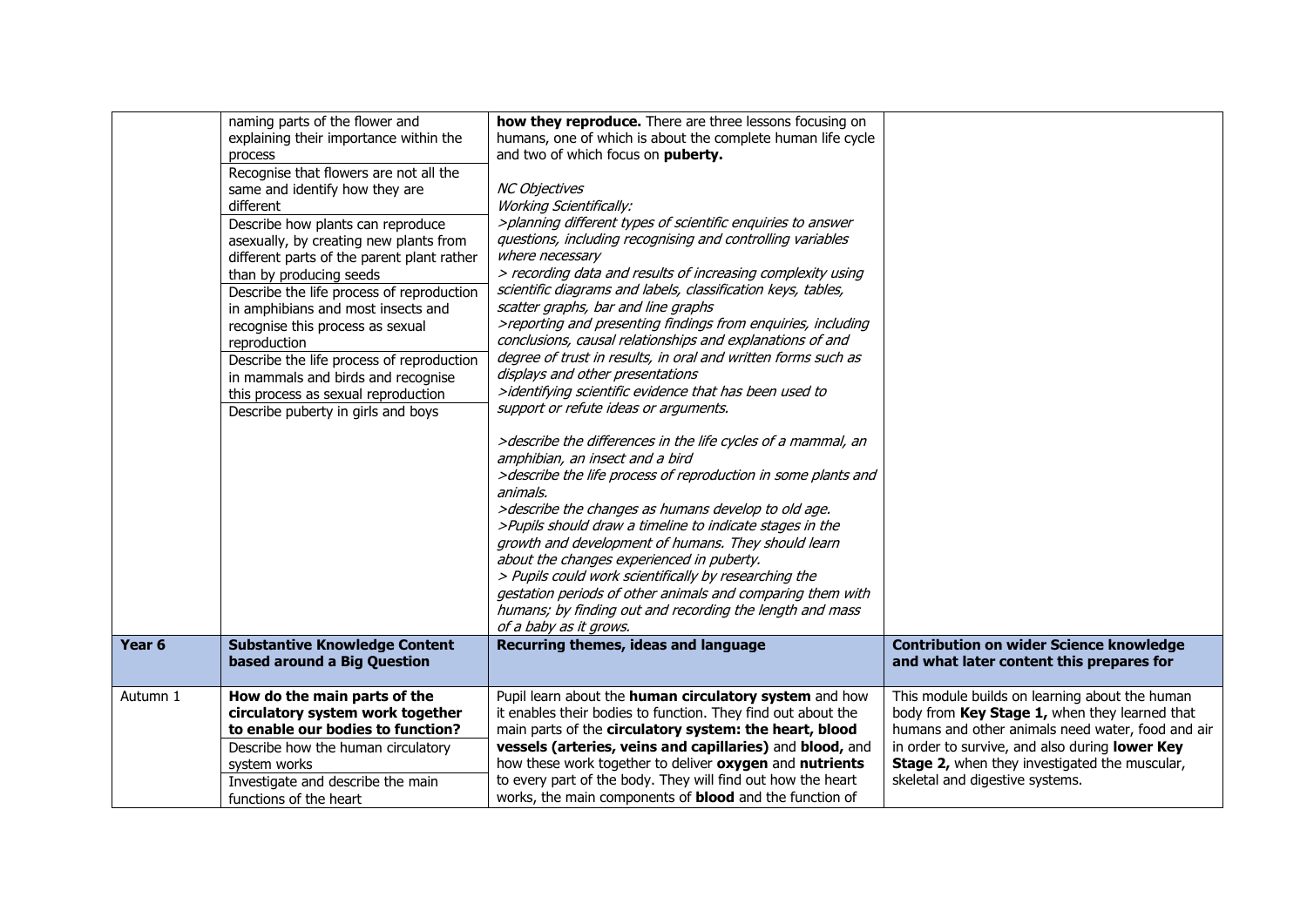| Year <sub>6</sub> | naming parts of the flower and<br>explaining their importance within the<br>process<br>Recognise that flowers are not all the<br>same and identify how they are<br>different<br>Describe how plants can reproduce<br>asexually, by creating new plants from<br>different parts of the parent plant rather<br>than by producing seeds<br>Describe the life process of reproduction<br>in amphibians and most insects and<br>recognise this process as sexual<br>reproduction<br>Describe the life process of reproduction<br>in mammals and birds and recognise<br>this process as sexual reproduction<br>Describe puberty in girls and boys<br><b>Substantive Knowledge Content</b> | how they reproduce. There are three lessons focusing on<br>humans, one of which is about the complete human life cycle<br>and two of which focus on puberty.<br><b>NC Objectives</b><br><b>Working Scientifically:</b><br>>planning different types of scientific enquiries to answer<br>questions, including recognising and controlling variables<br>where necessary<br>> recording data and results of increasing complexity using<br>scientific diagrams and labels, classification keys, tables,<br>scatter graphs, bar and line graphs<br>>reporting and presenting findings from enquiries, including<br>conclusions, causal relationships and explanations of and<br>degree of trust in results, in oral and written forms such as<br>displays and other presentations<br>>identifying scientific evidence that has been used to<br>support or refute ideas or arguments.<br>>describe the differences in the life cycles of a mammal, an<br>amphibian, an insect and a bird<br>>describe the life process of reproduction in some plants and<br>animals.<br>>describe the changes as humans develop to old age.<br>>Pupils should draw a timeline to indicate stages in the<br>growth and development of humans. They should learn<br>about the changes experienced in puberty.<br>> Pupils could work scientifically by researching the<br>gestation periods of other animals and comparing them with<br>humans; by finding out and recording the length and mass<br>of a baby as it grows.<br>Recurring themes, ideas and language | <b>Contribution on wider Science knowledge</b>                                                                                                                                                                                                                                             |
|-------------------|-------------------------------------------------------------------------------------------------------------------------------------------------------------------------------------------------------------------------------------------------------------------------------------------------------------------------------------------------------------------------------------------------------------------------------------------------------------------------------------------------------------------------------------------------------------------------------------------------------------------------------------------------------------------------------------|-----------------------------------------------------------------------------------------------------------------------------------------------------------------------------------------------------------------------------------------------------------------------------------------------------------------------------------------------------------------------------------------------------------------------------------------------------------------------------------------------------------------------------------------------------------------------------------------------------------------------------------------------------------------------------------------------------------------------------------------------------------------------------------------------------------------------------------------------------------------------------------------------------------------------------------------------------------------------------------------------------------------------------------------------------------------------------------------------------------------------------------------------------------------------------------------------------------------------------------------------------------------------------------------------------------------------------------------------------------------------------------------------------------------------------------------------------------------------------------------------------------------------------------------------|--------------------------------------------------------------------------------------------------------------------------------------------------------------------------------------------------------------------------------------------------------------------------------------------|
|                   | based around a Big Question                                                                                                                                                                                                                                                                                                                                                                                                                                                                                                                                                                                                                                                         |                                                                                                                                                                                                                                                                                                                                                                                                                                                                                                                                                                                                                                                                                                                                                                                                                                                                                                                                                                                                                                                                                                                                                                                                                                                                                                                                                                                                                                                                                                                                               | and what later content this prepares for                                                                                                                                                                                                                                                   |
| Autumn 1          | How do the main parts of the<br>circulatory system work together<br>to enable our bodies to function?<br>Describe how the human circulatory<br>system works<br>Investigate and describe the main<br>functions of the heart                                                                                                                                                                                                                                                                                                                                                                                                                                                          | Pupil learn about the human circulatory system and how<br>it enables their bodies to function. They find out about the<br>main parts of the circulatory system: the heart, blood<br>vessels (arteries, veins and capillaries) and blood, and<br>how these work together to deliver oxygen and nutrients<br>to every part of the body. They will find out how the heart<br>works, the main components of <b>blood</b> and the function of                                                                                                                                                                                                                                                                                                                                                                                                                                                                                                                                                                                                                                                                                                                                                                                                                                                                                                                                                                                                                                                                                                      | This module builds on learning about the human<br>body from Key Stage 1, when they learned that<br>humans and other animals need water, food and air<br>in order to survive, and also during lower Key<br>Stage 2, when they investigated the muscular,<br>skeletal and digestive systems. |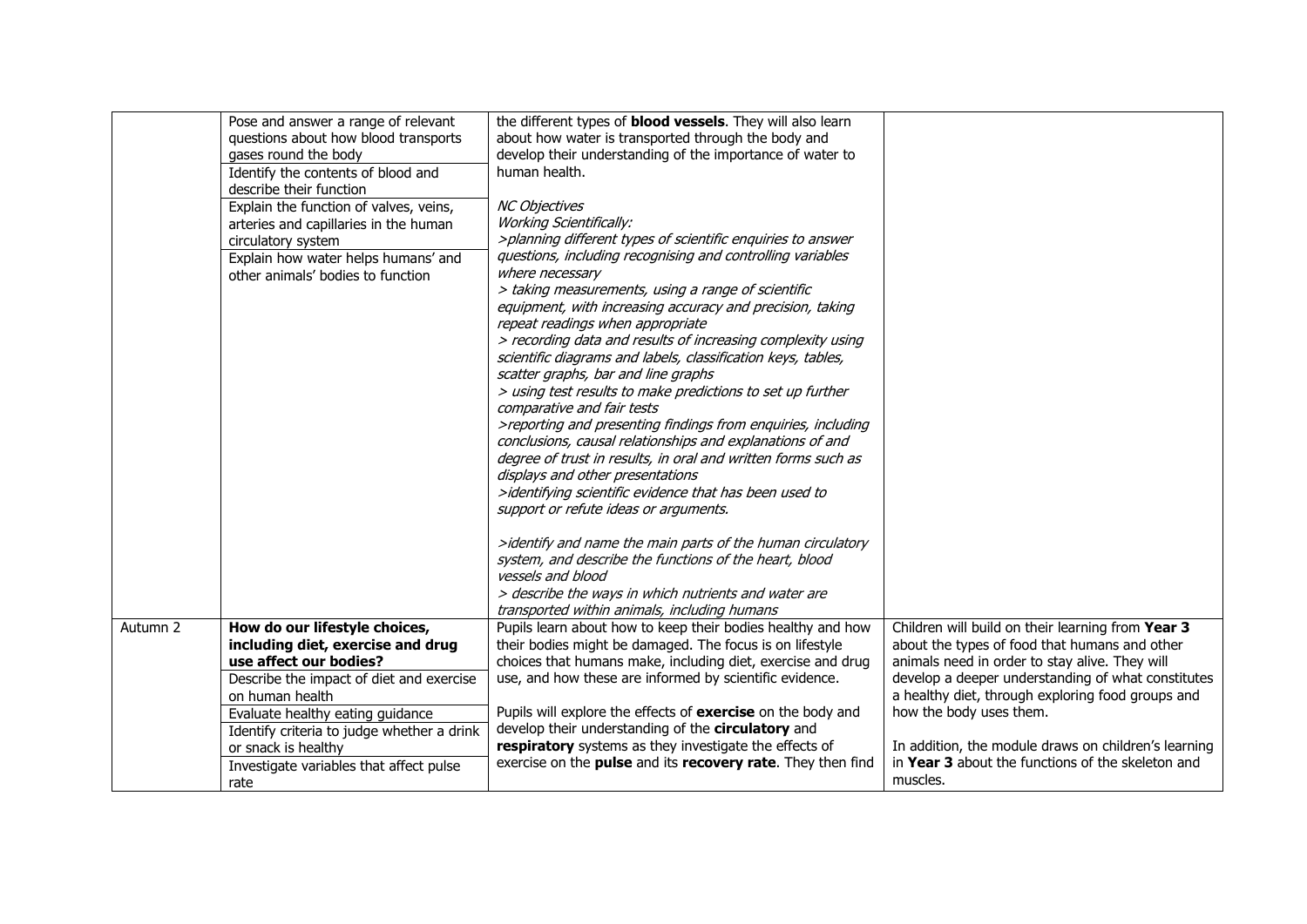|          | Pose and answer a range of relevant<br>questions about how blood transports<br>gases round the body<br>Identify the contents of blood and<br>describe their function<br>Explain the function of valves, veins,<br>arteries and capillaries in the human<br>circulatory system<br>Explain how water helps humans' and<br>other animals' bodies to function | the different types of <b>blood vessels</b> . They will also learn<br>about how water is transported through the body and<br>develop their understanding of the importance of water to<br>human health.<br><b>NC Objectives</b><br><b>Working Scientifically:</b><br>>planning different types of scientific enquiries to answer<br>questions, including recognising and controlling variables<br>where necessary<br>> taking measurements, using a range of scientific<br>equipment, with increasing accuracy and precision, taking<br>repeat readings when appropriate<br>> recording data and results of increasing complexity using<br>scientific diagrams and labels, classification keys, tables, |                                                                                                                                                                                                                                                                                                                                                                                                                     |
|----------|-----------------------------------------------------------------------------------------------------------------------------------------------------------------------------------------------------------------------------------------------------------------------------------------------------------------------------------------------------------|---------------------------------------------------------------------------------------------------------------------------------------------------------------------------------------------------------------------------------------------------------------------------------------------------------------------------------------------------------------------------------------------------------------------------------------------------------------------------------------------------------------------------------------------------------------------------------------------------------------------------------------------------------------------------------------------------------|---------------------------------------------------------------------------------------------------------------------------------------------------------------------------------------------------------------------------------------------------------------------------------------------------------------------------------------------------------------------------------------------------------------------|
|          |                                                                                                                                                                                                                                                                                                                                                           | scatter graphs, bar and line graphs<br>> using test results to make predictions to set up further<br>comparative and fair tests<br>>reporting and presenting findings from enquiries, including<br>conclusions, causal relationships and explanations of and<br>degree of trust in results, in oral and written forms such as<br>displays and other presentations<br>>identifying scientific evidence that has been used to<br>support or refute ideas or arguments.<br>>identify and name the main parts of the human circulatory<br>system, and describe the functions of the heart, blood<br>vessels and blood<br>> describe the ways in which nutrients and water are                               |                                                                                                                                                                                                                                                                                                                                                                                                                     |
| Autumn 2 | How do our lifestyle choices,<br>including diet, exercise and drug<br>use affect our bodies?<br>Describe the impact of diet and exercise<br>on human health<br>Evaluate healthy eating guidance<br>Identify criteria to judge whether a drink<br>or snack is healthy<br>Investigate variables that affect pulse<br>rate                                   | transported within animals, including humans<br>Pupils learn about how to keep their bodies healthy and how<br>their bodies might be damaged. The focus is on lifestyle<br>choices that humans make, including diet, exercise and drug<br>use, and how these are informed by scientific evidence.<br>Pupils will explore the effects of exercise on the body and<br>develop their understanding of the circulatory and<br>respiratory systems as they investigate the effects of<br>exercise on the pulse and its recovery rate. They then find                                                                                                                                                         | Children will build on their learning from Year 3<br>about the types of food that humans and other<br>animals need in order to stay alive. They will<br>develop a deeper understanding of what constitutes<br>a healthy diet, through exploring food groups and<br>how the body uses them.<br>In addition, the module draws on children's learning<br>in Year 3 about the functions of the skeleton and<br>muscles. |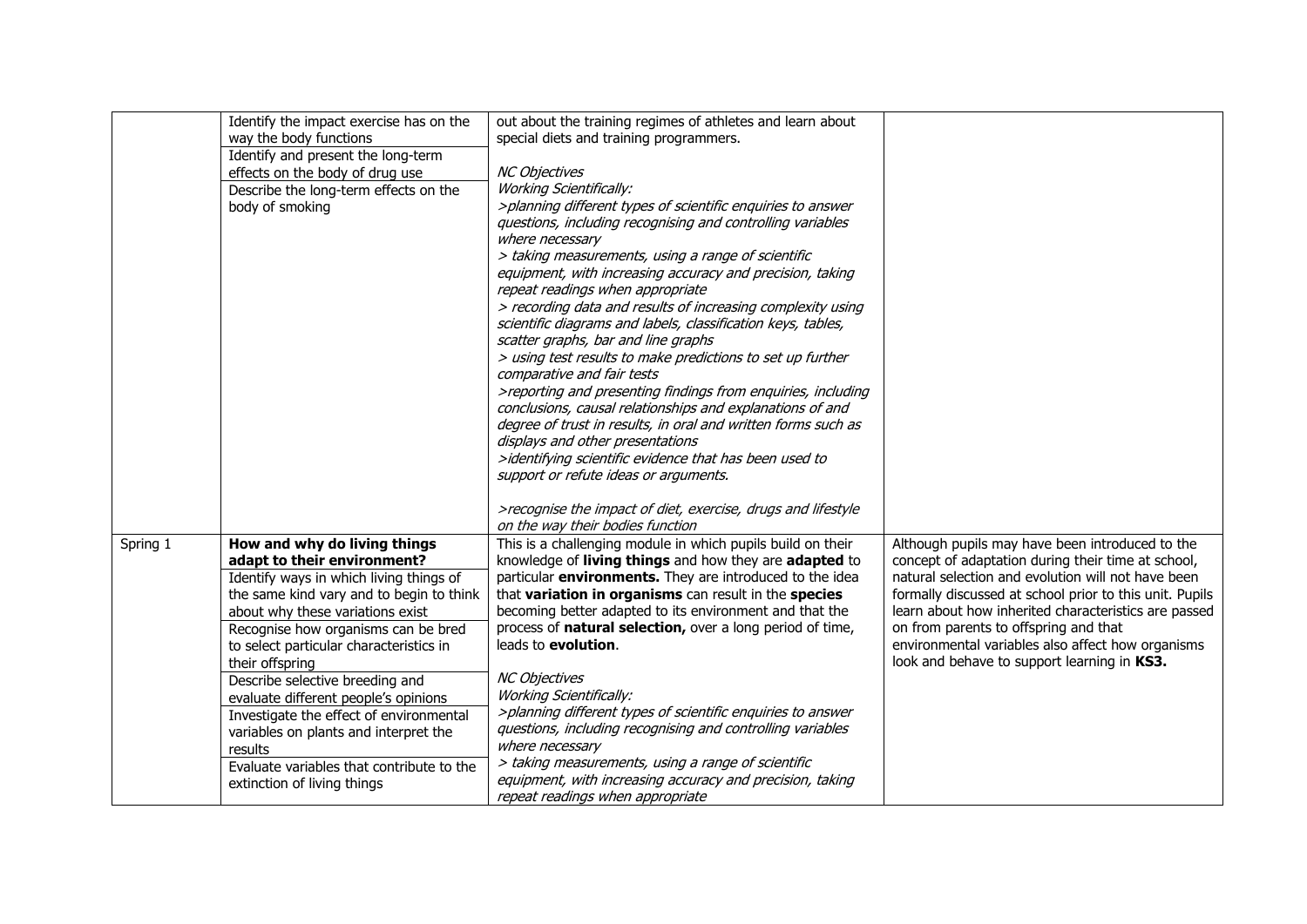|          | Identify the impact exercise has on the   | out about the training regimes of athletes and learn about                                        |                                                         |
|----------|-------------------------------------------|---------------------------------------------------------------------------------------------------|---------------------------------------------------------|
|          | way the body functions                    | special diets and training programmers.                                                           |                                                         |
|          | Identify and present the long-term        |                                                                                                   |                                                         |
|          | effects on the body of drug use           | <b>NC Objectives</b>                                                                              |                                                         |
|          | Describe the long-term effects on the     | <b>Working Scientifically:</b>                                                                    |                                                         |
|          | body of smoking                           | >planning different types of scientific enquiries to answer                                       |                                                         |
|          |                                           | questions, including recognising and controlling variables                                        |                                                         |
|          |                                           | where necessary                                                                                   |                                                         |
|          |                                           | > taking measurements, using a range of scientific                                                |                                                         |
|          |                                           | equipment, with increasing accuracy and precision, taking                                         |                                                         |
|          |                                           | repeat readings when appropriate                                                                  |                                                         |
|          |                                           | > recording data and results of increasing complexity using                                       |                                                         |
|          |                                           | scientific diagrams and labels, classification keys, tables,                                      |                                                         |
|          |                                           | scatter graphs, bar and line graphs                                                               |                                                         |
|          |                                           | > using test results to make predictions to set up further                                        |                                                         |
|          |                                           | comparative and fair tests                                                                        |                                                         |
|          |                                           | >reporting and presenting findings from enquiries, including                                      |                                                         |
|          |                                           | conclusions, causal relationships and explanations of and                                         |                                                         |
|          |                                           | degree of trust in results, in oral and written forms such as<br>displays and other presentations |                                                         |
|          |                                           | >identifying scientific evidence that has been used to                                            |                                                         |
|          |                                           | support or refute ideas or arguments.                                                             |                                                         |
|          |                                           |                                                                                                   |                                                         |
|          |                                           | >recognise the impact of diet, exercise, drugs and lifestyle                                      |                                                         |
|          |                                           | on the way their bodies function                                                                  |                                                         |
| Spring 1 | How and why do living things              | This is a challenging module in which pupils build on their                                       | Although pupils may have been introduced to the         |
|          | adapt to their environment?               | knowledge of living things and how they are adapted to                                            | concept of adaptation during their time at school,      |
|          | Identify ways in which living things of   | particular environments. They are introduced to the idea                                          | natural selection and evolution will not have been      |
|          | the same kind vary and to begin to think  | that variation in organisms can result in the species                                             | formally discussed at school prior to this unit. Pupils |
|          | about why these variations exist          | becoming better adapted to its environment and that the                                           | learn about how inherited characteristics are passed    |
|          | Recognise how organisms can be bred       | process of natural selection, over a long period of time,                                         | on from parents to offspring and that                   |
|          | to select particular characteristics in   | leads to evolution.                                                                               | environmental variables also affect how organisms       |
|          | their offspring                           |                                                                                                   | look and behave to support learning in KS3.             |
|          | Describe selective breeding and           | <b>NC Objectives</b>                                                                              |                                                         |
|          | evaluate different people's opinions      | <b>Working Scientifically:</b>                                                                    |                                                         |
|          | Investigate the effect of environmental   | >planning different types of scientific enquiries to answer                                       |                                                         |
|          | variables on plants and interpret the     | questions, including recognising and controlling variables                                        |                                                         |
|          | results                                   | where necessary                                                                                   |                                                         |
|          | Evaluate variables that contribute to the | > taking measurements, using a range of scientific                                                |                                                         |
|          | extinction of living things               | equipment, with increasing accuracy and precision, taking                                         |                                                         |
|          |                                           | repeat readings when appropriate                                                                  |                                                         |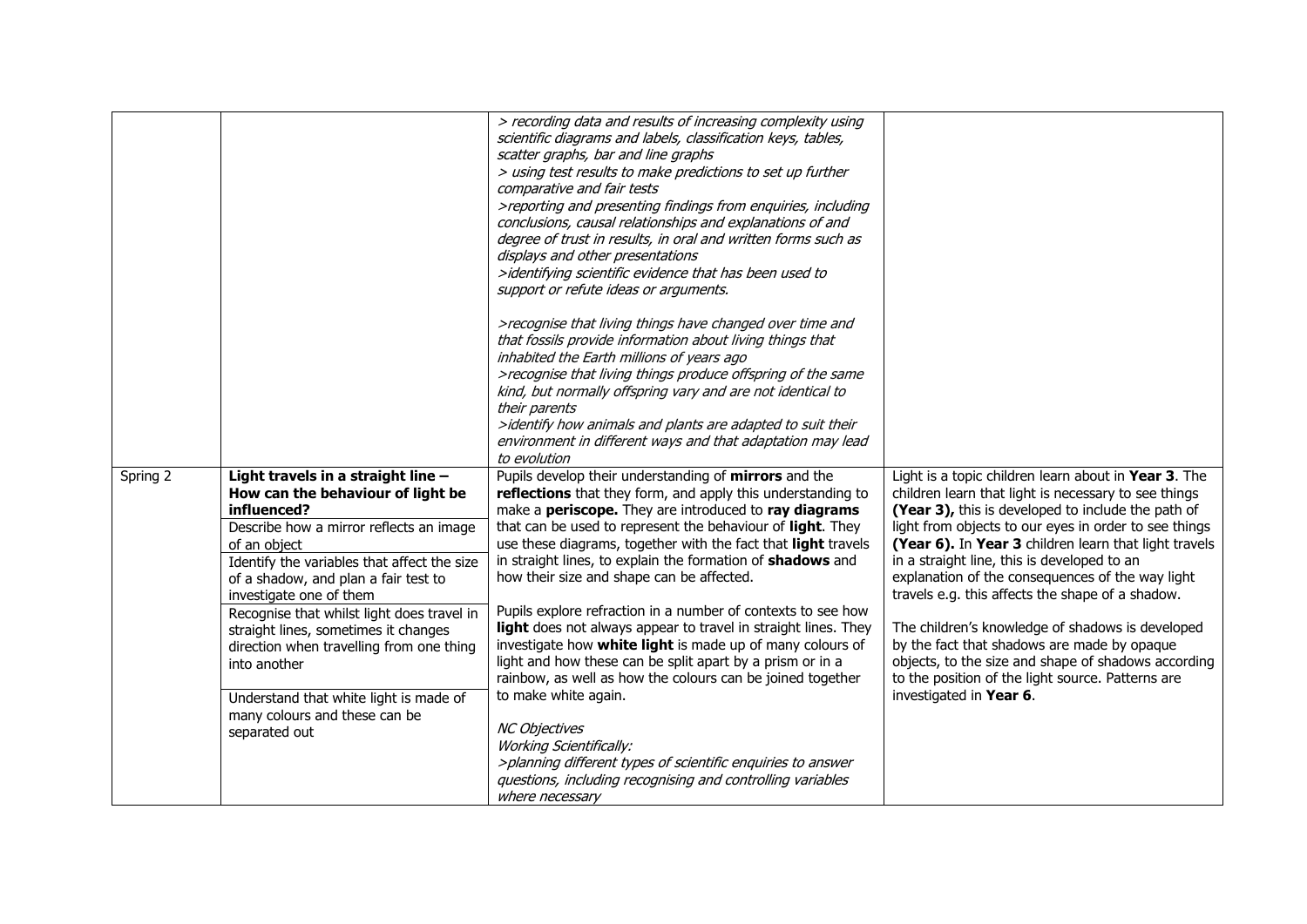|          |                                                                                                                                                                                                                                                                                                                                                                                                                       | > recording data and results of increasing complexity using<br>scientific diagrams and labels, classification keys, tables,<br>scatter graphs, bar and line graphs<br>> using test results to make predictions to set up further<br>comparative and fair tests<br>>reporting and presenting findings from enquiries, including<br>conclusions, causal relationships and explanations of and<br>degree of trust in results, in oral and written forms such as<br>displays and other presentations<br>>identifying scientific evidence that has been used to<br>support or refute ideas or arguments.                                                                                                                                                                       |                                                                                                                                                                                                                                                                                                                                                                                                                                                                                                                                                                                                                                                                                       |
|----------|-----------------------------------------------------------------------------------------------------------------------------------------------------------------------------------------------------------------------------------------------------------------------------------------------------------------------------------------------------------------------------------------------------------------------|---------------------------------------------------------------------------------------------------------------------------------------------------------------------------------------------------------------------------------------------------------------------------------------------------------------------------------------------------------------------------------------------------------------------------------------------------------------------------------------------------------------------------------------------------------------------------------------------------------------------------------------------------------------------------------------------------------------------------------------------------------------------------|---------------------------------------------------------------------------------------------------------------------------------------------------------------------------------------------------------------------------------------------------------------------------------------------------------------------------------------------------------------------------------------------------------------------------------------------------------------------------------------------------------------------------------------------------------------------------------------------------------------------------------------------------------------------------------------|
|          |                                                                                                                                                                                                                                                                                                                                                                                                                       | >recognise that living things have changed over time and<br>that fossils provide information about living things that<br>inhabited the Earth millions of years ago<br>>recognise that living things produce offspring of the same<br>kind, but normally offspring vary and are not identical to<br>their parents<br>>identify how animals and plants are adapted to suit their<br>environment in different ways and that adaptation may lead<br>to evolution                                                                                                                                                                                                                                                                                                              |                                                                                                                                                                                                                                                                                                                                                                                                                                                                                                                                                                                                                                                                                       |
| Spring 2 | Light travels in a straight line -<br>How can the behaviour of light be<br>influenced?<br>Describe how a mirror reflects an image<br>of an object<br>Identify the variables that affect the size<br>of a shadow, and plan a fair test to<br>investigate one of them<br>Recognise that whilst light does travel in<br>straight lines, sometimes it changes<br>direction when travelling from one thing<br>into another | Pupils develop their understanding of mirrors and the<br>reflections that they form, and apply this understanding to<br>make a periscope. They are introduced to ray diagrams<br>that can be used to represent the behaviour of light. They<br>use these diagrams, together with the fact that light travels<br>in straight lines, to explain the formation of shadows and<br>how their size and shape can be affected.<br>Pupils explore refraction in a number of contexts to see how<br>light does not always appear to travel in straight lines. They<br>investigate how white light is made up of many colours of<br>light and how these can be split apart by a prism or in a<br>rainbow, as well as how the colours can be joined together<br>to make white again. | Light is a topic children learn about in Year 3. The<br>children learn that light is necessary to see things<br>(Year 3), this is developed to include the path of<br>light from objects to our eyes in order to see things<br>(Year 6). In Year 3 children learn that light travels<br>in a straight line, this is developed to an<br>explanation of the consequences of the way light<br>travels e.g. this affects the shape of a shadow.<br>The children's knowledge of shadows is developed<br>by the fact that shadows are made by opaque<br>objects, to the size and shape of shadows according<br>to the position of the light source. Patterns are<br>investigated in Year 6. |
|          | Understand that white light is made of<br>many colours and these can be<br>separated out                                                                                                                                                                                                                                                                                                                              | <b>NC Objectives</b><br><b>Working Scientifically:</b><br>>planning different types of scientific enquiries to answer<br>questions, including recognising and controlling variables<br>where necessary                                                                                                                                                                                                                                                                                                                                                                                                                                                                                                                                                                    |                                                                                                                                                                                                                                                                                                                                                                                                                                                                                                                                                                                                                                                                                       |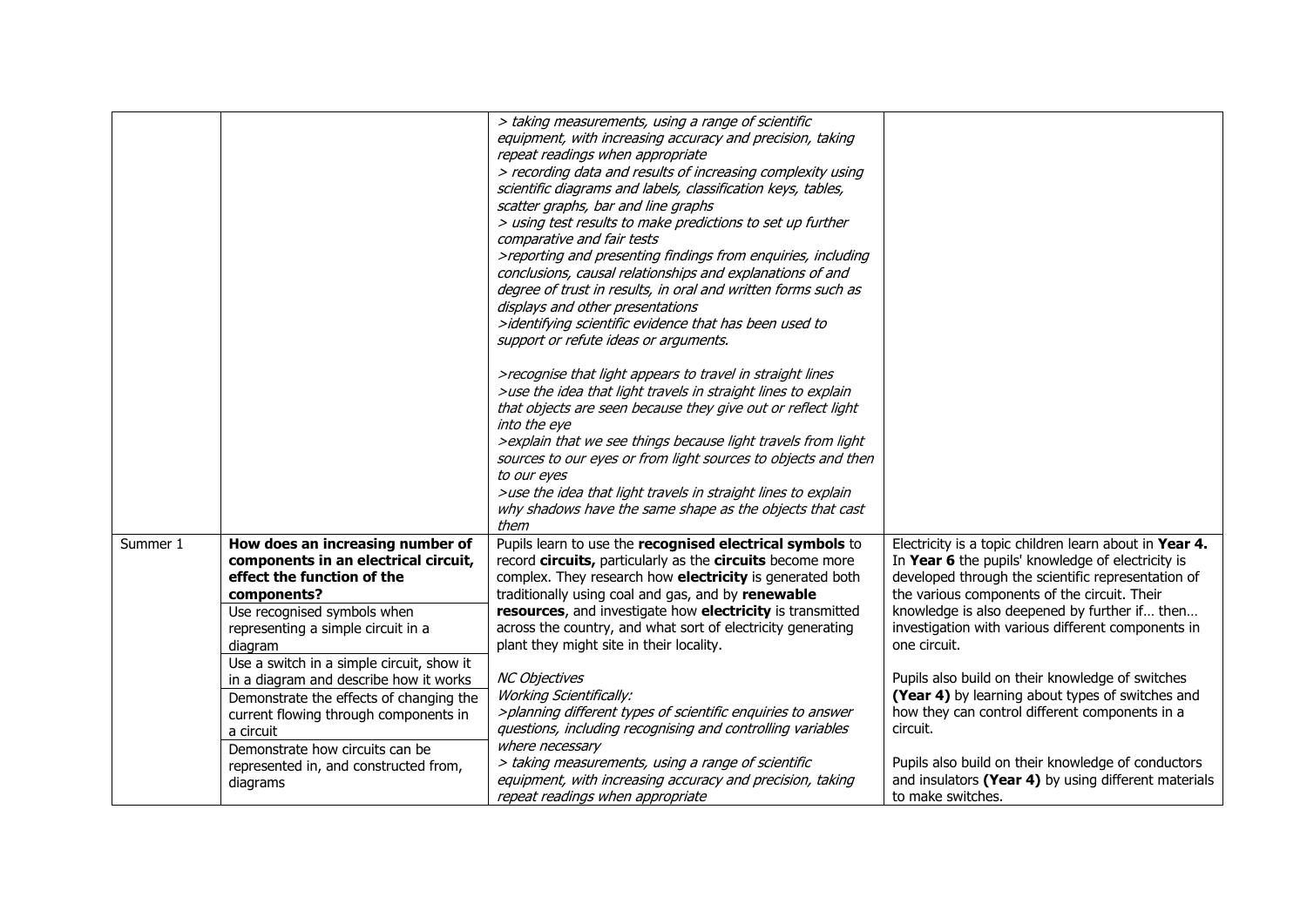|          |                                                                                                                                                                                                                                                                              | > taking measurements, using a range of scientific<br>equipment, with increasing accuracy and precision, taking<br>repeat readings when appropriate<br>> recording data and results of increasing complexity using<br>scientific diagrams and labels, classification keys, tables,<br>scatter graphs, bar and line graphs<br>> using test results to make predictions to set up further<br>comparative and fair tests<br>>reporting and presenting findings from enquiries, including<br>conclusions, causal relationships and explanations of and<br>degree of trust in results, in oral and written forms such as<br>displays and other presentations<br>>identifying scientific evidence that has been used to<br>support or refute ideas or arguments.<br>>recognise that light appears to travel in straight lines<br>>use the idea that light travels in straight lines to explain<br>that objects are seen because they give out or reflect light<br>into the eye<br>> explain that we see things because light travels from light<br>sources to our eyes or from light sources to objects and then<br>to our eyes<br>>use the idea that light travels in straight lines to explain<br>why shadows have the same shape as the objects that cast<br>them |                                                                                                                                                                                                                                                                                                                                          |
|----------|------------------------------------------------------------------------------------------------------------------------------------------------------------------------------------------------------------------------------------------------------------------------------|----------------------------------------------------------------------------------------------------------------------------------------------------------------------------------------------------------------------------------------------------------------------------------------------------------------------------------------------------------------------------------------------------------------------------------------------------------------------------------------------------------------------------------------------------------------------------------------------------------------------------------------------------------------------------------------------------------------------------------------------------------------------------------------------------------------------------------------------------------------------------------------------------------------------------------------------------------------------------------------------------------------------------------------------------------------------------------------------------------------------------------------------------------------------------------------------------------------------------------------------------------------|------------------------------------------------------------------------------------------------------------------------------------------------------------------------------------------------------------------------------------------------------------------------------------------------------------------------------------------|
| Summer 1 | How does an increasing number of<br>components in an electrical circuit,<br>effect the function of the<br>components?<br>Use recognised symbols when<br>representing a simple circuit in a<br>diagram                                                                        | Pupils learn to use the recognised electrical symbols to<br>record circuits, particularly as the circuits become more<br>complex. They research how electricity is generated both<br>traditionally using coal and gas, and by renewable<br>resources, and investigate how electricity is transmitted<br>across the country, and what sort of electricity generating<br>plant they might site in their locality.                                                                                                                                                                                                                                                                                                                                                                                                                                                                                                                                                                                                                                                                                                                                                                                                                                                | Electricity is a topic children learn about in Year 4.<br>In Year 6 the pupils' knowledge of electricity is<br>developed through the scientific representation of<br>the various components of the circuit. Their<br>knowledge is also deepened by further if then<br>investigation with various different components in<br>one circuit. |
|          | Use a switch in a simple circuit, show it<br>in a diagram and describe how it works<br>Demonstrate the effects of changing the<br>current flowing through components in<br>a circuit<br>Demonstrate how circuits can be<br>represented in, and constructed from,<br>diagrams | <b>NC Objectives</b><br><b>Working Scientifically:</b><br>>planning different types of scientific enquiries to answer<br>questions, including recognising and controlling variables<br>where necessary<br>> taking measurements, using a range of scientific<br>equipment, with increasing accuracy and precision, taking<br>repeat readings when appropriate                                                                                                                                                                                                                                                                                                                                                                                                                                                                                                                                                                                                                                                                                                                                                                                                                                                                                                  | Pupils also build on their knowledge of switches<br>(Year 4) by learning about types of switches and<br>how they can control different components in a<br>circuit.<br>Pupils also build on their knowledge of conductors<br>and insulators (Year 4) by using different materials<br>to make switches.                                    |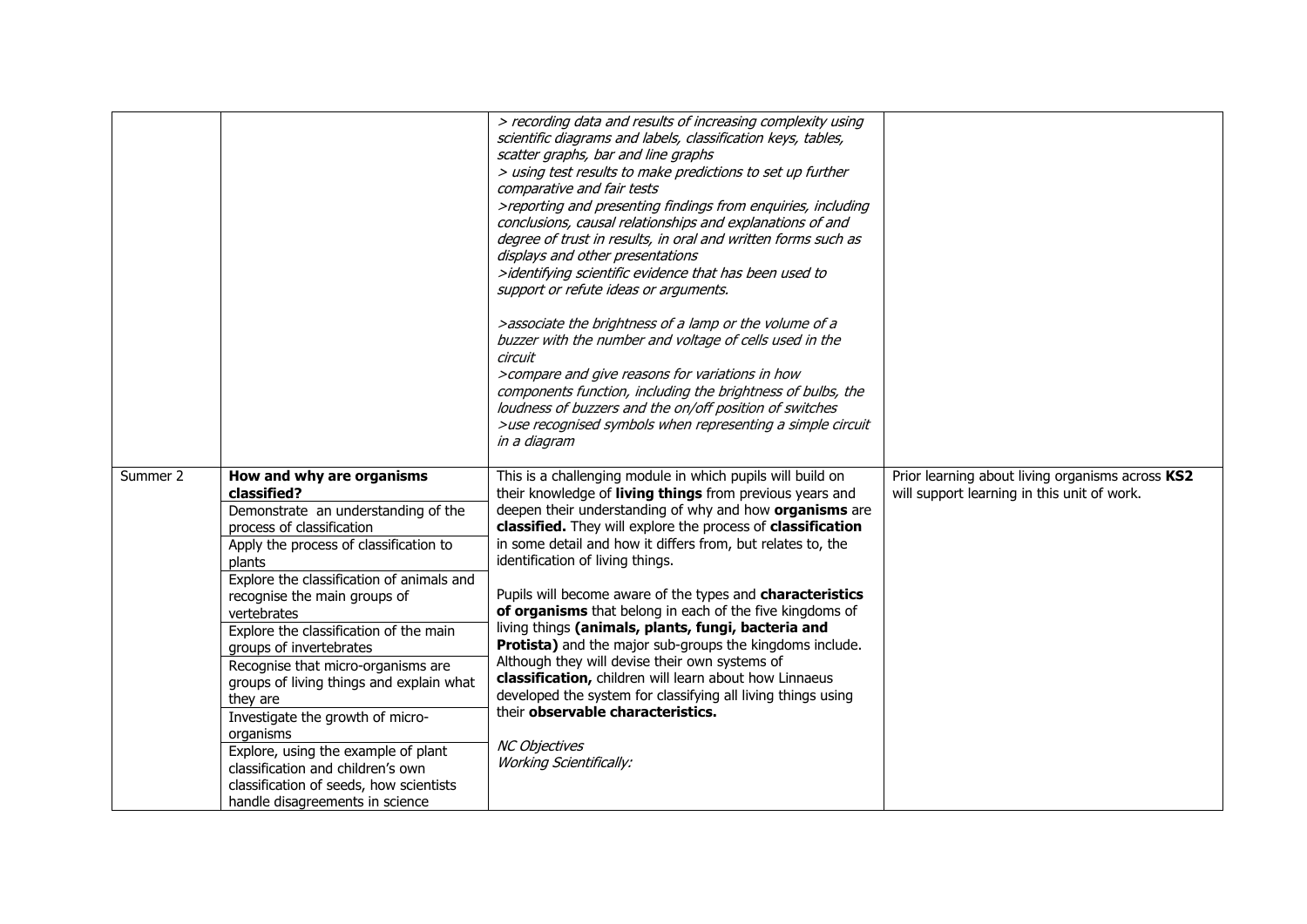|          |                                                                                                                                                                                                                                                                                                                                                                                                                                                                                                                                                                                                                                            | > recording data and results of increasing complexity using<br>scientific diagrams and labels, classification keys, tables,<br>scatter graphs, bar and line graphs<br>> using test results to make predictions to set up further<br>comparative and fair tests<br>>reporting and presenting findings from enquiries, including<br>conclusions, causal relationships and explanations of and<br>degree of trust in results, in oral and written forms such as<br>displays and other presentations<br>>identifying scientific evidence that has been used to<br>support or refute ideas or arguments.<br>>associate the brightness of a lamp or the volume of a<br>buzzer with the number and voltage of cells used in the<br>circuit<br>>compare and give reasons for variations in how<br>components function, including the brightness of bulbs, the<br>loudness of buzzers and the on/off position of switches<br>>use recognised symbols when representing a simple circuit<br>in a diagram |                                                                                                 |
|----------|--------------------------------------------------------------------------------------------------------------------------------------------------------------------------------------------------------------------------------------------------------------------------------------------------------------------------------------------------------------------------------------------------------------------------------------------------------------------------------------------------------------------------------------------------------------------------------------------------------------------------------------------|------------------------------------------------------------------------------------------------------------------------------------------------------------------------------------------------------------------------------------------------------------------------------------------------------------------------------------------------------------------------------------------------------------------------------------------------------------------------------------------------------------------------------------------------------------------------------------------------------------------------------------------------------------------------------------------------------------------------------------------------------------------------------------------------------------------------------------------------------------------------------------------------------------------------------------------------------------------------------------------------|-------------------------------------------------------------------------------------------------|
| Summer 2 | How and why are organisms<br>classified?<br>Demonstrate an understanding of the<br>process of classification<br>Apply the process of classification to<br>plants<br>Explore the classification of animals and<br>recognise the main groups of<br>vertebrates<br>Explore the classification of the main<br>groups of invertebrates<br>Recognise that micro-organisms are<br>groups of living things and explain what<br>they are<br>Investigate the growth of micro-<br>organisms<br>Explore, using the example of plant<br>classification and children's own<br>classification of seeds, how scientists<br>handle disagreements in science | This is a challenging module in which pupils will build on<br>their knowledge of living things from previous years and<br>deepen their understanding of why and how organisms are<br>classified. They will explore the process of classification<br>in some detail and how it differs from, but relates to, the<br>identification of living things.<br>Pupils will become aware of the types and characteristics<br>of organisms that belong in each of the five kingdoms of<br>living things (animals, plants, fungi, bacteria and<br>Protista) and the major sub-groups the kingdoms include.<br>Although they will devise their own systems of<br>classification, children will learn about how Linnaeus<br>developed the system for classifying all living things using<br>their observable characteristics.<br><b>NC Objectives</b><br><b>Working Scientifically:</b>                                                                                                                     | Prior learning about living organisms across KS2<br>will support learning in this unit of work. |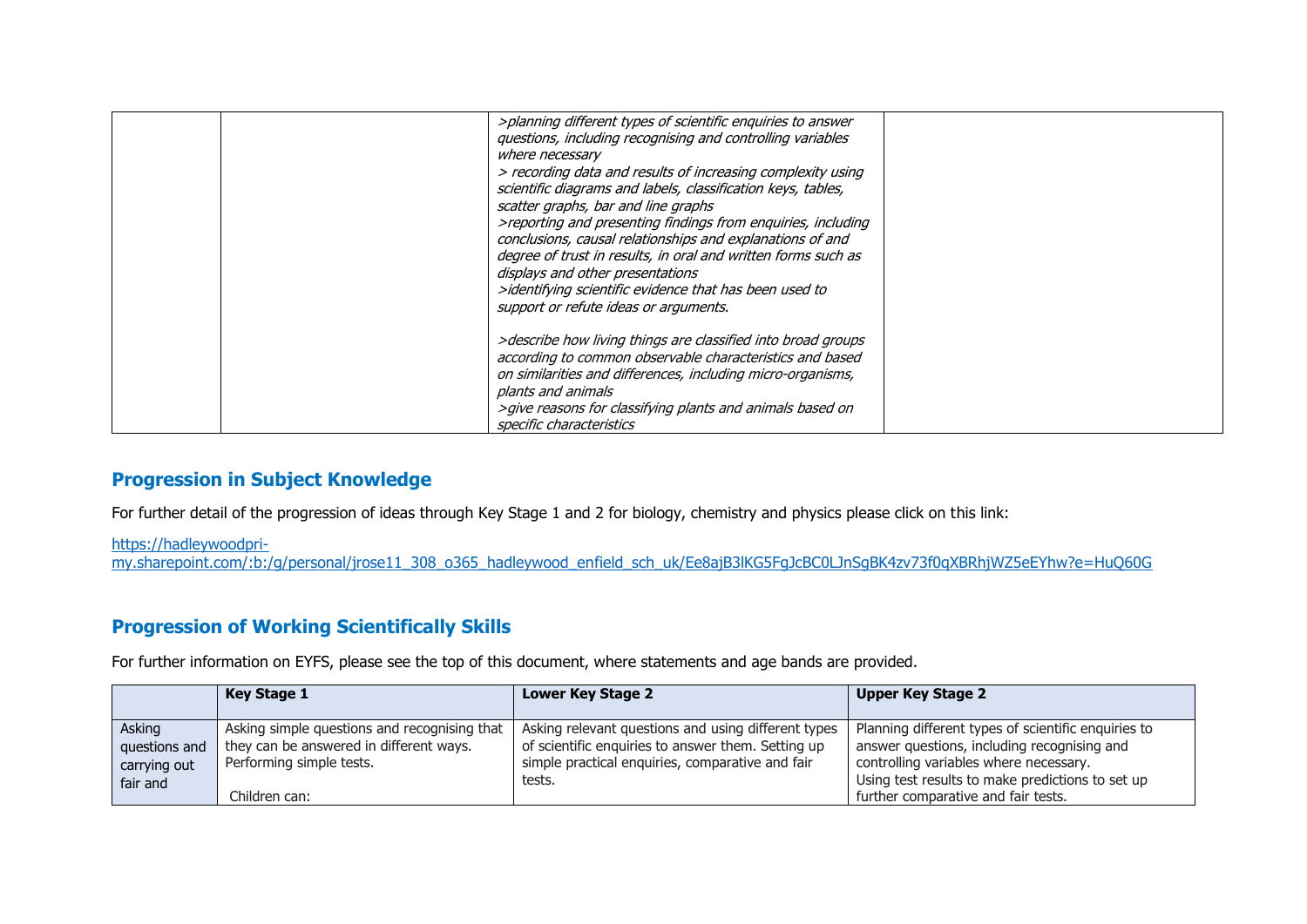| >planning different types of scientific enquiries to answer<br>questions, including recognising and controlling variables<br>where necessary<br>> recording data and results of increasing complexity using<br>scientific diagrams and labels, classification keys, tables,<br>scatter graphs, bar and line graphs<br>>reporting and presenting findings from enquiries, including<br>conclusions, causal relationships and explanations of and<br>degree of trust in results, in oral and written forms such as<br>displays and other presentations<br>>identifying scientific evidence that has been used to<br>support or refute ideas or arguments. |  |
|---------------------------------------------------------------------------------------------------------------------------------------------------------------------------------------------------------------------------------------------------------------------------------------------------------------------------------------------------------------------------------------------------------------------------------------------------------------------------------------------------------------------------------------------------------------------------------------------------------------------------------------------------------|--|
| >describe how living things are classified into broad groups<br>according to common observable characteristics and based<br>on similarities and differences, including micro-organisms,<br>plants and animals<br>>give reasons for classifying plants and animals based on<br>specific characteristics                                                                                                                                                                                                                                                                                                                                                  |  |

## **Progression in Subject Knowledge**

For further detail of the progression of ideas through Key Stage 1 and 2 for biology, chemistry and physics please click on this link:

[https://hadleywoodpri-](https://hadleywoodpri-my.sharepoint.com/:b:/g/personal/jrose11_308_o365_hadleywood_enfield_sch_uk/Ee8ajB3lKG5FgJcBC0LJnSgBK4zv73f0qXBRhjWZ5eEYhw?e=HuQ60G)

[my.sharepoint.com/:b:/g/personal/jrose11\\_308\\_o365\\_hadleywood\\_enfield\\_sch\\_uk/Ee8ajB3lKG5FgJcBC0LJnSgBK4zv73f0qXBRhjWZ5eEYhw?e=HuQ60G](https://hadleywoodpri-my.sharepoint.com/:b:/g/personal/jrose11_308_o365_hadleywood_enfield_sch_uk/Ee8ajB3lKG5FgJcBC0LJnSgBK4zv73f0qXBRhjWZ5eEYhw?e=HuQ60G)

## **Progression of Working Scientifically Skills**

For further information on EYFS, please see the top of this document, where statements and age bands are provided.

|                                                     | Key Stage 1                                                                                                         | Lower Key Stage 2                                                                                                                                                       | <b>Upper Key Stage 2</b>                                                                                                                                                                         |
|-----------------------------------------------------|---------------------------------------------------------------------------------------------------------------------|-------------------------------------------------------------------------------------------------------------------------------------------------------------------------|--------------------------------------------------------------------------------------------------------------------------------------------------------------------------------------------------|
| Asking<br>questions and<br>carrying out<br>fair and | Asking simple questions and recognising that<br>they can be answered in different ways.<br>Performing simple tests. | Asking relevant questions and using different types<br>of scientific enquiries to answer them. Setting up<br>simple practical enquiries, comparative and fair<br>tests. | Planning different types of scientific enquiries to<br>answer questions, including recognising and<br>controlling variables where necessary.<br>Using test results to make predictions to set up |
|                                                     | Children can:                                                                                                       |                                                                                                                                                                         | further comparative and fair tests.                                                                                                                                                              |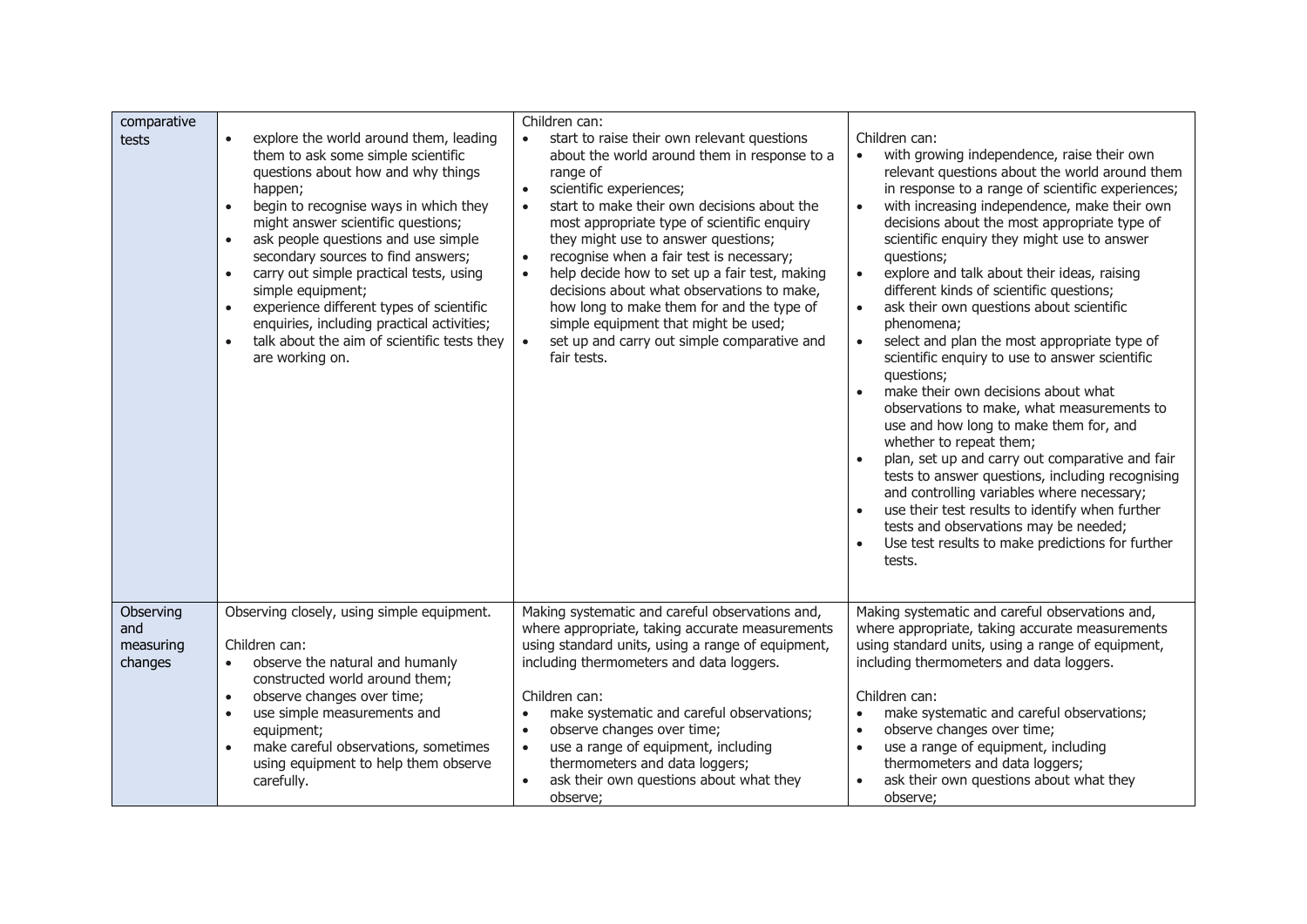| comparative<br>tests                     | explore the world around them, leading<br>$\bullet$<br>them to ask some simple scientific<br>questions about how and why things<br>happen;<br>begin to recognise ways in which they<br>$\bullet$<br>might answer scientific questions;<br>ask people questions and use simple<br>$\bullet$<br>secondary sources to find answers;<br>carry out simple practical tests, using<br>$\bullet$<br>simple equipment;<br>experience different types of scientific<br>$\bullet$<br>enquiries, including practical activities;<br>talk about the aim of scientific tests they<br>are working on. | Children can:<br>start to raise their own relevant questions<br>$\bullet$<br>about the world around them in response to a<br>range of<br>scientific experiences;<br>$\bullet$<br>start to make their own decisions about the<br>$\bullet$<br>most appropriate type of scientific enquiry<br>they might use to answer questions;<br>recognise when a fair test is necessary;<br>$\bullet$<br>help decide how to set up a fair test, making<br>$\bullet$<br>decisions about what observations to make,<br>how long to make them for and the type of<br>simple equipment that might be used;<br>set up and carry out simple comparative and<br>$\bullet$<br>fair tests. | Children can:<br>with growing independence, raise their own<br>relevant questions about the world around them<br>in response to a range of scientific experiences;<br>with increasing independence, make their own<br>$\bullet$<br>decisions about the most appropriate type of<br>scientific enquiry they might use to answer<br>questions;<br>$\bullet$<br>explore and talk about their ideas, raising<br>different kinds of scientific questions;<br>ask their own questions about scientific<br>phenomena;<br>select and plan the most appropriate type of<br>$\bullet$<br>scientific enquiry to use to answer scientific<br>questions;<br>make their own decisions about what<br>$\bullet$<br>observations to make, what measurements to<br>use and how long to make them for, and<br>whether to repeat them;<br>plan, set up and carry out comparative and fair<br>$\bullet$<br>tests to answer questions, including recognising<br>and controlling variables where necessary;<br>use their test results to identify when further<br>$\bullet$<br>tests and observations may be needed;<br>Use test results to make predictions for further<br>$\bullet$<br>tests. |
|------------------------------------------|----------------------------------------------------------------------------------------------------------------------------------------------------------------------------------------------------------------------------------------------------------------------------------------------------------------------------------------------------------------------------------------------------------------------------------------------------------------------------------------------------------------------------------------------------------------------------------------|----------------------------------------------------------------------------------------------------------------------------------------------------------------------------------------------------------------------------------------------------------------------------------------------------------------------------------------------------------------------------------------------------------------------------------------------------------------------------------------------------------------------------------------------------------------------------------------------------------------------------------------------------------------------|--------------------------------------------------------------------------------------------------------------------------------------------------------------------------------------------------------------------------------------------------------------------------------------------------------------------------------------------------------------------------------------------------------------------------------------------------------------------------------------------------------------------------------------------------------------------------------------------------------------------------------------------------------------------------------------------------------------------------------------------------------------------------------------------------------------------------------------------------------------------------------------------------------------------------------------------------------------------------------------------------------------------------------------------------------------------------------------------------------------------------------------------------------------------------|
| Observing<br>and<br>measuring<br>changes | Observing closely, using simple equipment.<br>Children can:<br>observe the natural and humanly<br>$\bullet$<br>constructed world around them;<br>observe changes over time;<br>$\bullet$<br>use simple measurements and<br>$\bullet$<br>equipment;<br>make careful observations, sometimes<br>using equipment to help them observe<br>carefully.                                                                                                                                                                                                                                       | Making systematic and careful observations and,<br>where appropriate, taking accurate measurements<br>using standard units, using a range of equipment,<br>including thermometers and data loggers.<br>Children can:<br>make systematic and careful observations;<br>$\bullet$<br>observe changes over time;<br>$\bullet$<br>use a range of equipment, including<br>$\bullet$<br>thermometers and data loggers;<br>ask their own questions about what they<br>$\bullet$<br>observe;                                                                                                                                                                                  | Making systematic and careful observations and,<br>where appropriate, taking accurate measurements<br>using standard units, using a range of equipment,<br>including thermometers and data loggers.<br>Children can:<br>make systematic and careful observations;<br>$\bullet$<br>observe changes over time;<br>$\bullet$<br>use a range of equipment, including<br>$\bullet$<br>thermometers and data loggers;<br>ask their own questions about what they<br>observe;                                                                                                                                                                                                                                                                                                                                                                                                                                                                                                                                                                                                                                                                                                   |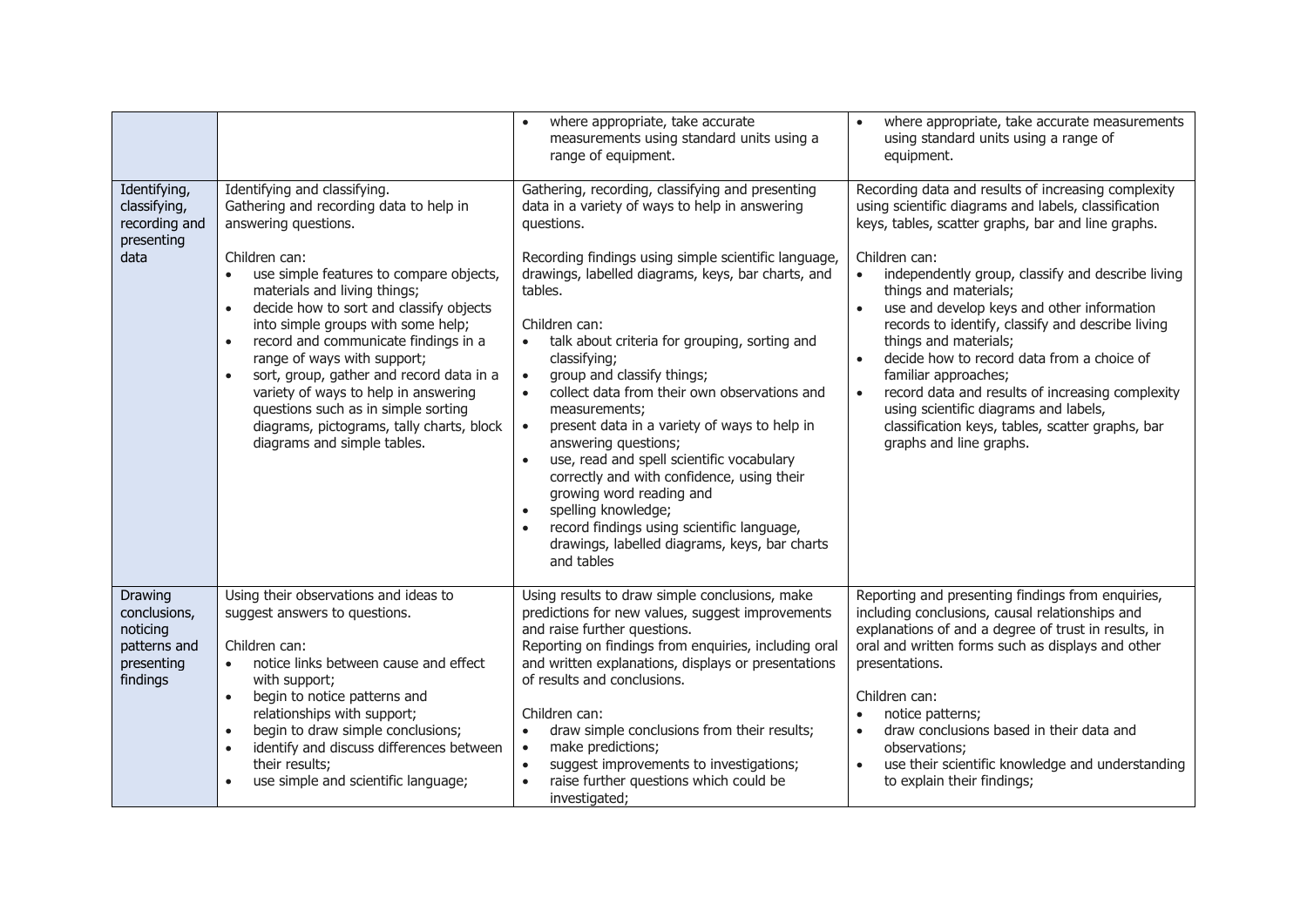|                                                                               |                                                                                                                                                                                                                                                                                                                                                                                                                                                                                                                                                                                                                | where appropriate, take accurate<br>$\bullet$<br>measurements using standard units using a<br>range of equipment.                                                                                                                                                                                                                                                                                                                                                                                                                                                                                                                                                                                                                                                                                                              | where appropriate, take accurate measurements<br>$\bullet$<br>using standard units using a range of<br>equipment.                                                                                                                                                                                                                                                                                                                                                                                                                                                                                                                                                                                  |
|-------------------------------------------------------------------------------|----------------------------------------------------------------------------------------------------------------------------------------------------------------------------------------------------------------------------------------------------------------------------------------------------------------------------------------------------------------------------------------------------------------------------------------------------------------------------------------------------------------------------------------------------------------------------------------------------------------|--------------------------------------------------------------------------------------------------------------------------------------------------------------------------------------------------------------------------------------------------------------------------------------------------------------------------------------------------------------------------------------------------------------------------------------------------------------------------------------------------------------------------------------------------------------------------------------------------------------------------------------------------------------------------------------------------------------------------------------------------------------------------------------------------------------------------------|----------------------------------------------------------------------------------------------------------------------------------------------------------------------------------------------------------------------------------------------------------------------------------------------------------------------------------------------------------------------------------------------------------------------------------------------------------------------------------------------------------------------------------------------------------------------------------------------------------------------------------------------------------------------------------------------------|
| Identifying,<br>classifying,<br>recording and<br>presenting<br>data           | Identifying and classifying.<br>Gathering and recording data to help in<br>answering questions.<br>Children can:<br>use simple features to compare objects,<br>$\bullet$<br>materials and living things;<br>decide how to sort and classify objects<br>$\bullet$<br>into simple groups with some help;<br>record and communicate findings in a<br>$\bullet$<br>range of ways with support;<br>sort, group, gather and record data in a<br>$\bullet$<br>variety of ways to help in answering<br>questions such as in simple sorting<br>diagrams, pictograms, tally charts, block<br>diagrams and simple tables. | Gathering, recording, classifying and presenting<br>data in a variety of ways to help in answering<br>questions.<br>Recording findings using simple scientific language,<br>drawings, labelled diagrams, keys, bar charts, and<br>tables.<br>Children can:<br>talk about criteria for grouping, sorting and<br>classifying;<br>group and classify things;<br>$\bullet$<br>collect data from their own observations and<br>$\bullet$<br>measurements;<br>present data in a variety of ways to help in<br>$\bullet$<br>answering questions;<br>use, read and spell scientific vocabulary<br>$\bullet$<br>correctly and with confidence, using their<br>growing word reading and<br>spelling knowledge;<br>$\bullet$<br>record findings using scientific language,<br>drawings, labelled diagrams, keys, bar charts<br>and tables | Recording data and results of increasing complexity<br>using scientific diagrams and labels, classification<br>keys, tables, scatter graphs, bar and line graphs.<br>Children can:<br>independently group, classify and describe living<br>$\bullet$<br>things and materials;<br>use and develop keys and other information<br>$\bullet$<br>records to identify, classify and describe living<br>things and materials;<br>decide how to record data from a choice of<br>$\bullet$<br>familiar approaches;<br>record data and results of increasing complexity<br>$\bullet$<br>using scientific diagrams and labels,<br>classification keys, tables, scatter graphs, bar<br>graphs and line graphs. |
| Drawing<br>conclusions,<br>noticing<br>patterns and<br>presenting<br>findings | Using their observations and ideas to<br>suggest answers to questions.<br>Children can:<br>notice links between cause and effect<br>$\bullet$<br>with support;<br>begin to notice patterns and<br>$\bullet$<br>relationships with support;<br>begin to draw simple conclusions;<br>$\bullet$<br>identify and discuss differences between<br>$\bullet$<br>their results;<br>use simple and scientific language;                                                                                                                                                                                                 | Using results to draw simple conclusions, make<br>predictions for new values, suggest improvements<br>and raise further questions.<br>Reporting on findings from enquiries, including oral<br>and written explanations, displays or presentations<br>of results and conclusions.<br>Children can:<br>draw simple conclusions from their results;<br>$\bullet$<br>make predictions;<br>$\bullet$<br>suggest improvements to investigations;<br>$\bullet$<br>raise further questions which could be<br>investigated;                                                                                                                                                                                                                                                                                                             | Reporting and presenting findings from enquiries,<br>including conclusions, causal relationships and<br>explanations of and a degree of trust in results, in<br>oral and written forms such as displays and other<br>presentations.<br>Children can:<br>notice patterns;<br>$\bullet$<br>draw conclusions based in their data and<br>$\bullet$<br>observations;<br>use their scientific knowledge and understanding<br>$\bullet$<br>to explain their findings;                                                                                                                                                                                                                                     |